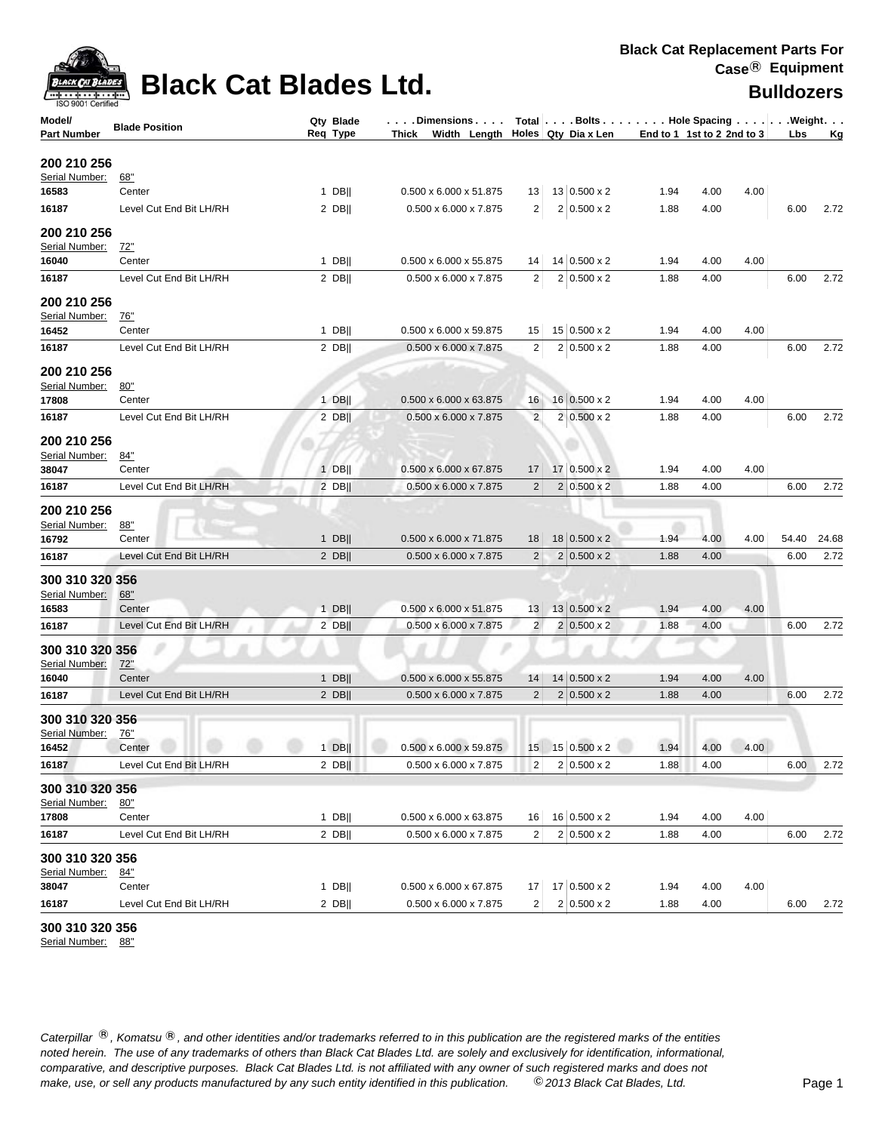

| 200 210 256<br>Serial Number:<br>68"<br>$1$ DB  <br>$0.500 \times 6.000 \times 51.875$<br>13 0.500 x 2<br>1.94<br>4.00<br>4.00<br>16583<br>Center<br>13<br>$\overline{2}$<br>$2 0.500 \times 2$<br>Level Cut End Bit LH/RH<br>$2$ DB  <br>0.500 x 6.000 x 7.875<br>1.88<br>4.00<br>16187<br>200 210 256<br>Serial Number:<br>72"<br>14 0.500 x 2<br>$1$ DB  <br>0.500 x 6.000 x 55.875<br>1.94<br>4.00<br>4.00<br>16040<br>Center<br>14<br>$\overline{c}$<br>Level Cut End Bit LH/RH<br>$2$ DB  <br>0.500 x 6.000 x 7.875<br>$2 0.500 \times 2$<br>1.88<br>4.00<br>16187<br>200 210 256<br>Serial Number:<br><u>76"</u><br>$1$ DB  <br>0.500 x 6.000 x 59.875<br>15 0.500 x 2<br>4.00<br>16452<br>Center<br>1.94<br>4.00<br>15<br>$\overline{2}$<br>$2$ DB  <br>$2 0.500 \times 2$<br>16187<br>Level Cut End Bit LH/RH<br>$0.500 \times 6.000 \times 7.875$<br>1.88<br>4.00<br>200 210 256<br>Serial Number:<br>80"<br>$16$ 0.500 x 2<br>4.00<br>$1$ DB<br>0.500 x 6.000 x 63.875<br>4.00<br>17808<br>Center<br>16<br>1.94<br>$\overline{2}$<br>$2 0.500 \times 2$<br>Level Cut End Bit LH/RH<br>$2$ DB  <br>$0.500 \times 6.000 \times 7.875$<br>1.88<br>4.00<br>16187<br>200 210 256<br>Serial Number:<br><u>84"</u><br>$1$ DB  <br>$0.500 \times 6.000 \times 67.875$<br>17 0.500 x 2<br>4.00<br>38047<br>Center<br>1.94<br>4.00<br>17<br>Level Cut End Bit LH/RH<br>$0.500 \times 6.000 \times 7.875$<br>$\sqrt{2}$<br>$2 0.500 \times 2$<br>16187<br>$2$ DB  <br>1.88<br>4.00<br>200 210 256<br>Serial Number:<br>88"<br>$1$ DB  <br>$0.500 \times 6.000 \times 71.875$<br>$18$ 0.500 x 2<br>4.00<br>4.00<br>16792<br>Center<br>18<br>1.94<br>Level Cut End Bit LH/RH<br>$\overline{c}$<br>$2 0.500 \times 2$<br>$2$ DB  <br>$0.500 \times 6.000 \times 7.875$<br>1.88<br>4.00<br>16187<br>300 310 320 356<br>Serial Number:<br>68"<br>$1$ DB  <br>$0.500 \times 6.000 \times 51.875$<br>13   0.500 x 2<br>16583<br>Center<br>1.94<br>4.00<br>4.00<br>13 <br>$\overline{2}$<br>Level Cut End Bit LH/RH<br>$0.500 \times 6.000 \times 7.875$<br>$2 0.500 \times 2$<br>$2$ DB  <br>1.88<br>4.00<br>16187<br>300 310 320 356<br>Serial Number:<br>72"<br>$1$ DB  <br>$0.500 \times 6.000 \times 55.875$<br>14 0.500 x 2<br>4.00<br>16040<br>1.94<br>4.00<br>Center<br>14<br>Level Cut End Bit LH/RH<br>2 DBII<br>$0.500 \times 6.000 \times 7.875$<br>$\overline{2}$<br>$2 0.500 \times 2$<br>1.88<br>4.00<br>16187<br>300 310 320 356<br>Serial Number:<br><u>76"</u><br>Center<br>16452 | 6.00<br>2.72<br>6.00<br>2.72 |
|---------------------------------------------------------------------------------------------------------------------------------------------------------------------------------------------------------------------------------------------------------------------------------------------------------------------------------------------------------------------------------------------------------------------------------------------------------------------------------------------------------------------------------------------------------------------------------------------------------------------------------------------------------------------------------------------------------------------------------------------------------------------------------------------------------------------------------------------------------------------------------------------------------------------------------------------------------------------------------------------------------------------------------------------------------------------------------------------------------------------------------------------------------------------------------------------------------------------------------------------------------------------------------------------------------------------------------------------------------------------------------------------------------------------------------------------------------------------------------------------------------------------------------------------------------------------------------------------------------------------------------------------------------------------------------------------------------------------------------------------------------------------------------------------------------------------------------------------------------------------------------------------------------------------------------------------------------------------------------------------------------------------------------------------------------------------------------------------------------------------------------------------------------------------------------------------------------------------------------------------------------------------------------------------------------------------------------------------------------------------------------------------------------------------------------------------------------------------------------------------|------------------------------|
|                                                                                                                                                                                                                                                                                                                                                                                                                                                                                                                                                                                                                                                                                                                                                                                                                                                                                                                                                                                                                                                                                                                                                                                                                                                                                                                                                                                                                                                                                                                                                                                                                                                                                                                                                                                                                                                                                                                                                                                                                                                                                                                                                                                                                                                                                                                                                                                                                                                                                             |                              |
|                                                                                                                                                                                                                                                                                                                                                                                                                                                                                                                                                                                                                                                                                                                                                                                                                                                                                                                                                                                                                                                                                                                                                                                                                                                                                                                                                                                                                                                                                                                                                                                                                                                                                                                                                                                                                                                                                                                                                                                                                                                                                                                                                                                                                                                                                                                                                                                                                                                                                             |                              |
|                                                                                                                                                                                                                                                                                                                                                                                                                                                                                                                                                                                                                                                                                                                                                                                                                                                                                                                                                                                                                                                                                                                                                                                                                                                                                                                                                                                                                                                                                                                                                                                                                                                                                                                                                                                                                                                                                                                                                                                                                                                                                                                                                                                                                                                                                                                                                                                                                                                                                             |                              |
|                                                                                                                                                                                                                                                                                                                                                                                                                                                                                                                                                                                                                                                                                                                                                                                                                                                                                                                                                                                                                                                                                                                                                                                                                                                                                                                                                                                                                                                                                                                                                                                                                                                                                                                                                                                                                                                                                                                                                                                                                                                                                                                                                                                                                                                                                                                                                                                                                                                                                             |                              |
|                                                                                                                                                                                                                                                                                                                                                                                                                                                                                                                                                                                                                                                                                                                                                                                                                                                                                                                                                                                                                                                                                                                                                                                                                                                                                                                                                                                                                                                                                                                                                                                                                                                                                                                                                                                                                                                                                                                                                                                                                                                                                                                                                                                                                                                                                                                                                                                                                                                                                             |                              |
|                                                                                                                                                                                                                                                                                                                                                                                                                                                                                                                                                                                                                                                                                                                                                                                                                                                                                                                                                                                                                                                                                                                                                                                                                                                                                                                                                                                                                                                                                                                                                                                                                                                                                                                                                                                                                                                                                                                                                                                                                                                                                                                                                                                                                                                                                                                                                                                                                                                                                             |                              |
|                                                                                                                                                                                                                                                                                                                                                                                                                                                                                                                                                                                                                                                                                                                                                                                                                                                                                                                                                                                                                                                                                                                                                                                                                                                                                                                                                                                                                                                                                                                                                                                                                                                                                                                                                                                                                                                                                                                                                                                                                                                                                                                                                                                                                                                                                                                                                                                                                                                                                             |                              |
|                                                                                                                                                                                                                                                                                                                                                                                                                                                                                                                                                                                                                                                                                                                                                                                                                                                                                                                                                                                                                                                                                                                                                                                                                                                                                                                                                                                                                                                                                                                                                                                                                                                                                                                                                                                                                                                                                                                                                                                                                                                                                                                                                                                                                                                                                                                                                                                                                                                                                             |                              |
|                                                                                                                                                                                                                                                                                                                                                                                                                                                                                                                                                                                                                                                                                                                                                                                                                                                                                                                                                                                                                                                                                                                                                                                                                                                                                                                                                                                                                                                                                                                                                                                                                                                                                                                                                                                                                                                                                                                                                                                                                                                                                                                                                                                                                                                                                                                                                                                                                                                                                             |                              |
|                                                                                                                                                                                                                                                                                                                                                                                                                                                                                                                                                                                                                                                                                                                                                                                                                                                                                                                                                                                                                                                                                                                                                                                                                                                                                                                                                                                                                                                                                                                                                                                                                                                                                                                                                                                                                                                                                                                                                                                                                                                                                                                                                                                                                                                                                                                                                                                                                                                                                             |                              |
|                                                                                                                                                                                                                                                                                                                                                                                                                                                                                                                                                                                                                                                                                                                                                                                                                                                                                                                                                                                                                                                                                                                                                                                                                                                                                                                                                                                                                                                                                                                                                                                                                                                                                                                                                                                                                                                                                                                                                                                                                                                                                                                                                                                                                                                                                                                                                                                                                                                                                             |                              |
|                                                                                                                                                                                                                                                                                                                                                                                                                                                                                                                                                                                                                                                                                                                                                                                                                                                                                                                                                                                                                                                                                                                                                                                                                                                                                                                                                                                                                                                                                                                                                                                                                                                                                                                                                                                                                                                                                                                                                                                                                                                                                                                                                                                                                                                                                                                                                                                                                                                                                             | 6.00<br>2.72                 |
|                                                                                                                                                                                                                                                                                                                                                                                                                                                                                                                                                                                                                                                                                                                                                                                                                                                                                                                                                                                                                                                                                                                                                                                                                                                                                                                                                                                                                                                                                                                                                                                                                                                                                                                                                                                                                                                                                                                                                                                                                                                                                                                                                                                                                                                                                                                                                                                                                                                                                             |                              |
|                                                                                                                                                                                                                                                                                                                                                                                                                                                                                                                                                                                                                                                                                                                                                                                                                                                                                                                                                                                                                                                                                                                                                                                                                                                                                                                                                                                                                                                                                                                                                                                                                                                                                                                                                                                                                                                                                                                                                                                                                                                                                                                                                                                                                                                                                                                                                                                                                                                                                             |                              |
|                                                                                                                                                                                                                                                                                                                                                                                                                                                                                                                                                                                                                                                                                                                                                                                                                                                                                                                                                                                                                                                                                                                                                                                                                                                                                                                                                                                                                                                                                                                                                                                                                                                                                                                                                                                                                                                                                                                                                                                                                                                                                                                                                                                                                                                                                                                                                                                                                                                                                             |                              |
|                                                                                                                                                                                                                                                                                                                                                                                                                                                                                                                                                                                                                                                                                                                                                                                                                                                                                                                                                                                                                                                                                                                                                                                                                                                                                                                                                                                                                                                                                                                                                                                                                                                                                                                                                                                                                                                                                                                                                                                                                                                                                                                                                                                                                                                                                                                                                                                                                                                                                             | 6.00<br>2.72                 |
|                                                                                                                                                                                                                                                                                                                                                                                                                                                                                                                                                                                                                                                                                                                                                                                                                                                                                                                                                                                                                                                                                                                                                                                                                                                                                                                                                                                                                                                                                                                                                                                                                                                                                                                                                                                                                                                                                                                                                                                                                                                                                                                                                                                                                                                                                                                                                                                                                                                                                             |                              |
|                                                                                                                                                                                                                                                                                                                                                                                                                                                                                                                                                                                                                                                                                                                                                                                                                                                                                                                                                                                                                                                                                                                                                                                                                                                                                                                                                                                                                                                                                                                                                                                                                                                                                                                                                                                                                                                                                                                                                                                                                                                                                                                                                                                                                                                                                                                                                                                                                                                                                             |                              |
|                                                                                                                                                                                                                                                                                                                                                                                                                                                                                                                                                                                                                                                                                                                                                                                                                                                                                                                                                                                                                                                                                                                                                                                                                                                                                                                                                                                                                                                                                                                                                                                                                                                                                                                                                                                                                                                                                                                                                                                                                                                                                                                                                                                                                                                                                                                                                                                                                                                                                             |                              |
|                                                                                                                                                                                                                                                                                                                                                                                                                                                                                                                                                                                                                                                                                                                                                                                                                                                                                                                                                                                                                                                                                                                                                                                                                                                                                                                                                                                                                                                                                                                                                                                                                                                                                                                                                                                                                                                                                                                                                                                                                                                                                                                                                                                                                                                                                                                                                                                                                                                                                             | 6.00<br>2.72                 |
|                                                                                                                                                                                                                                                                                                                                                                                                                                                                                                                                                                                                                                                                                                                                                                                                                                                                                                                                                                                                                                                                                                                                                                                                                                                                                                                                                                                                                                                                                                                                                                                                                                                                                                                                                                                                                                                                                                                                                                                                                                                                                                                                                                                                                                                                                                                                                                                                                                                                                             |                              |
|                                                                                                                                                                                                                                                                                                                                                                                                                                                                                                                                                                                                                                                                                                                                                                                                                                                                                                                                                                                                                                                                                                                                                                                                                                                                                                                                                                                                                                                                                                                                                                                                                                                                                                                                                                                                                                                                                                                                                                                                                                                                                                                                                                                                                                                                                                                                                                                                                                                                                             |                              |
|                                                                                                                                                                                                                                                                                                                                                                                                                                                                                                                                                                                                                                                                                                                                                                                                                                                                                                                                                                                                                                                                                                                                                                                                                                                                                                                                                                                                                                                                                                                                                                                                                                                                                                                                                                                                                                                                                                                                                                                                                                                                                                                                                                                                                                                                                                                                                                                                                                                                                             | 54.40<br>24.68               |
|                                                                                                                                                                                                                                                                                                                                                                                                                                                                                                                                                                                                                                                                                                                                                                                                                                                                                                                                                                                                                                                                                                                                                                                                                                                                                                                                                                                                                                                                                                                                                                                                                                                                                                                                                                                                                                                                                                                                                                                                                                                                                                                                                                                                                                                                                                                                                                                                                                                                                             | 6.00<br>2.72                 |
|                                                                                                                                                                                                                                                                                                                                                                                                                                                                                                                                                                                                                                                                                                                                                                                                                                                                                                                                                                                                                                                                                                                                                                                                                                                                                                                                                                                                                                                                                                                                                                                                                                                                                                                                                                                                                                                                                                                                                                                                                                                                                                                                                                                                                                                                                                                                                                                                                                                                                             |                              |
|                                                                                                                                                                                                                                                                                                                                                                                                                                                                                                                                                                                                                                                                                                                                                                                                                                                                                                                                                                                                                                                                                                                                                                                                                                                                                                                                                                                                                                                                                                                                                                                                                                                                                                                                                                                                                                                                                                                                                                                                                                                                                                                                                                                                                                                                                                                                                                                                                                                                                             |                              |
|                                                                                                                                                                                                                                                                                                                                                                                                                                                                                                                                                                                                                                                                                                                                                                                                                                                                                                                                                                                                                                                                                                                                                                                                                                                                                                                                                                                                                                                                                                                                                                                                                                                                                                                                                                                                                                                                                                                                                                                                                                                                                                                                                                                                                                                                                                                                                                                                                                                                                             |                              |
|                                                                                                                                                                                                                                                                                                                                                                                                                                                                                                                                                                                                                                                                                                                                                                                                                                                                                                                                                                                                                                                                                                                                                                                                                                                                                                                                                                                                                                                                                                                                                                                                                                                                                                                                                                                                                                                                                                                                                                                                                                                                                                                                                                                                                                                                                                                                                                                                                                                                                             | 6.00<br>2.72                 |
|                                                                                                                                                                                                                                                                                                                                                                                                                                                                                                                                                                                                                                                                                                                                                                                                                                                                                                                                                                                                                                                                                                                                                                                                                                                                                                                                                                                                                                                                                                                                                                                                                                                                                                                                                                                                                                                                                                                                                                                                                                                                                                                                                                                                                                                                                                                                                                                                                                                                                             |                              |
|                                                                                                                                                                                                                                                                                                                                                                                                                                                                                                                                                                                                                                                                                                                                                                                                                                                                                                                                                                                                                                                                                                                                                                                                                                                                                                                                                                                                                                                                                                                                                                                                                                                                                                                                                                                                                                                                                                                                                                                                                                                                                                                                                                                                                                                                                                                                                                                                                                                                                             |                              |
|                                                                                                                                                                                                                                                                                                                                                                                                                                                                                                                                                                                                                                                                                                                                                                                                                                                                                                                                                                                                                                                                                                                                                                                                                                                                                                                                                                                                                                                                                                                                                                                                                                                                                                                                                                                                                                                                                                                                                                                                                                                                                                                                                                                                                                                                                                                                                                                                                                                                                             |                              |
|                                                                                                                                                                                                                                                                                                                                                                                                                                                                                                                                                                                                                                                                                                                                                                                                                                                                                                                                                                                                                                                                                                                                                                                                                                                                                                                                                                                                                                                                                                                                                                                                                                                                                                                                                                                                                                                                                                                                                                                                                                                                                                                                                                                                                                                                                                                                                                                                                                                                                             |                              |
|                                                                                                                                                                                                                                                                                                                                                                                                                                                                                                                                                                                                                                                                                                                                                                                                                                                                                                                                                                                                                                                                                                                                                                                                                                                                                                                                                                                                                                                                                                                                                                                                                                                                                                                                                                                                                                                                                                                                                                                                                                                                                                                                                                                                                                                                                                                                                                                                                                                                                             | 6.00<br>2.72                 |
|                                                                                                                                                                                                                                                                                                                                                                                                                                                                                                                                                                                                                                                                                                                                                                                                                                                                                                                                                                                                                                                                                                                                                                                                                                                                                                                                                                                                                                                                                                                                                                                                                                                                                                                                                                                                                                                                                                                                                                                                                                                                                                                                                                                                                                                                                                                                                                                                                                                                                             |                              |
|                                                                                                                                                                                                                                                                                                                                                                                                                                                                                                                                                                                                                                                                                                                                                                                                                                                                                                                                                                                                                                                                                                                                                                                                                                                                                                                                                                                                                                                                                                                                                                                                                                                                                                                                                                                                                                                                                                                                                                                                                                                                                                                                                                                                                                                                                                                                                                                                                                                                                             |                              |
|                                                                                                                                                                                                                                                                                                                                                                                                                                                                                                                                                                                                                                                                                                                                                                                                                                                                                                                                                                                                                                                                                                                                                                                                                                                                                                                                                                                                                                                                                                                                                                                                                                                                                                                                                                                                                                                                                                                                                                                                                                                                                                                                                                                                                                                                                                                                                                                                                                                                                             |                              |
| $0.500 \times 6.000 \times 7.875$<br>$\overline{2}$<br>$2 0.500 \times 2$<br>Level Cut End Bit LH/RH<br>$2$ DB  <br>1.88<br>4.00<br>16187                                                                                                                                                                                                                                                                                                                                                                                                                                                                                                                                                                                                                                                                                                                                                                                                                                                                                                                                                                                                                                                                                                                                                                                                                                                                                                                                                                                                                                                                                                                                                                                                                                                                                                                                                                                                                                                                                                                                                                                                                                                                                                                                                                                                                                                                                                                                                   | 2.72<br>6.00                 |
| 300 310 320 356                                                                                                                                                                                                                                                                                                                                                                                                                                                                                                                                                                                                                                                                                                                                                                                                                                                                                                                                                                                                                                                                                                                                                                                                                                                                                                                                                                                                                                                                                                                                                                                                                                                                                                                                                                                                                                                                                                                                                                                                                                                                                                                                                                                                                                                                                                                                                                                                                                                                             |                              |
| Serial Number:<br>80"                                                                                                                                                                                                                                                                                                                                                                                                                                                                                                                                                                                                                                                                                                                                                                                                                                                                                                                                                                                                                                                                                                                                                                                                                                                                                                                                                                                                                                                                                                                                                                                                                                                                                                                                                                                                                                                                                                                                                                                                                                                                                                                                                                                                                                                                                                                                                                                                                                                                       |                              |
| 16 0.500 x 2<br>17808<br>$1$ DB  <br>0.500 x 6.000 x 63.875<br>4.00<br>4.00<br>Center<br>16<br>1.94                                                                                                                                                                                                                                                                                                                                                                                                                                                                                                                                                                                                                                                                                                                                                                                                                                                                                                                                                                                                                                                                                                                                                                                                                                                                                                                                                                                                                                                                                                                                                                                                                                                                                                                                                                                                                                                                                                                                                                                                                                                                                                                                                                                                                                                                                                                                                                                         |                              |
| $0.500 \times 6.000 \times 7.875$<br>$\overline{\mathbf{c}}$<br>$2 0.500 \times 2$<br>16187<br>Level Cut End Bit LH/RH<br>$2$ DB  <br>1.88<br>4.00                                                                                                                                                                                                                                                                                                                                                                                                                                                                                                                                                                                                                                                                                                                                                                                                                                                                                                                                                                                                                                                                                                                                                                                                                                                                                                                                                                                                                                                                                                                                                                                                                                                                                                                                                                                                                                                                                                                                                                                                                                                                                                                                                                                                                                                                                                                                          | 6.00<br>2.72                 |
| 300 310 320 356                                                                                                                                                                                                                                                                                                                                                                                                                                                                                                                                                                                                                                                                                                                                                                                                                                                                                                                                                                                                                                                                                                                                                                                                                                                                                                                                                                                                                                                                                                                                                                                                                                                                                                                                                                                                                                                                                                                                                                                                                                                                                                                                                                                                                                                                                                                                                                                                                                                                             |                              |
| Serial Number:<br>84"                                                                                                                                                                                                                                                                                                                                                                                                                                                                                                                                                                                                                                                                                                                                                                                                                                                                                                                                                                                                                                                                                                                                                                                                                                                                                                                                                                                                                                                                                                                                                                                                                                                                                                                                                                                                                                                                                                                                                                                                                                                                                                                                                                                                                                                                                                                                                                                                                                                                       |                              |
| 17 0.500 x 2<br>$1$ DB  <br>$0.500 \times 6.000 \times 67.875$<br>4.00<br>4.00<br>Center<br>17<br>1.94<br>38047                                                                                                                                                                                                                                                                                                                                                                                                                                                                                                                                                                                                                                                                                                                                                                                                                                                                                                                                                                                                                                                                                                                                                                                                                                                                                                                                                                                                                                                                                                                                                                                                                                                                                                                                                                                                                                                                                                                                                                                                                                                                                                                                                                                                                                                                                                                                                                             |                              |
| $0.500 \times 6.000 \times 7.875$<br>$\overline{\mathbf{c}}$<br>$2 0.500 \times 2$<br>Level Cut End Bit LH/RH<br>$2$ DB  <br>16187<br>1.88<br>4.00                                                                                                                                                                                                                                                                                                                                                                                                                                                                                                                                                                                                                                                                                                                                                                                                                                                                                                                                                                                                                                                                                                                                                                                                                                                                                                                                                                                                                                                                                                                                                                                                                                                                                                                                                                                                                                                                                                                                                                                                                                                                                                                                                                                                                                                                                                                                          | 2.72<br>6.00                 |

**300 310 320 356** 

Serial Number: 88"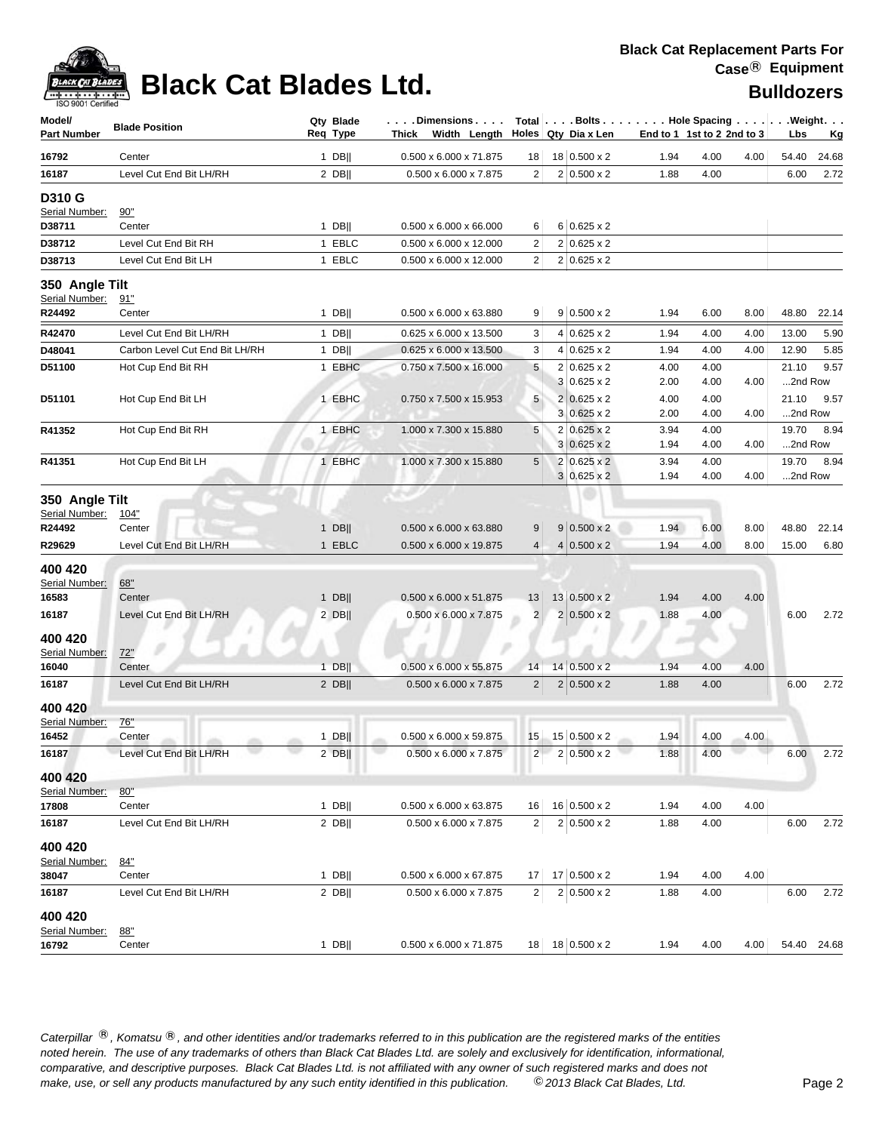

| Model/<br><b>Part Number</b>                         | <b>Blade Position</b>                     | Qty Blade<br>Req Type | . Dimensions<br>Thick Width Length               |                     | Total $\vert \ldots$ . Bolts $\ldots \vert \ldots$ . Hole Spacing $\ldots \vert \ldots$ .<br>Holes Qty Dia x Len |              | End to 1 1st to 2 2nd to 3 |              | Lbs              | . Weight.<br><u>Kg</u> |
|------------------------------------------------------|-------------------------------------------|-----------------------|--------------------------------------------------|---------------------|------------------------------------------------------------------------------------------------------------------|--------------|----------------------------|--------------|------------------|------------------------|
| 16792                                                | Center                                    | 1 DB $  $             | $0.500 \times 6.000 \times 71.875$               | 18                  | 18 0.500 x 2                                                                                                     | 1.94         | 4.00                       | 4.00         | 54.40            | 24.68                  |
| 16187                                                | Level Cut End Bit LH/RH                   | $2$ DB                | 0.500 x 6.000 x 7.875                            | $\overline{2}$      | $2 0.500 \times 2$                                                                                               | 1.88         | 4.00                       |              | 6.00             | 2.72                   |
| <b>D310 G</b><br>Serial Number:                      | <u>90"</u>                                |                       |                                                  |                     |                                                                                                                  |              |                            |              |                  |                        |
| D38711                                               | Center                                    | $1$ DB                | $0.500 \times 6.000 \times 66.000$               | 6                   | $6 0.625 \times 2$                                                                                               |              |                            |              |                  |                        |
| D38712                                               | Level Cut End Bit RH                      | 1 EBLC                | 0.500 x 6.000 x 12.000                           | $\overline{2}$      | $2 0.625 \times 2$                                                                                               |              |                            |              |                  |                        |
| D38713                                               | Level Cut End Bit LH                      | 1 EBLC                | 0.500 x 6.000 x 12.000                           | $\overline{2}$      | $2 0.625 \times 2$                                                                                               |              |                            |              |                  |                        |
| 350 Angle Tilt<br>Serial Number:                     | <u>91"</u>                                |                       |                                                  |                     |                                                                                                                  |              |                            |              |                  |                        |
| R24492                                               | Center                                    | $1$ DB                | 0.500 x 6.000 x 63.880                           | 9                   | $9 0.500 \times 2$                                                                                               | 1.94         | 6.00                       | 8.00         | 48.80            | 22.14                  |
| R42470                                               | Level Cut End Bit LH/RH                   | $1$ DB                | 0.625 x 6.000 x 13.500                           | 3                   | $4 0.625 \times 2$                                                                                               | 1.94         | 4.00                       | 4.00         | 13.00            | 5.90                   |
| D48041                                               | Carbon Level Cut End Bit LH/RH            | $1$ DB                | 0.625 x 6.000 x 13.500                           | 3                   | $4 0.625 \times 2$                                                                                               | 1.94         | 4.00                       | 4.00         | 12.90            | 5.85                   |
| D51100                                               | Hot Cup End Bit RH                        | 1 EBHC                | 0.750 x 7.500 x 16.000                           | 5                   | $2 0.625 \times 2$                                                                                               | 4.00         | 4.00                       |              | 21.10            | 9.57                   |
|                                                      |                                           |                       |                                                  |                     | $3 0.625 \times 2$                                                                                               | 2.00         | 4.00                       | 4.00         | 2nd Row          |                        |
| D51101                                               | Hot Cup End Bit LH                        | 1 EBHC                | 0.750 x 7.500 x 15.953                           | 5                   | $2 0.625 \times 2$                                                                                               | 4.00         | 4.00                       |              | 21.10            | 9.57                   |
|                                                      |                                           |                       |                                                  |                     | $3 0.625 \times 2$                                                                                               | 2.00         | 4.00                       | 4.00         | 2nd Row          |                        |
| R41352                                               | Hot Cup End Bit RH                        | 1 EBHC                | 1.000 x 7.300 x 15.880                           | 5                   | $2 0.625 \times 2$<br>$3 0.625 \times 2$                                                                         | 3.94<br>1.94 | 4.00<br>4.00               | 4.00         | 19.70<br>2nd Row | 8.94                   |
| R41351                                               | Hot Cup End Bit LH                        | 1 EBHC                | 1.000 x 7.300 x 15.880                           | 5                   | $2 0.625 \times 2 $                                                                                              | 3.94         | 4.00                       |              | 19.70            | 8.94                   |
|                                                      |                                           |                       |                                                  |                     | $3 0.625 \times 2$                                                                                               | 1.94         | 4.00                       | 4.00         | 2nd Row          |                        |
| 350 Angle Tilt<br>Serial Number:<br>R24492<br>R29629 | 104"<br>Center<br>Level Cut End Bit LH/RH | $1$ DB  <br>1 EBLC    | 0.500 x 6.000 x 63.880<br>0.500 x 6.000 x 19.875 | 9<br>$\overline{4}$ | $9 0.500 \times 2$<br>$4 0.500 \times 2$                                                                         | 1.94<br>1.94 | 6.00<br>4.00               | 8.00<br>8.00 | 48.80<br>15.00   | 22.14<br>6.80          |
|                                                      |                                           |                       |                                                  |                     |                                                                                                                  |              |                            |              |                  |                        |
| 400 420<br>Serial Number:<br>16583                   | 68"<br>Center                             | $1$ DB                | 0.500 x 6.000 x 51.875                           | 13                  | 13 0.500 x 2                                                                                                     | 1.94         | 4.00                       | 4.00         |                  |                        |
| 16187                                                | Level Cut End Bit LH/RH                   | $2$ DB                | 0.500 x 6.000 x 7.875                            | $\overline{2}$      | $2 0.500 \times 2$                                                                                               | 1.88         | 4.00                       |              | 6.00             | 2.72                   |
| 400 420<br>Serial Number:                            | 72"                                       |                       |                                                  |                     |                                                                                                                  |              |                            |              |                  |                        |
| 16040                                                | Center                                    | $1$ DB                | 0.500 x 6.000 x 55.875                           | 14                  | $14 0.500 \times 2$                                                                                              | 1.94         | 4.00                       | 4.00         |                  |                        |
| 16187                                                | Level Cut End Bit LH/RH                   | $2$ DB                | $0.500 \times 6.000 \times 7.875$                | $\overline{2}$      | $2 0.500 \times 2$                                                                                               | 1.88         | 4.00                       |              | 6.00             | 2.72                   |
| 400 420<br>Serial Number:<br>16452                   | 76"<br>Center                             | $1$ DB                | 0.500 x 6.000 x 59.875                           |                     | 15 15 0.500 x 2                                                                                                  | 1.94         | 4.00                       | 4.00         |                  |                        |
| 16187                                                | Level Cut End Bit LH/RH                   | $2$ DB                | $0.500 \times 6.000 \times 7.875$                | 2                   | $2 0.500 \times 2$                                                                                               | 1.88         | 4.00                       |              | 6.00             | 2.72                   |
| 400 420                                              |                                           |                       |                                                  |                     |                                                                                                                  |              |                            |              |                  |                        |
| Serial Number:                                       | 80"                                       |                       |                                                  |                     |                                                                                                                  |              |                            |              |                  |                        |
| 17808                                                | Center                                    | $1$ DB                | $0.500 \times 6.000 \times 63.875$               | 16                  | 16 0.500 x 2                                                                                                     | 1.94         | 4.00                       | 4.00         |                  |                        |
| 16187                                                | Level Cut End Bit LH/RH                   | $2$ DB                | 0.500 x 6.000 x 7.875                            | $\overline{2}$      | $2 0.500 \times 2$                                                                                               | 1.88         | 4.00                       |              | 6.00             | 2.72                   |
| 400 420                                              |                                           |                       |                                                  |                     |                                                                                                                  |              |                            |              |                  |                        |
| Serial Number:                                       | 84"                                       |                       |                                                  |                     |                                                                                                                  |              |                            |              |                  |                        |
| 38047                                                | Center                                    | $1$ DB                | $0.500 \times 6.000 \times 67.875$               | 17                  | 17 0.500 x 2                                                                                                     | 1.94         | 4.00                       | 4.00         |                  |                        |
| 16187                                                | Level Cut End Bit LH/RH                   | 2 DB                  | $0.500 \times 6.000 \times 7.875$                | $\overline{2}$      | $2 0.500 \times 2$                                                                                               | 1.88         | 4.00                       |              | 6.00             | 2.72                   |
| 400 420                                              |                                           |                       |                                                  |                     |                                                                                                                  |              |                            |              |                  |                        |
| Serial Number:<br>16792                              | 88"<br>Center                             | $1$ DB                | 0.500 x 6.000 x 71.875                           |                     | 18 18 0.500 x 2                                                                                                  | 1.94         | 4.00                       | 4.00         |                  | 54.40 24.68            |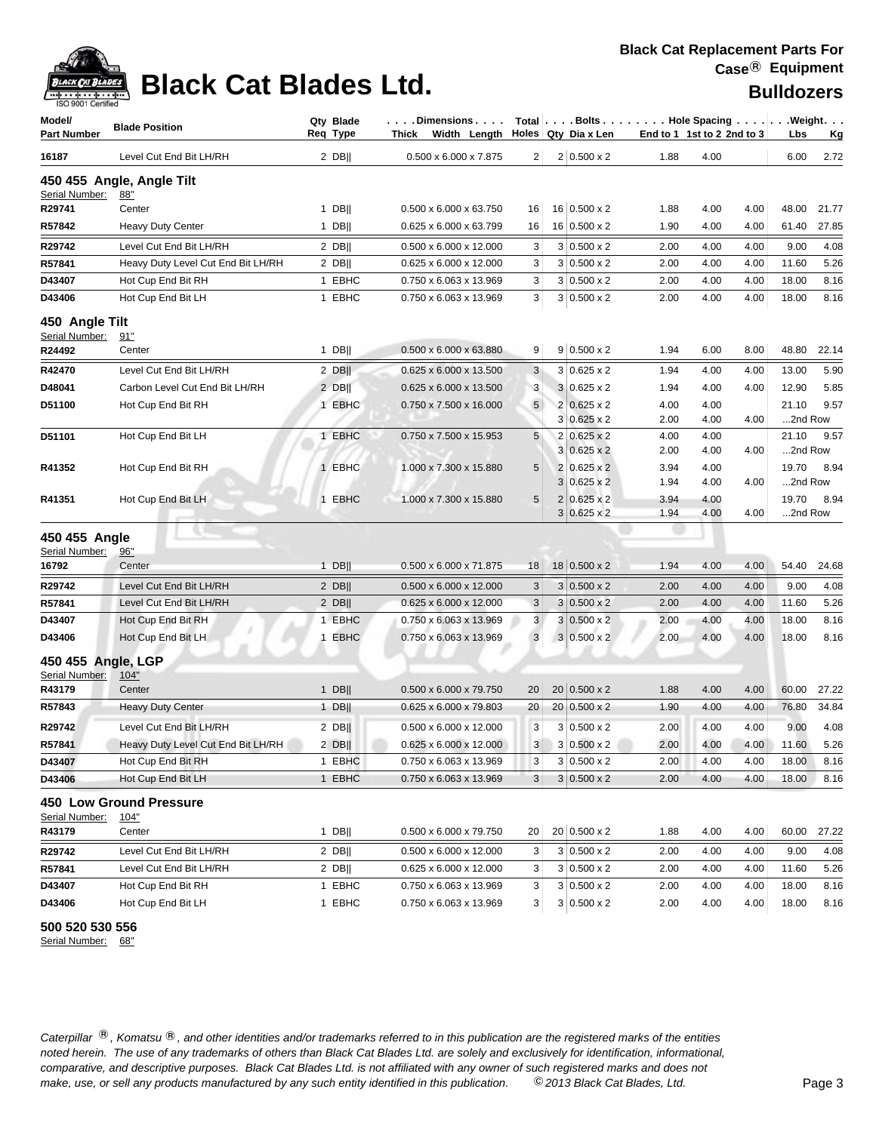

### **Black Cat Blades Ltd. Black Cat Blades Ltd. Black Cat Blades Ltd. Bulldozers**

|                                      | <b>Blade Position</b>              | Req Type | Thick Width Length Holes Qty Dia x Len | . Dimensions $\ldots$ |                                          |              | End to 1 1st to 2 2nd to 3 |      | Lbs              | Total   Bolts   Hole Spacing   Weight.<br><u>Kg</u> |
|--------------------------------------|------------------------------------|----------|----------------------------------------|-----------------------|------------------------------------------|--------------|----------------------------|------|------------------|-----------------------------------------------------|
| 16187                                | Level Cut End Bit LH/RH            | $2$ DB   | 0.500 x 6.000 x 7.875                  | 2                     | $2 0.500 \times 2$                       | 1.88         | 4.00                       |      | 6.00             | 2.72                                                |
|                                      | 450 455 Angle, Angle Tilt          |          |                                        |                       |                                          |              |                            |      |                  |                                                     |
| Serial Number:                       | 88"                                |          |                                        |                       |                                          |              |                            |      |                  |                                                     |
| R29741                               | Center                             | $1$ DB   | 0.500 x 6.000 x 63.750                 | 16                    | 16 0.500 x 2                             | 1.88         | 4.00                       | 4.00 | 48.00            | 21.77                                               |
| R57842                               | Heavy Duty Center                  | 1 DB     | 0.625 x 6.000 x 63.799                 | 16                    | $16 0.500 \times 2$                      | 1.90         | 4.00                       | 4.00 | 61.40            | 27.85                                               |
| R29742                               | Level Cut End Bit LH/RH            | $2$ DB   | 0.500 x 6.000 x 12.000                 | 3                     | $3 0.500 \times 2$                       | 2.00         | 4.00                       | 4.00 | 9.00             | 4.08                                                |
| R57841                               | Heavy Duty Level Cut End Bit LH/RH | $2$ DB   | 0.625 x 6.000 x 12.000                 | 3                     | $3 0.500 \times 2$                       | 2.00         | 4.00                       | 4.00 | 11.60            | 5.26                                                |
| D43407                               | Hot Cup End Bit RH                 | 1 EBHC   | 0.750 x 6.063 x 13.969                 | 3                     | $3 0.500 \times 2$                       | 2.00         | 4.00                       | 4.00 | 18.00            | 8.16                                                |
| D43406                               | Hot Cup End Bit LH                 | 1 EBHC   | 0.750 x 6.063 x 13.969                 | 3                     | $3 0.500 \times 2$                       | 2.00         | 4.00                       | 4.00 | 18.00            | 8.16                                                |
| 450 Angle Tilt                       |                                    |          |                                        |                       |                                          |              |                            |      |                  |                                                     |
| Serial Number:<br>R24492             | 91"<br>Center                      | 1 DB     | $0.500 \times 6.000 \times 63.880$     | 9                     | $9 0.500 \times 2$                       | 1.94         | 6.00                       | 8.00 | 48.80            | 22.14                                               |
| R42470                               | Level Cut End Bit LH/RH            | $2$ DB   | 0.625 x 6.000 x 13.500                 | 3                     | $3 0.625 \times 2$                       | 1.94         | 4.00                       | 4.00 | 13.00            | 5.90                                                |
| D48041                               | Carbon Level Cut End Bit LH/RH     | $2$ DB   | 0.625 x 6.000 x 13.500                 | 3                     | $3 0.625 \times 2$                       | 1.94         | 4.00                       | 4.00 | 12.90            | 5.85                                                |
| D51100                               | Hot Cup End Bit RH                 | 1 EBHC   | 0.750 x 7.500 x 16.000                 | 5 <sub>1</sub>        | $2 0.625 \times 2$<br>$3 0.625 \times 2$ | 4.00<br>2.00 | 4.00<br>4.00               | 4.00 | 21.10<br>2nd Row | 9.57                                                |
| D51101                               | Hot Cup End Bit LH                 | 1 EBHC   | 0.750 x 7.500 x 15.953                 | 5                     | $2 0.625 \times 2$                       | 4.00         | 4.00                       |      | 21.10            | 9.57                                                |
|                                      |                                    |          |                                        |                       | $3 0.625 \times 2$                       | 2.00         | 4.00                       | 4.00 | 2nd Row          |                                                     |
| R41352                               | Hot Cup End Bit RH                 | 1 EBHC   | 1.000 x 7.300 x 15.880                 | 5                     | $2 0.625 \times 2 $                      | 3.94         | 4.00                       |      | 19.70            | 8.94                                                |
|                                      |                                    |          |                                        |                       | $3 0.625 \times 2$                       | 1.94         | 4.00                       | 4.00 | 2nd Row          |                                                     |
| R41351                               | Hot Cup End Bit LH                 | 1 EBHC   | 1.000 x 7.300 x 15.880                 | 5                     | $2 0.625 \times 2$                       | 3.94         | 4.00                       |      | 19.70            | 8.94                                                |
|                                      |                                    |          |                                        |                       | $3 0.625 \times 2$                       | 1.94         | 4.00                       | 4.00 | 2nd Row          |                                                     |
| 450 455 Angle                        |                                    |          |                                        |                       |                                          |              |                            |      |                  |                                                     |
| Serial Number:<br>16792              | 96"<br>Center                      | $1$ DB   | $0.500 \times 6.000 \times 71.875$     | 18                    | 18 0.500 x 2                             | 1.94         | 4.00                       | 4.00 | 54.40            | 24.68                                               |
| R29742                               | Level Cut End Bit LH/RH            | $2$ DB   | $0.500 \times 6.000 \times 12.000$     | 3                     | $3 0.500 \times 2$                       | 2.00         | 4.00                       | 4.00 | 9.00             | 4.08                                                |
| R57841                               | Level Cut End Bit LH/RH            | $2$ DB   | 0.625 x 6.000 x 12.000                 | 3                     | 3   0.500 x 2                            | 2.00         | 4.00                       | 4.00 | 11.60            | 5.26                                                |
| D43407                               | Hot Cup End Bit RH                 | 1 EBHC   | 0.750 x 6.063 x 13.969                 | 3                     | $3 0.500 \times 2$                       | 2.00         | 4.00                       | 4.00 | 18.00            | 8.16                                                |
| D43406                               | Hot Cup End Bit LH                 | 1 EBHC   | 0.750 x 6.063 x 13.969                 | $\mathbf{3}$          | $3 0.500 \times 2$                       | 2.00         | 4.00                       | 4.00 | 18.00            | 8.16                                                |
|                                      |                                    |          |                                        |                       |                                          |              |                            |      |                  |                                                     |
| 450 455 Angle, LGP<br>Serial Number: | 104"                               |          |                                        |                       |                                          |              |                            |      |                  |                                                     |
| R43179                               | Center                             | $1$ DB   | $0.500 \times 6.000 \times 79.750$     | 20                    | $20 0.500 \times 2$                      | 1.88         | 4.00                       | 4.00 | 60.00            | 27.22                                               |
| R57843                               | <b>Heavy Duty Center</b>           | $1$ DB   | 0.625 x 6.000 x 79.803                 | 20                    | $20 0.500 \times 2$                      | 1.90         | 4.00                       | 4.00 | 76.80            | 34.84                                               |
| R29742                               | Level Cut End Bit LH/RH            | $2$ DB   | 0.500 x 6.000 x 12.000                 | 3                     | $3 0.500 \times 2$                       | 2.00         | 4.00                       | 4.00 | 9.00             | 4.08                                                |
| R57841                               | Heavy Duty Level Cut End Bit LH/RH | $2$ DB   | 0.625 x 6.000 x 12.000                 | 3 <sup>1</sup>        | $3 0.500 \times 2$                       | 2.00         | 4.00                       | 4.00 | 11.60            | 5.26                                                |
| D43407                               | Hot Cup End Bit RH                 | 1 EBHC   | 0.750 x 6.063 x 13.969                 | 3                     | $3 0.500 \times 2$                       | 2.00         | 4.00                       | 4.00 | 18.00            | 8.16                                                |
| D43406                               | Hot Cup End Bit LH                 | 1 EBHC   | 0.750 x 6.063 x 13.969                 | 3                     | $3 0.500 \times 2$                       | 2.00         | 4.00                       | 4.00 | 18.00            | 8.16                                                |
|                                      | <b>450 Low Ground Pressure</b>     |          |                                        |                       |                                          |              |                            |      |                  |                                                     |
| Serial Number:                       | 104"                               |          |                                        |                       |                                          |              |                            |      |                  |                                                     |
| R43179                               | Center                             | $1$ DB   | $0.500 \times 6.000 \times 79.750$     | 20 <sub>1</sub>       | 20 0.500 x 2                             | 1.88         | 4.00                       | 4.00 | 60.00            | 27.22                                               |
| R29742                               | Level Cut End Bit LH/RH            | $2$ DB   | $0.500 \times 6.000 \times 12.000$     | 3                     | 3   0.500 x 2                            | 2.00         | 4.00                       | 4.00 | 9.00             | 4.08                                                |
| R57841                               | Level Cut End Bit LH/RH            | $2$ DB   | 0.625 x 6.000 x 12.000                 | 3                     | $3 0.500 \times 2$                       | 2.00         | 4.00                       | 4.00 | 11.60            | 5.26                                                |
| D43407                               | Hot Cup End Bit RH                 | 1 EBHC   | 0.750 x 6.063 x 13.969                 | 3                     | $3 0.500 \times 2$                       | 2.00         | 4.00                       | 4.00 | 18.00            | 8.16                                                |
| D43406                               | Hot Cup End Bit LH                 | 1 EBHC   | 0.750 x 6.063 x 13.969                 | 3 <sup>2</sup>        | $3 0.500 \times 2$                       | 2.00         | 4.00                       | 4.00 | 18.00            | 8.16                                                |

**500 520 530 556** 

Serial Number: 68"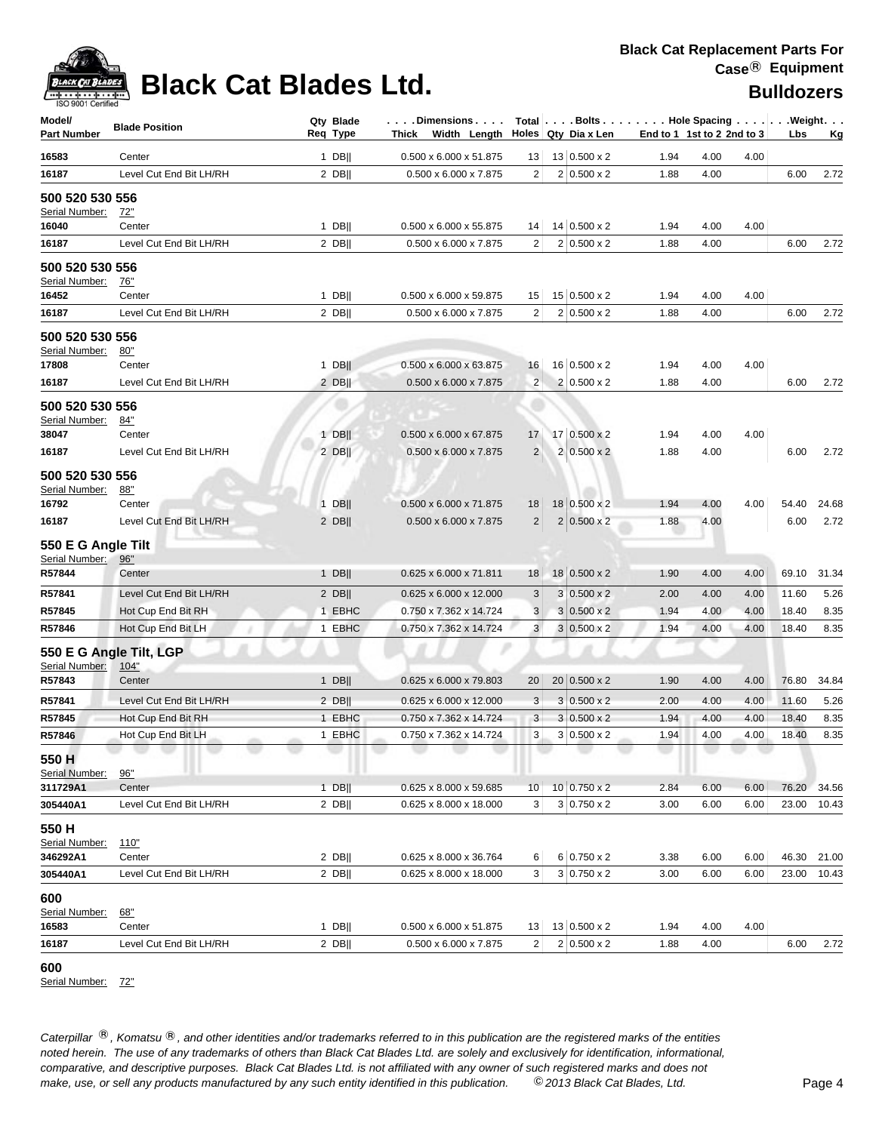

### **Black Cat Blades Ltd. Black Cat Blades Ltd. Bulldozers**

| ISO 9001 Certified                   |                                 |                       |                                                                            |                |                                        |                            |      |      |       |           |
|--------------------------------------|---------------------------------|-----------------------|----------------------------------------------------------------------------|----------------|----------------------------------------|----------------------------|------|------|-------|-----------|
| Model/<br><b>Part Number</b>         | <b>Blade Position</b>           | Qty Blade<br>Req Type | $\ldots$ . Dimensions $\ldots$ .<br>Thick Width Length Holes Qty Dia x Len |                | Total   Bolts   Hole Spacing   Weight. | End to 1 1st to 2 2nd to 3 |      |      | Lbs   | <u>Kg</u> |
| 16583                                | Center                          | $1$ DB                | 0.500 x 6.000 x 51.875                                                     | 13             | 13 0.500 x 2                           | 1.94                       | 4.00 | 4.00 |       |           |
| 16187                                | Level Cut End Bit LH/RH         | $2$ DB                | 0.500 x 6.000 x 7.875                                                      | 2              | 2   0.500 x 2                          | 1.88                       | 4.00 |      | 6.00  | 2.72      |
| 500 520 530 556<br>Serial Number:    | 72"                             |                       |                                                                            |                |                                        |                            |      |      |       |           |
| 16040                                | Center                          | $1$ DB                | 0.500 x 6.000 x 55.875                                                     | 14             | 14 0.500 x 2                           | 1.94                       | 4.00 | 4.00 |       |           |
| 16187                                | Level Cut End Bit LH/RH         | $2$ DB                | 0.500 x 6.000 x 7.875                                                      | 2              | $2 0.500 \times 2$                     | 1.88                       | 4.00 |      | 6.00  | 2.72      |
| 500 520 530 556<br>Serial Number:    | <u>76"</u>                      |                       |                                                                            |                |                                        |                            |      |      |       |           |
| 16452                                | Center                          | $1$ DB                | 0.500 x 6.000 x 59.875                                                     | 15             | $15 0.500 \times 2$                    | 1.94                       | 4.00 | 4.00 |       |           |
| 16187                                | Level Cut End Bit LH/RH         | $2$ DB                | 0.500 x 6.000 x 7.875                                                      | $\overline{2}$ | $2 0.500 \times 2$                     | 1.88                       | 4.00 |      | 6.00  | 2.72      |
| 500 520 530 556<br>Serial Number:    | 80"                             |                       |                                                                            |                |                                        |                            |      |      |       |           |
| 17808                                | Center                          | $1$ DB                | 0.500 x 6.000 x 63.875                                                     | 16             | 16 0.500 x 2                           | 1.94                       | 4.00 | 4.00 |       |           |
| 16187                                | Level Cut End Bit LH/RH         | $2$ DB                | $0.500 \times 6.000 \times 7.875$                                          | $\overline{2}$ | $2 0.500 \times 2$                     | 1.88                       | 4.00 |      | 6.00  | 2.72      |
| 500 520 530 556<br>Serial Number:    | 84"                             |                       |                                                                            |                |                                        |                            |      |      |       |           |
| 38047                                | Center                          | $1$ DBII              | $0.500 \times 6.000 \times 67.875$                                         | 17             | 17 0.500 x 2                           | 1.94                       | 4.00 | 4.00 |       |           |
| 16187                                | Level Cut End Bit LH/RH         | $2$ DB                | $0.500 \times 6.000 \times 7.875$                                          | $\overline{2}$ | $2 0.500 \times 2$                     | 1.88                       | 4.00 |      | 6.00  | 2.72      |
| 500 520 530 556<br>Serial Number:    | 88"                             |                       |                                                                            |                |                                        |                            |      |      |       |           |
| 16792                                | Center                          | $1$ DB                | $0.500 \times 6.000 \times 71.875$                                         | 18             | $18 0.500 \times 2$                    | 1.94                       | 4.00 | 4.00 | 54.40 | 24.68     |
| 16187                                | Level Cut End Bit LH/RH         | $2$ DB                | $0.500 \times 6.000 \times 7.875$                                          | $\overline{c}$ | $2 0.500 \times 2$                     | 1.88                       | 4.00 |      | 6.00  | 2.72      |
| 550 E G Angle Tilt<br>Serial Number: | 96"                             |                       |                                                                            |                |                                        |                            |      |      |       |           |
| R57844                               | Center                          | $1$ DB                | 0.625 x 6.000 x 71.811                                                     | 18             | 18 0.500 x 2                           | 1.90                       | 4.00 | 4.00 | 69.10 | 31.34     |
| R57841                               | Level Cut End Bit LH/RH         | $2$ DB                | 0.625 x 6.000 x 12.000                                                     | 3              | $3 0.500 \times 2$                     | 2.00                       | 4.00 | 4.00 | 11.60 | 5.26      |
| R57845                               | Hot Cup End Bit RH              | 1 EBHC                | 0.750 x 7.362 x 14.724                                                     | 3              | $3 0.500 \times 2$                     | 1.94                       | 4.00 | 4.00 | 18.40 | 8.35      |
| R57846                               | Hot Cup End Bit LH              | 1 EBHC                | 0.750 x 7.362 x 14.724                                                     | 3              | $3 0.500 \times 2$                     | 1.94                       | 4.00 | 4.00 | 18.40 | 8.35      |
| Serial Number:                       | 550 E G Angle Tilt, LGP<br>104" |                       |                                                                            |                |                                        |                            |      |      |       |           |
| R57843                               | Center                          | $1$ DB                | 0.625 x 6.000 x 79.803                                                     | 20             | $20 0.500 \times 2$                    | 1.90                       | 4.00 | 4.00 | 76.80 | 34.84     |
| R57841                               | Level Cut End Bit LH/RH         | $2$ DB                | 0.625 x 6.000 x 12.000                                                     | 3              | $3 0.500 \times 2$                     | 2.00                       | 4.00 | 4.00 | 11.60 | 5.26      |
| R57845                               | Hot Cup End Bit RH              | 1 EBHC                | 0.750 x 7.362 x 14.724                                                     | 3              | 3   0.500 x 2                          | 1.94                       | 4.00 | 4.00 | 18.40 | 8.35      |
| R57846                               | Hot Cup End Bit LH              | 1 EBHC                | 0.750 x 7.362 x 14.724                                                     | 3              | $3 0.500 \times 2$                     | 1.94                       | 4.00 | 4.00 | 18.40 | 8.35      |
| 550 H<br>Serial Number:              | 96"                             |                       |                                                                            |                |                                        |                            |      |      |       |           |
| 311729A1                             | Center                          | $1$ DB                | $0.625 \times 8.000 \times 59.685$                                         | 10             | $10 0.750 \times 2$                    | 2.84                       | 6.00 | 6.00 | 76.20 | 34.56     |
| 305440A1                             | Level Cut End Bit LH/RH         | $2$ DB                | 0.625 x 8.000 x 18.000                                                     | 3              | $3 0.750 \times 2$                     | 3.00                       | 6.00 | 6.00 | 23.00 | 10.43     |
| 550 H<br>Serial Number:              | 110"                            |                       |                                                                            |                |                                        |                            |      |      |       |           |
| 346292A1                             | Center                          | $2$ DB                | 0.625 x 8.000 x 36.764                                                     | 6              | $6 0.750 \times 2$                     | 3.38                       | 6.00 | 6.00 | 46.30 | 21.00     |
| 305440A1                             | Level Cut End Bit LH/RH         | $2$ DB                | 0.625 x 8.000 x 18.000                                                     | 3              | $3 0.750 \times 2$                     | 3.00                       | 6.00 | 6.00 | 23.00 | 10.43     |
| 600<br>Serial Number:                | 68"                             |                       |                                                                            |                |                                        |                            |      |      |       |           |
| 16583                                | Center                          | $1$ DB                | $0.500 \times 6.000 \times 51.875$                                         | 13             | 13 0.500 x 2                           | 1.94                       | 4.00 | 4.00 |       |           |
| 16187                                | Level Cut End Bit LH/RH         | $2$ DB                | $0.500 \times 6.000 \times 7.875$                                          | $\overline{2}$ | $2 0.500 \times 2$                     | 1.88                       | 4.00 |      | 6.00  | 2.72      |

### **600**

Serial Number: 72"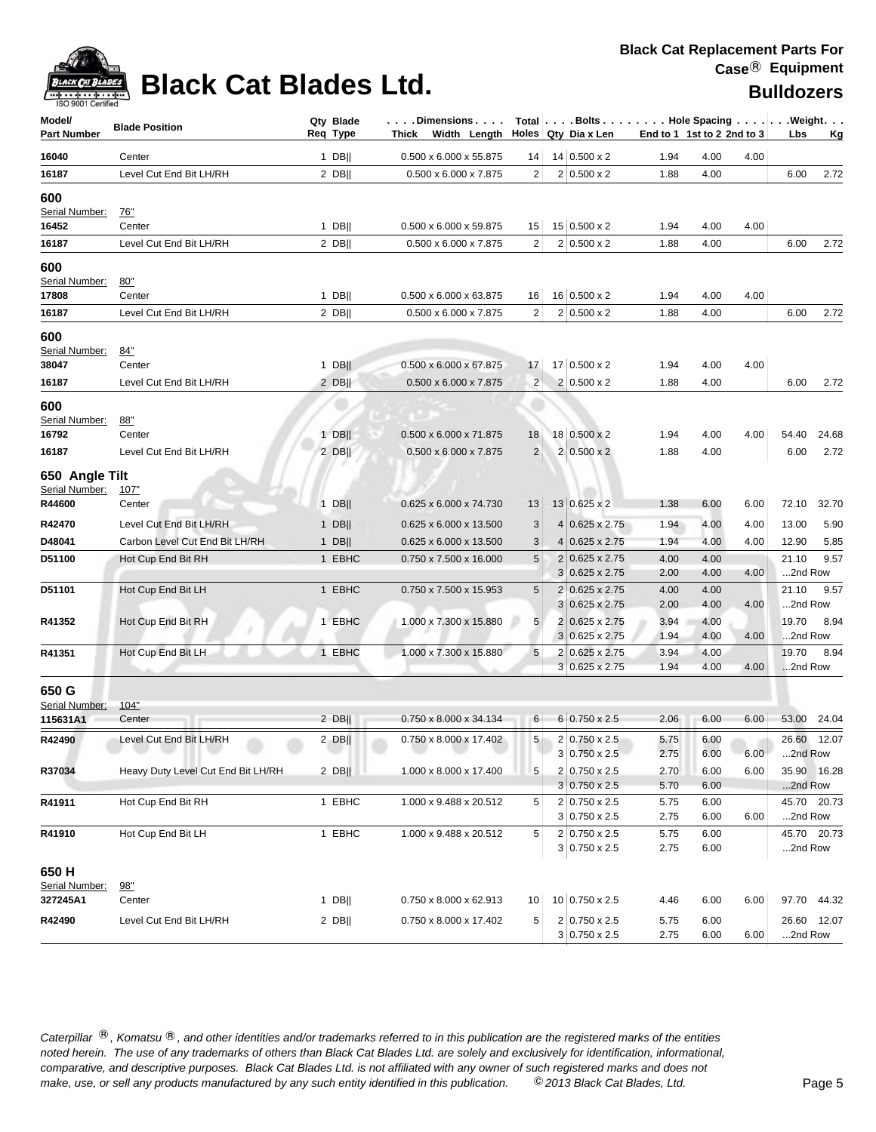

| Model/                  | <b>Blade Position</b>              | Qty Blade | Dimensions   Total   Bolts    Hole Spacing    Weight |                 |   |                                              |                            |              |      |                  |           |
|-------------------------|------------------------------------|-----------|------------------------------------------------------|-----------------|---|----------------------------------------------|----------------------------|--------------|------|------------------|-----------|
| <b>Part Number</b>      |                                    | Req Type  | Thick Width Length Holes Qty Dia x Len               |                 |   |                                              | End to 1 1st to 2 2nd to 3 |              |      | Lbs              | <u>Kg</u> |
| 16040                   | Center                             | $1$ DB    | 0.500 x 6.000 x 55.875                               | 14              |   | 14 0.500 x 2                                 | 1.94                       | 4.00         | 4.00 |                  |           |
| 16187                   | Level Cut End Bit LH/RH            | $2$ DB    | 0.500 x 6.000 x 7.875                                | $\overline{2}$  |   | $2 0.500 \times 2$                           | 1.88                       | 4.00         |      | 6.00             | 2.72      |
| 600                     |                                    |           |                                                      |                 |   |                                              |                            |              |      |                  |           |
| Serial Number:          | <u>76"</u>                         |           |                                                      |                 |   |                                              |                            |              |      |                  |           |
| 16452                   | Center                             | $1$ DB    | 0.500 x 6.000 x 59.875                               | 15              |   | $15 0.500 \times 2$                          | 1.94                       | 4.00         | 4.00 |                  |           |
| 16187                   | Level Cut End Bit LH/RH            | $2$ DB    | $0.500 \times 6.000 \times 7.875$                    | $\overline{2}$  |   | $2 0.500 \times 2$                           | 1.88                       | 4.00         |      | 6.00             | 2.72      |
| 600                     |                                    |           |                                                      |                 |   |                                              |                            |              |      |                  |           |
| Serial Number:          | 80"                                |           |                                                      |                 |   |                                              |                            |              |      |                  |           |
| 17808                   | Center                             | $1$ DB    | 0.500 x 6.000 x 63.875                               | 16              |   | 16 0.500 x 2                                 | 1.94                       | 4.00         | 4.00 |                  |           |
| 16187                   | Level Cut End Bit LH/RH            | $2$ DB    | 0.500 x 6.000 x 7.875                                | $\overline{2}$  |   | $2 0.500 \times 2$                           | 1.88                       | 4.00         |      | 6.00             | 2.72      |
| 600                     |                                    |           |                                                      |                 |   |                                              |                            |              |      |                  |           |
| Serial Number:          | 84"                                |           |                                                      |                 |   |                                              |                            |              |      |                  |           |
| 38047                   | Center                             | $1$ DB    | $0.500 \times 6.000 \times 67.875$                   | 17              |   | 17 0.500 x 2                                 | 1.94                       | 4.00         | 4.00 |                  |           |
| 16187                   | Level Cut End Bit LH/RH            | $2$ DB    | $0.500 \times 6.000 \times 7.875$                    | $\overline{2}$  |   | $2 0.500 \times 2$                           | 1.88                       | 4.00         |      | 6.00             | 2.72      |
| 600                     |                                    |           |                                                      |                 |   |                                              |                            |              |      |                  |           |
| Serial Number:          | 88"                                |           |                                                      |                 |   |                                              |                            |              |      |                  |           |
| 16792                   | Center                             | $1$ DBII  | 0.500 x 6.000 x 71.875                               | 18              |   | 18 0.500 x 2                                 | 1.94                       | 4.00         | 4.00 | 54.40            | 24.68     |
| 16187                   | Level Cut End Bit LH/RH            | $2$ DB    | $0.500 \times 6.000 \times 7.875$                    | $\overline{2}$  |   | $2 0.500 \times 2$                           | 1.88                       | 4.00         |      | 6.00             | 2.72      |
| 650 Angle Tilt          |                                    |           |                                                      |                 |   |                                              |                            |              |      |                  |           |
| Serial Number:          | 107"                               |           |                                                      |                 |   |                                              |                            |              |      |                  |           |
| R44600                  | Center                             | $1$ DB    | 0.625 x 6.000 x 74.730                               | 13              |   | $13 0.625 \times 2$                          | 1.38                       | 6.00         | 6.00 | 72.10            | 32.70     |
| R42470                  | Level Cut End Bit LH/RH            | $1$ DB    | $0.625 \times 6.000 \times 13.500$                   | 3               |   | $4 0.625 \times 2.75$                        | 1.94                       | 4.00         | 4.00 | 13.00            | 5.90      |
| D48041                  | Carbon Level Cut End Bit LH/RH     | $1$ DB    | $0.625 \times 6.000 \times 13.500$                   | 3               |   | $4 0.625 \times 2.75$                        | 1.94                       | 4.00         | 4.00 | 12.90            | 5.85      |
| D51100                  | Hot Cup End Bit RH                 | 1 EBHC    | 0.750 x 7.500 x 16.000                               | 5               |   | $2 0.625 \times 2.75$                        | 4.00                       | 4.00         |      | 21.10            | 9.57      |
|                         |                                    |           |                                                      |                 |   | $3 0.625 \times 2.75$                        | 2.00                       | 4.00         | 4.00 | 2nd Row          |           |
| D51101                  | Hot Cup End Bit LH                 | 1 EBHC    | 0.750 x 7.500 x 15.953                               | $5\phantom{.0}$ |   | 2 0.625 x 2.75                               | 4.00                       | 4.00         |      | 21.10            | 9.57      |
|                         |                                    |           |                                                      |                 |   | $3 0.625 \times 2.75$                        | 2.00                       | 4.00         | 4.00 | 2nd Row          |           |
| R41352                  | Hot Cup End Bit RH                 | 1 EBHC    | 1.000 x 7.300 x 15.880                               | 5               | 2 | $0.625 \times 2.75$<br>$3 0.625 \times 2.75$ | 3.94<br>1.94               | 4.00<br>4.00 | 4.00 | 19.70<br>2nd Row | 8.94      |
| R41351                  | Hot Cup End Bit LH                 | 1 EBHC    | 1.000 x 7.300 x 15.880                               | 5               |   | $2 0.625 \times 2.75$                        | 3.94                       | 4.00         |      | 19.70            | 8.94      |
|                         |                                    |           |                                                      |                 |   | $3 0.625 \times 2.75$                        | 1.94                       | 4.00         | 4.00 | 2nd Row          |           |
|                         |                                    |           |                                                      |                 |   |                                              |                            |              |      |                  |           |
| 650 G<br>Serial Number: | 104"                               |           |                                                      |                 |   |                                              |                            |              |      |                  |           |
| 115631A1                | Center                             | $2$ DB    | 0.750 x 8.000 x 34.134                               | 6               |   | $6$ 0.750 x 2.5                              | 2.06                       | 6.00         | 6.00 | 53.00 24.04      |           |
| R42490                  | Level Cut End Bit LH/RH            | $2$ DB    | 0.750 x 8.000 x 17.402                               | 5               |   | 2 0.750 x 2.5                                | 5.75                       | 6.00         |      | 26.60 12.07      |           |
|                         |                                    |           |                                                      |                 |   | $3 0.750 \times 2.5$                         | 2.75                       | 6.00         | 6.00 | 2nd Row          |           |
| R37034                  | Heavy Duty Level Cut End Bit LH/RH | $2$ DB    | 1.000 x 8.000 x 17.400                               | 5               |   | 2 0.750 x 2.5                                | 2.70                       | 6.00         | 6.00 | 35.90 16.28      |           |
|                         |                                    |           |                                                      |                 |   | $3 0.750 \times 2.5$                         | 5.70                       | 6.00         |      | 2nd Row          |           |
| R41911                  | Hot Cup End Bit RH                 | 1 EBHC    | 1.000 x 9.488 x 20.512                               | 5               |   | $2 0.750 \times 2.5$                         | 5.75                       | 6.00         |      | 45.70 20.73      |           |
|                         |                                    |           |                                                      |                 |   | $3 0.750 \times 2.5$                         | 2.75                       | 6.00         | 6.00 | 2nd Row          |           |
| R41910                  | Hot Cup End Bit LH                 | 1 EBHC    | 1.000 x 9.488 x 20.512                               | 5               |   | $2 0.750 \times 2.5 $                        | 5.75                       | 6.00         |      | 45.70 20.73      |           |
|                         |                                    |           |                                                      |                 |   | $3 0.750 \times 2.5$                         | 2.75                       | 6.00         |      | 2nd Row          |           |
| 650 H                   |                                    |           |                                                      |                 |   |                                              |                            |              |      |                  |           |
| Serial Number:          | 98"                                |           |                                                      |                 |   |                                              |                            |              |      |                  |           |
| 327245A1                | Center                             | $1$ DB    | 0.750 x 8.000 x 62.913                               | 10              |   | 10 0.750 x 2.5                               | 4.46                       | 6.00         | 6.00 | 97.70 44.32      |           |
| R42490                  | Level Cut End Bit LH/RH            | $2$ DB    | 0.750 x 8.000 x 17.402                               | 5               |   | $2 0.750 \times 2.5 $                        | 5.75                       | 6.00         |      | 26.60 12.07      |           |
|                         |                                    |           |                                                      |                 |   | $3 0.750 \times 2.5$                         | 2.75                       | 6.00         | 6.00 | 2nd Row          |           |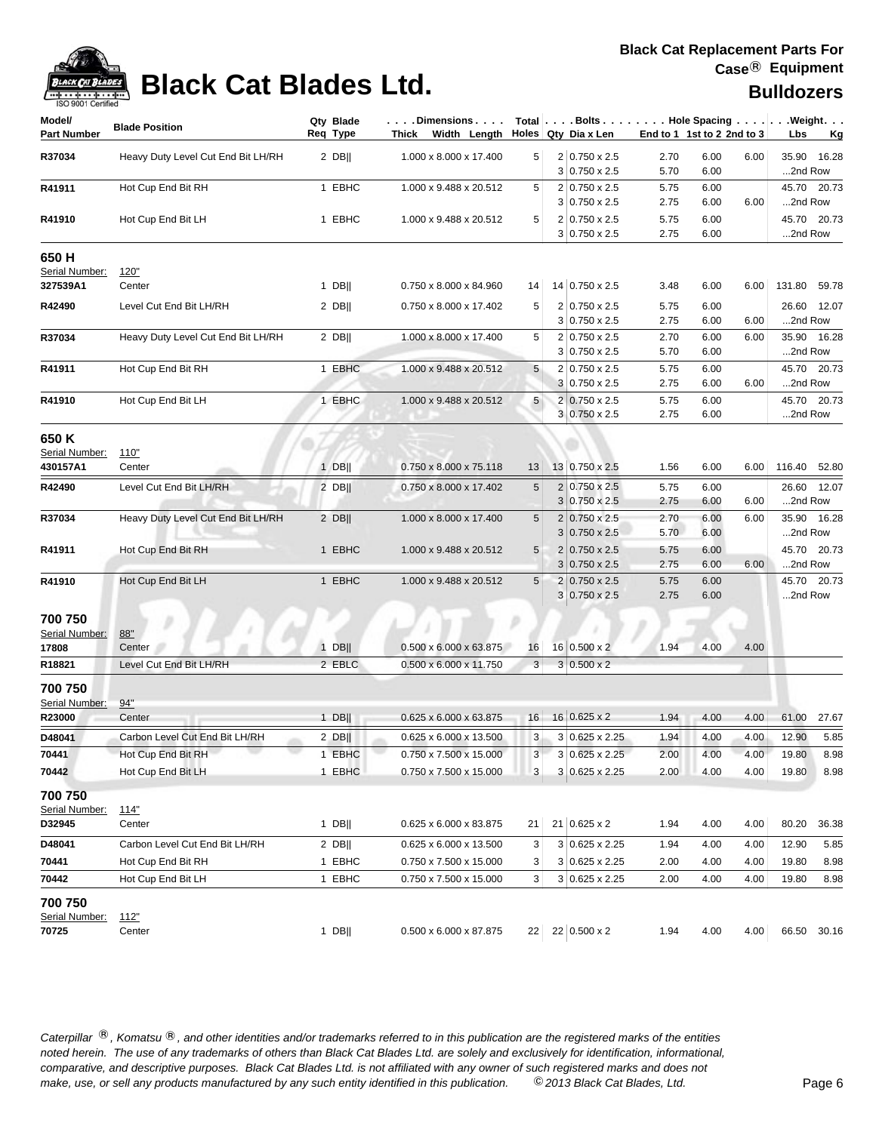

| <b>190 and I Cellilled</b><br>Model/ |                                    | Qty Blade | $\ldots$ . Dimensions $\ldots$ .       |    | Total   Bolts   Hole Spacing   Weight. |                            |      |      |              |             |
|--------------------------------------|------------------------------------|-----------|----------------------------------------|----|----------------------------------------|----------------------------|------|------|--------------|-------------|
| <b>Part Number</b>                   | <b>Blade Position</b>              | Req Type  | Thick Width Length Holes Qty Dia x Len |    |                                        | End to 1 1st to 2 2nd to 3 |      |      | Lbs          | <u>Kg</u>   |
| R37034                               | Heavy Duty Level Cut End Bit LH/RH | $2$ DB    | 1.000 x 8.000 x 17.400                 | 5  | 2 0.750 x 2.5                          | 2.70                       | 6.00 | 6.00 | 35.90        | 16.28       |
|                                      |                                    |           |                                        |    | $3 0.750 \times 2.5$                   | 5.70                       | 6.00 |      | 2nd Row      |             |
| R41911                               | Hot Cup End Bit RH                 | 1 EBHC    | 1.000 x 9.488 x 20.512                 | 5  | 2 0.750 x 2.5                          | 5.75                       | 6.00 |      |              | 45.70 20.73 |
|                                      |                                    |           |                                        |    | $3 0.750 \times 2.5$                   | 2.75                       | 6.00 | 6.00 | 2nd Row      |             |
| R41910                               | Hot Cup End Bit LH                 | 1 EBHC    | 1.000 x 9.488 x 20.512                 | 5  | 2 0.750 x 2.5                          | 5.75                       | 6.00 |      |              | 45.70 20.73 |
|                                      |                                    |           |                                        |    | $3 0.750 \times 2.5$                   | 2.75                       | 6.00 |      | 2nd Row      |             |
| 650 H                                |                                    |           |                                        |    |                                        |                            |      |      |              |             |
| Serial Number:                       | 120"                               |           |                                        |    |                                        |                            |      |      |              |             |
| 327539A1                             | Center                             | $1$ DB    | 0.750 x 8.000 x 84.960                 | 14 | 14 0.750 x 2.5                         | 3.48                       | 6.00 | 6.00 | 131.80 59.78 |             |
| R42490                               | Level Cut End Bit LH/RH            | $2$ DB    | 0.750 x 8.000 x 17.402                 | 5  | $2 0.750 \times 2.5$                   | 5.75                       | 6.00 |      |              | 26.60 12.07 |
|                                      |                                    |           |                                        |    | $3 0.750 \times 2.5$                   | 2.75                       | 6.00 | 6.00 | 2nd Row      |             |
| R37034                               | Heavy Duty Level Cut End Bit LH/RH | $2$ DB    | 1.000 x 8.000 x 17.400                 | 5  | 2 0.750 x 2.5                          | 2.70                       | 6.00 | 6.00 |              | 35.90 16.28 |
|                                      |                                    |           |                                        |    | $3 0.750 \times 2.5$                   | 5.70                       | 6.00 |      | 2nd Row      |             |
| R41911                               | Hot Cup End Bit RH                 | 1 EBHC    | 1.000 x 9.488 x 20.512                 | 5  | 2 0.750 x 2.5                          | 5.75                       | 6.00 |      |              | 45.70 20.73 |
|                                      |                                    |           |                                        |    | 3 0.750 x 2.5                          | 2.75                       | 6.00 | 6.00 | 2nd Row      |             |
| R41910                               | Hot Cup End Bit LH                 | 1 EBHC    | 1.000 x 9.488 x 20.512                 | 5  | $2 0.750 \times 2.5$                   | 5.75                       | 6.00 |      |              | 45.70 20.73 |
|                                      |                                    |           |                                        |    | $3 0.750 \times 2.5$                   | 2.75                       | 6.00 |      | 2nd Row      |             |
| 650 K                                |                                    |           |                                        |    |                                        |                            |      |      |              |             |
| Serial Number:                       | 110"                               |           |                                        |    |                                        |                            |      |      |              |             |
| 430157A1                             | Center                             | $1$ DB    | 0.750 x 8.000 x 75.118                 | 13 | 13 0.750 x 2.5                         | 1.56                       | 6.00 | 6.00 | 116.40 52.80 |             |
| R42490                               | Level Cut End Bit LH/RH            | $2$ DB    | $0.750 \times 8.000 \times 17.402$     | 5  | $2 0.750 \times 2.5 $                  | 5.75                       | 6.00 |      |              | 26.60 12.07 |
|                                      |                                    |           |                                        |    | $3 0.750 \times 2.5$                   | 2.75                       | 6.00 | 6.00 | 2nd Row      |             |
| R37034                               | Heavy Duty Level Cut End Bit LH/RH | $2$ DB    | 1.000 x 8.000 x 17.400                 | 5  | 2 0.750 x 2.5                          | 2.70                       | 6.00 | 6.00 |              | 35.90 16.28 |
|                                      |                                    |           |                                        |    | $3 0.750 \times 2.5$                   | 5.70                       | 6.00 |      | 2nd Row      |             |
| R41911                               | Hot Cup End Bit RH                 | 1 EBHC    | 1.000 x 9.488 x 20.512                 | 5  | $2 0.750 \times 2.5$                   | 5.75                       | 6.00 |      |              | 45.70 20.73 |
|                                      |                                    |           |                                        |    | $3 0.750 \times 2.5$                   | 2.75                       | 6.00 | 6.00 | 2nd Row      |             |
| R41910                               | Hot Cup End Bit LH                 | 1 EBHC    | 1.000 x 9.488 x 20.512                 | 5  | $2 0.750 \times 2.5$                   | 5.75                       | 6.00 |      |              | 45.70 20.73 |
|                                      |                                    |           |                                        |    | $3 0.750 \times 2.5$                   | 2.75                       | 6.00 |      | 2nd Row      |             |
| 700 750                              |                                    |           |                                        |    |                                        |                            |      |      |              |             |
| Serial Number:                       | 88"                                |           |                                        |    |                                        |                            |      |      |              |             |
| 17808                                | Center                             | $1$ DB    | $0.500 \times 6.000 \times 63.875$     | 16 | $16 0.500 \times 2$                    | 1.94                       | 4.00 | 4.00 |              |             |
| R18821                               | Level Cut End Bit LH/RH            | 2 EBLC    | $0.500 \times 6.000 \times 11.750$     | 3  | $3 0.500 \times 2$                     |                            |      |      |              |             |
| 700 750                              |                                    |           |                                        |    |                                        |                            |      |      |              |             |
| Serial Number:                       | 94"                                |           |                                        |    |                                        |                            |      |      |              |             |
| R23000                               | Center                             | $1$ DB    | 0.625 x 6.000 x 63.875                 | 16 | $16 0.625 \times 2$                    | 1.94                       | 4.00 | 4.00 | 61.00        | 27.67       |
| D48041                               | Carbon Level Cut End Bit LH/RH     | $2$ DB    | 0.625 x 6.000 x 13.500                 | 3  | 3 0.625 x 2.25                         | 1.94                       | 4.00 | 4.00 | 12.90        | 5.85        |
| 70441                                | Hot Cup End Bit RH                 | 1 EBHC    | 0.750 x 7.500 x 15.000                 | 3  | 3 0.625 x 2.25                         | 2.00                       | 4.00 | 4.00 | 19.80        | 8.98        |
| 70442                                | Hot Cup End Bit LH                 | 1 EBHC    | 0.750 x 7.500 x 15.000                 | 3  | $3 0.625 \times 2.25$                  | 2.00                       | 4.00 | 4.00 | 19.80        | 8.98        |
|                                      |                                    |           |                                        |    |                                        |                            |      |      |              |             |
| 700 750                              |                                    |           |                                        |    |                                        |                            |      |      |              |             |
| Serial Number:<br>D32945             | 114"                               |           |                                        |    | 21 0.625 x 2                           |                            |      |      |              |             |
|                                      | Center                             | 1 DB      | 0.625 x 6.000 x 83.875                 | 21 |                                        | 1.94                       | 4.00 | 4.00 | 80.20        | 36.38       |
| D48041                               | Carbon Level Cut End Bit LH/RH     | $2$ DB    | 0.625 x 6.000 x 13.500                 | 3  | $3 0.625 \times 2.25$                  | 1.94                       | 4.00 | 4.00 | 12.90        | 5.85        |
| 70441                                | Hot Cup End Bit RH                 | 1 EBHC    | 0.750 x 7.500 x 15.000                 | 3  | $3 0.625 \times 2.25$                  | 2.00                       | 4.00 | 4.00 | 19.80        | 8.98        |
| 70442                                | Hot Cup End Bit LH                 | 1 EBHC    | 0.750 x 7.500 x 15.000                 | 3  | $3 0.625 \times 2.25$                  | 2.00                       | 4.00 | 4.00 | 19.80        | 8.98        |
| 700 750                              |                                    |           |                                        |    |                                        |                            |      |      |              |             |
| Serial Number:                       | 112"                               |           |                                        |    |                                        |                            |      |      |              |             |
| 70725                                | Center                             | $1$ DB    | $0.500 \times 6.000 \times 87.875$     |    | 22 22 0.500 x 2                        | 1.94                       | 4.00 | 4.00 |              | 66.50 30.16 |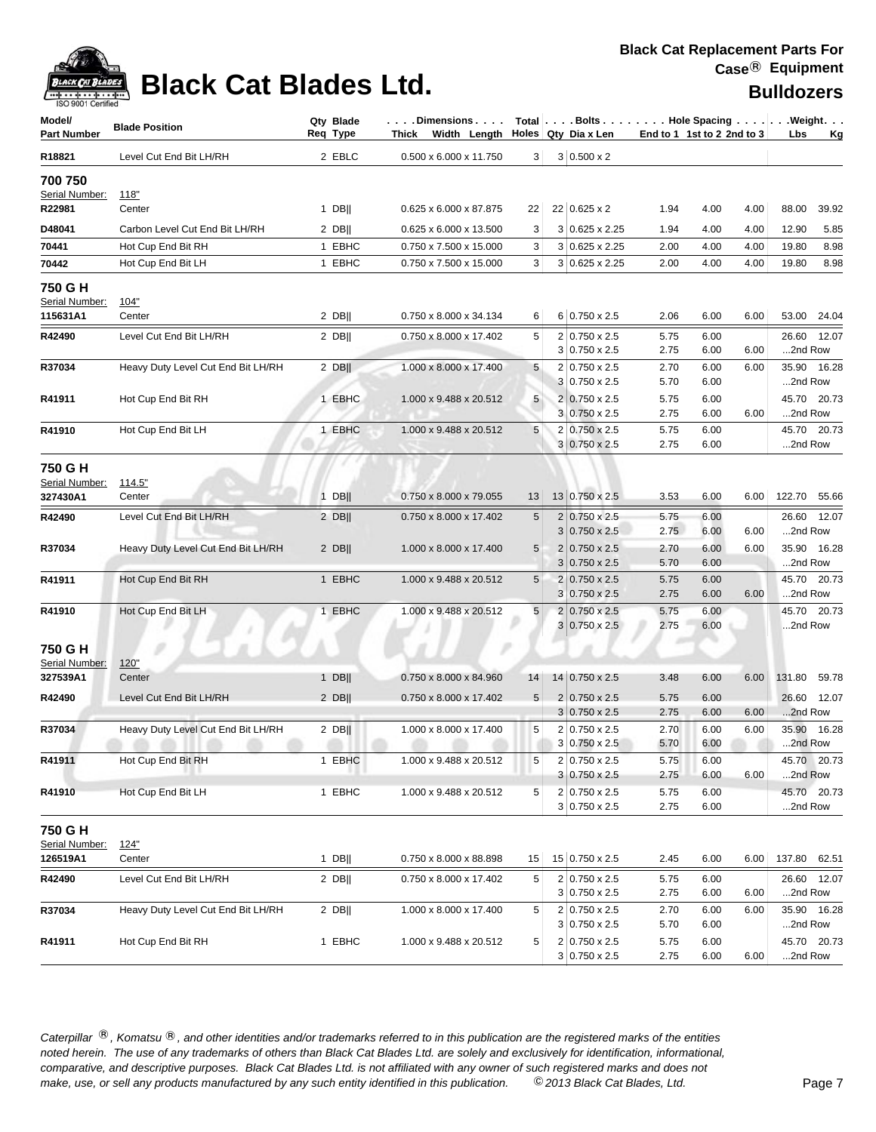

| <b>IOO SUU LOBITIIED</b><br>Model/<br><b>Part Number</b> | <b>Blade Position</b>              | Qty Blade<br>Req Type | Dimensions<br>Thick Width Length   |                 |   | Total   Bolts   Hole Spacing   Weight.<br>Holes Qty Dia x Len | End to 1 1st to 2 2nd to 3 |              |      | Lbs              | Кg          |
|----------------------------------------------------------|------------------------------------|-----------------------|------------------------------------|-----------------|---|---------------------------------------------------------------|----------------------------|--------------|------|------------------|-------------|
| R18821                                                   | Level Cut End Bit LH/RH            | 2 EBLC                | $0.500 \times 6.000 \times 11.750$ | 3 <sup>2</sup>  |   | $3 0.500 \times 2$                                            |                            |              |      |                  |             |
| 700 750<br>Serial Number:                                | 118"                               |                       |                                    |                 |   |                                                               |                            |              |      |                  |             |
| R22981                                                   | Center                             | 1 DB                  | 0.625 x 6.000 x 87.875             | 22              |   | 22 0.625 x 2                                                  | 1.94                       | 4.00         | 4.00 | 88.00            | 39.92       |
| D48041                                                   | Carbon Level Cut End Bit LH/RH     | $2$ DB                | 0.625 x 6.000 x 13.500             | 3               |   | 3 0.625 x 2.25                                                | 1.94                       | 4.00         | 4.00 | 12.90            | 5.85        |
| 70441                                                    | Hot Cup End Bit RH                 | 1 EBHC                | 0.750 x 7.500 x 15.000             | 3               |   | 3 0.625 x 2.25                                                | 2.00                       | 4.00         | 4.00 | 19.80            | 8.98        |
| 70442                                                    | Hot Cup End Bit LH                 | 1 EBHC                | 0.750 x 7.500 x 15.000             | 3               |   | 3 0.625 x 2.25                                                | 2.00                       | 4.00         | 4.00 | 19.80            | 8.98        |
| 750 G H<br>Serial Number:                                | 104"                               |                       |                                    |                 |   |                                                               |                            |              |      |                  |             |
| 115631A1                                                 | Center                             | $2$ DB                | 0.750 x 8.000 x 34.134             | 6               |   | $6 0.750 \times 2.5$                                          | 2.06                       | 6.00         | 6.00 | 53.00            | 24.04       |
| R42490                                                   | Level Cut End Bit LH/RH            | $2$ DB                | 0.750 x 8.000 x 17.402             | 5               |   | 2 0.750 x 2.5<br>$3 0.750 \times 2.5$                         | 5.75<br>2.75               | 6.00<br>6.00 | 6.00 | 26.60<br>2nd Row | 12.07       |
| R37034                                                   | Heavy Duty Level Cut End Bit LH/RH | $2$ DB                | 1.000 x 8.000 x 17.400             | 5               |   | 2 0.750 x 2.5                                                 | 2.70                       | 6.00         | 6.00 | 35.90            | 16.28       |
|                                                          |                                    |                       |                                    |                 |   | 3 0.750 x 2.5                                                 | 5.70                       | 6.00         |      | 2nd Row          |             |
| R41911                                                   | Hot Cup End Bit RH                 | 1 EBHC                | 1.000 x 9.488 x 20.512             | $5\phantom{.0}$ |   | 2 0.750 x 2.5                                                 | 5.75                       | 6.00         |      |                  | 45.70 20.73 |
|                                                          |                                    |                       |                                    |                 |   | $3 0.750 \times 2.5$                                          | 2.75                       | 6.00         | 6.00 | 2nd Row          |             |
| R41910                                                   | Hot Cup End Bit LH                 | 1 EBHC                | 1.000 x 9.488 x 20.512             | 5               |   | 2 0.750 x 2.5                                                 | 5.75                       | 6.00         |      |                  | 45.70 20.73 |
|                                                          |                                    |                       |                                    |                 |   | $3 0.750 \times 2.5$                                          | 2.75                       | 6.00         |      | 2nd Row          |             |
| 750 G H<br>Serial Number:                                | 114.5"                             |                       |                                    |                 |   |                                                               |                            |              |      |                  |             |
| 327430A1                                                 | Center                             | $1$ DB                | 0.750 x 8.000 x 79.055             | 13              |   | $13 0.750 \times 2.5$                                         | 3.53                       | 6.00         | 6.00 | 122.70           | 55.66       |
| R42490                                                   | Level Cut End Bit LH/RH            | $2$ DB                | 0.750 x 8.000 x 17.402             | 5               |   | 2 0.750 x 2.5<br>$3 0.750 \times 2.5$                         | 5.75<br>2.75               | 6.00<br>6.00 | 6.00 | 26.60<br>2nd Row | 12.07       |
| R37034                                                   | Heavy Duty Level Cut End Bit LH/RH | $2$ DB                | 1.000 x 8.000 x 17.400             | 5               |   | $2 0.750 \times 2.5$                                          | 2.70                       | 6.00         | 6.00 | 35.90            | 16.28       |
|                                                          |                                    |                       |                                    |                 |   | $3 0.750 \times 2.5$                                          | 5.70                       | 6.00         |      | 2nd Row          |             |
| R41911                                                   | Hot Cup End Bit RH                 | 1 EBHC                | 1.000 x 9.488 x 20.512             | 5               |   | $2 0.750 \times 2.5$<br>$3 0.750 \times 2.5$                  | 5.75<br>2.75               | 6.00<br>6.00 | 6.00 | 2nd Row          | 45.70 20.73 |
| R41910                                                   | Hot Cup End Bit LH                 | 1 EBHC                | 1.000 x 9.488 x 20.512             | 5 <sup>1</sup>  |   | $2 0.750 \times 2.5$                                          | 5.75                       | 6.00         |      |                  | 45.70 20.73 |
|                                                          |                                    |                       |                                    |                 | 3 | $0.750 \times 2.5$                                            | 2.75                       | 6.00         |      | 2nd Row          |             |
| 750 G H<br>Serial Number:                                | s<br>120"                          |                       |                                    |                 |   |                                                               |                            |              |      |                  |             |
| 327539A1                                                 | Center                             | $1$ DB                | 0.750 x 8.000 x 84.960             | 14              |   | 14 0.750 x 2.5                                                | 3.48                       | 6.00         | 6.00 | 131.80           | 59.78       |
| R42490                                                   | Level Cut End Bit LH/RH            | $2$ DB                | 0.750 x 8.000 x 17.402             | 5               |   | 2 0.750 x 2.5                                                 | 5.75                       | 6.00         |      |                  | 26.60 12.07 |
|                                                          |                                    |                       |                                    |                 |   | $3 0.750 \times 2.5$                                          | 2.75                       | 6.00         | 6.00 | 2nd Row          |             |
| R37034                                                   | Heavy Duty Level Cut End Bit LH/RH | $2$ DB                | 1.000 x 8.000 x 17.400             | 5               |   | 2 0.750 x 2.5                                                 | 2.70                       | 6.00         | 6.00 |                  | 35.90 16.28 |
|                                                          |                                    |                       |                                    |                 |   | $3 0.750 \times 2.5$                                          | 5.70                       | 6.00         |      | 2nd Row          |             |
| R41911                                                   | Hot Cup End Bit RH                 | 1 EBHC                | 1.000 x 9.488 x 20.512             | 5               |   | $2 0.750 \times 2.5$                                          | 5.75                       | 6.00         |      |                  | 45.70 20.73 |
|                                                          |                                    |                       |                                    |                 |   | $3 0.750 \times 2.5$                                          | 2.75                       | 6.00         | 6.00 | 2nd Row          |             |
| R41910                                                   | Hot Cup End Bit LH                 | 1 EBHC                | 1.000 x 9.488 x 20.512             | 5               |   | 2 0.750 x 2.5                                                 | 5.75                       | 6.00         |      |                  | 45.70 20.73 |
|                                                          |                                    |                       |                                    |                 |   | $3 0.750 \times 2.5$                                          | 2.75                       | 6.00         |      | 2nd Row          |             |
| 750 G H<br>Serial Number:                                | 124"                               |                       |                                    |                 |   |                                                               |                            |              |      |                  |             |
| 126519A1                                                 | Center                             | $1$ DB                | 0.750 x 8.000 x 88.898             | 15              |   | 15 0.750 x 2.5                                                | 2.45                       | 6.00         | 6.00 | 137.80 62.51     |             |
| R42490                                                   | Level Cut End Bit LH/RH            | $2$ DB                | 0.750 x 8.000 x 17.402             | 5               |   | $2 0.750 \times 2.5$                                          | 5.75                       | 6.00         |      |                  | 26.60 12.07 |
|                                                          |                                    |                       |                                    |                 |   | $3 0.750 \times 2.5$                                          | 2.75                       | 6.00         | 6.00 | 2nd Row          |             |
| R37034                                                   | Heavy Duty Level Cut End Bit LH/RH | $2$ DB                | 1.000 x 8.000 x 17.400             | 5               |   | 2 0.750 x 2.5                                                 | 2.70                       | 6.00         | 6.00 |                  | 35.90 16.28 |
|                                                          |                                    |                       |                                    |                 |   | $3 0.750 \times 2.5$                                          | 5.70                       | 6.00         |      | 2nd Row          |             |
| R41911                                                   | Hot Cup End Bit RH                 | 1 EBHC                | 1.000 x 9.488 x 20.512             | 5               |   | 2 0.750 x 2.5                                                 | 5.75                       | 6.00         |      |                  | 45.70 20.73 |
|                                                          |                                    |                       |                                    |                 |   | $3 0.750 \times 2.5$                                          | 2.75                       | 6.00         | 6.00 | 2nd Row          |             |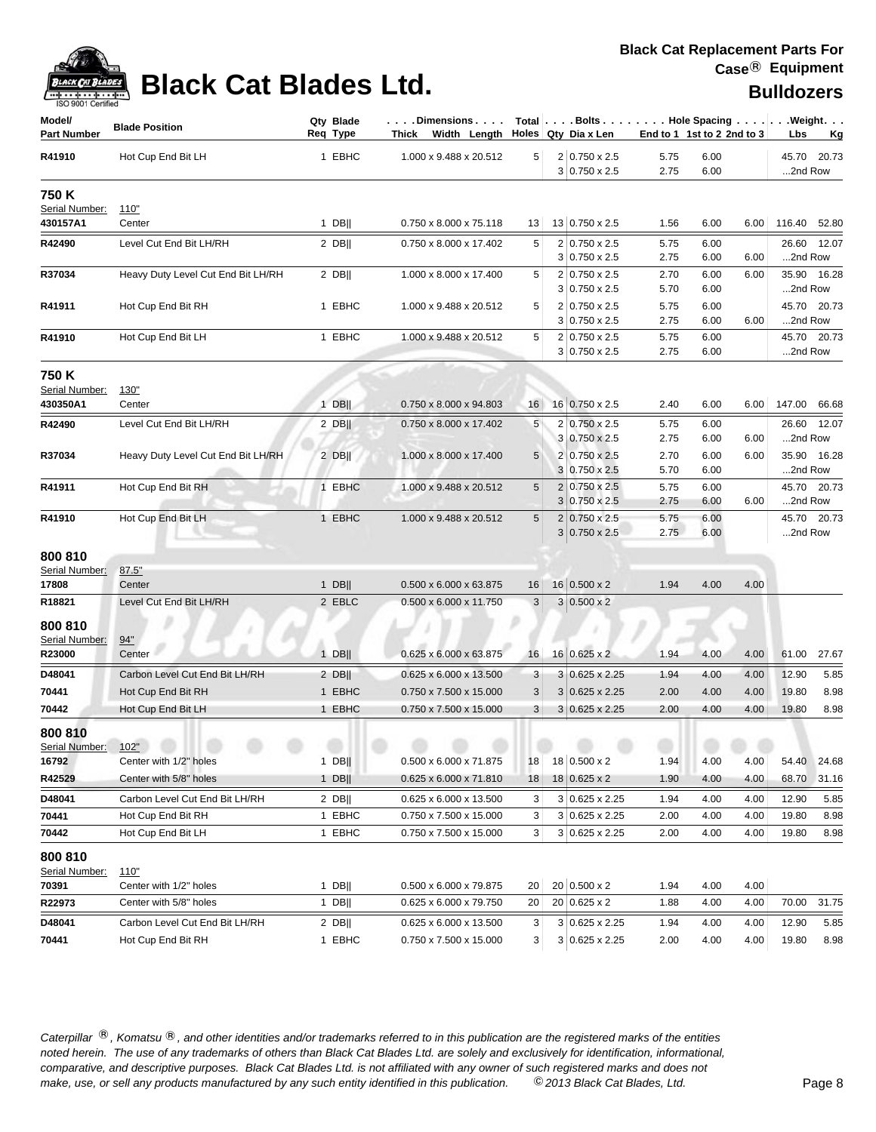

## **Black Cat Blades Ltd. Black Cat Blades Ltd. Black Cat Blades Ltd. Bulldozers**

| Model/<br><b>Part Number</b>   | <b>Blade Position</b>              | Qty Blade<br>Req Type |        | Dimensions   Total   Bolts    Hole Spacing     Weight<br>Thick Width Length $\vert$ Holes Qty Dia x Len |                 |                                               | End to 1 1st to 2 2nd to 3 |              |      | Lbs          | <u>Kg</u>   |
|--------------------------------|------------------------------------|-----------------------|--------|---------------------------------------------------------------------------------------------------------|-----------------|-----------------------------------------------|----------------------------|--------------|------|--------------|-------------|
| R41910                         | Hot Cup End Bit LH                 |                       | 1 EBHC | 1.000 x 9.488 x 20.512                                                                                  | 5               | $2 0.750 \times 2.5$<br>3 0.750 x 2.5         | 5.75<br>2.75               | 6.00<br>6.00 |      | 2nd Row      | 45.70 20.73 |
| 750 K<br>Serial Number:        | 110"                               |                       |        |                                                                                                         |                 |                                               |                            |              |      |              |             |
| 430157A1                       | Center                             | $1$ DB                |        | 0.750 x 8.000 x 75.118                                                                                  | 13              | 13 0.750 x 2.5                                | 1.56                       | 6.00         | 6.00 | 116.40 52.80 |             |
| R42490                         | Level Cut End Bit LH/RH            | $2$ DB                |        | 0.750 x 8.000 x 17.402                                                                                  | 5               | 2 0.750 x 2.5                                 | 5.75                       | 6.00         |      |              | 26.60 12.07 |
|                                |                                    |                       |        |                                                                                                         |                 | $3 0.750 \times 2.5$                          | 2.75                       | 6.00         | 6.00 | 2nd Row      |             |
| R37034                         | Heavy Duty Level Cut End Bit LH/RH | $2$ DB                |        | 1.000 x 8.000 x 17.400                                                                                  | 5               | 2 0.750 x 2.5                                 | 2.70                       | 6.00         | 6.00 |              | 35.90 16.28 |
| R41911                         | Hot Cup End Bit RH                 |                       | 1 EBHC | 1.000 x 9.488 x 20.512                                                                                  | 5               | $3 0.750 \times 2.5$<br>2 0.750 x 2.5         | 5.70<br>5.75               | 6.00<br>6.00 |      | 2nd Row      | 45.70 20.73 |
|                                |                                    |                       |        |                                                                                                         |                 | $3 0.750 \times 2.5$                          | 2.75                       | 6.00         | 6.00 | 2nd Row      |             |
| R41910                         | Hot Cup End Bit LH                 |                       | 1 EBHC | 1.000 x 9.488 x 20.512                                                                                  | 5               | 2 0.750 x 2.5                                 | 5.75                       | 6.00         |      |              | 45.70 20.73 |
|                                |                                    |                       |        |                                                                                                         |                 | $3 0.750 \times 2.5$                          | 2.75                       | 6.00         |      | 2nd Row      |             |
| 750 K                          |                                    |                       |        |                                                                                                         |                 |                                               |                            |              |      |              |             |
| Serial Number:                 | 130"                               |                       |        |                                                                                                         |                 |                                               |                            |              |      |              |             |
| 430350A1                       | Center                             | $1$ DB                |        | 0.750 x 8.000 x 94.803                                                                                  | 16              | 16 0.750 x 2.5                                | 2.40                       | 6.00         | 6.00 | 147.00 66.68 |             |
| R42490                         | Level Cut End Bit LH/RH            | $2$ DB                |        | $0.750 \times 8.000 \times 17.402$                                                                      | 5               | 2 0.750 x 2.5                                 | 5.75                       | 6.00         |      |              | 26.60 12.07 |
|                                |                                    |                       |        |                                                                                                         |                 | $3 0.750 \times 2.5$                          | 2.75                       | 6.00         | 6.00 | 2nd Row      |             |
| R37034                         | Heavy Duty Level Cut End Bit LH/RH | 2 DB                  |        | 1.000 x 8.000 x 17.400                                                                                  | $5\phantom{.0}$ | 2 0.750 x 2.5                                 | 2.70                       | 6.00         | 6.00 |              | 35.90 16.28 |
|                                |                                    |                       |        |                                                                                                         |                 | 3 0.750 x 2.5                                 | 5.70                       | 6.00         |      | 2nd Row      |             |
| R41911                         | Hot Cup End Bit RH                 |                       | 1 EBHC | 1.000 x 9.488 x 20.512                                                                                  | $5\phantom{.0}$ | $2 0.750 \times 2.5 $<br>$3 0.750 \times 2.5$ | 5.75<br>2.75               | 6.00<br>6.00 | 6.00 | 2nd Row      | 45.70 20.73 |
| R41910                         | Hot Cup End Bit LH                 |                       | 1 EBHC | 1.000 x 9.488 x 20.512                                                                                  | 5               | 2 0.750 x 2.5                                 | 5.75                       | 6.00         |      |              | 45.70 20.73 |
|                                |                                    |                       |        |                                                                                                         |                 | $3 0.750 \times 2.5$                          | 2.75                       | 6.00         |      | 2nd Row      |             |
|                                |                                    |                       |        |                                                                                                         |                 |                                               |                            |              |      |              |             |
| 800 810<br>Serial Number:      | 87.5"                              |                       |        |                                                                                                         |                 |                                               |                            |              |      |              |             |
| 17808                          | Center                             | $1$ DB                |        | $0.500 \times 6.000 \times 63.875$                                                                      | 16              | 16 0.500 x 2                                  | 1.94                       | 4.00         | 4.00 |              |             |
| R18821                         | Level Cut End Bit LH/RH            |                       | 2 EBLC | 0.500 x 6.000 x 11.750                                                                                  | 3               | $3 0.500 \times 2$                            |                            |              |      |              |             |
| 800 810<br>Serial Number:      | 94"                                |                       |        |                                                                                                         |                 |                                               |                            |              |      |              |             |
| R23000                         | Center                             | $1$ DB                |        | 0.625 x 6.000 x 63.875                                                                                  | 16              | $16 0.625 \times 2$                           | 1.94                       | 4.00         | 4.00 | 61.00        | 27.67       |
| D48041                         | Carbon Level Cut End Bit LH/RH     | $2$ DB                |        | 0.625 x 6.000 x 13.500                                                                                  | 3               | $3 0.625 \times 2.25$                         | 1.94                       | 4.00         | 4.00 | 12.90        | 5.85        |
| 70441                          | Hot Cup End Bit RH                 |                       | 1 EBHC | 0.750 x 7.500 x 15.000                                                                                  | 3               | $3 0.625 \times 2.25$                         | 2.00                       | 4.00         | 4.00 | 19.80        | 8.98        |
| 70442                          | Hot Cup End Bit LH                 |                       | 1 EBHC | 0.750 x 7.500 x 15.000                                                                                  | 3 <sup>1</sup>  | $3 0.625 \times 2.25$                         | 2.00                       | 4.00         | 4.00 | 19.80        | 8.98        |
| 800 810<br>Serial Number: 102" |                                    |                       |        |                                                                                                         |                 |                                               |                            |              |      |              |             |
| 16792<br>R42529                | Center with 1/2" holes             | $1$ DB                |        | 0.500 x 6.000 x 71.875                                                                                  | 18              | $18$ 0.500 x 2                                | 1.94                       | 4.00         | 4.00 |              | 54.40 24.68 |
|                                | Center with 5/8" holes             | 1 DB                  |        | 0.625 x 6.000 x 71.810                                                                                  | 18              | $18 0.625 \times 2$                           | 1.90                       | 4.00         | 4.00 | 68.70        | 31.16       |
| D48041                         | Carbon Level Cut End Bit LH/RH     | $2$ DB                |        | 0.625 x 6.000 x 13.500                                                                                  | 3               | 3 0.625 x 2.25                                | 1.94                       | 4.00         | 4.00 | 12.90        | 5.85        |
| 70441                          | Hot Cup End Bit RH                 |                       | 1 EBHC | 0.750 x 7.500 x 15.000                                                                                  | 3               | $3 0.625 \times 2.25$                         | 2.00                       | 4.00         | 4.00 | 19.80        | 8.98        |
| 70442                          | Hot Cup End Bit LH                 |                       | 1 EBHC | 0.750 x 7.500 x 15.000                                                                                  | 3               | $3 0.625 \times 2.25$                         | 2.00                       | 4.00         | 4.00 | 19.80        | 8.98        |
| 800 810<br>Serial Number:      | 110"                               |                       |        |                                                                                                         |                 |                                               |                            |              |      |              |             |
| 70391                          | Center with 1/2" holes             | $1$ DB                |        | $0.500 \times 6.000 \times 79.875$                                                                      | 20              | 20 0.500 x 2                                  | 1.94                       | 4.00         | 4.00 |              |             |
| R22973                         | Center with 5/8" holes             | 1 DB                  |        | 0.625 x 6.000 x 79.750                                                                                  | 20              | 20   0.625 x 2                                | 1.88                       | 4.00         | 4.00 | 70.00        | 31.75       |
| D48041                         | Carbon Level Cut End Bit LH/RH     | $2$ DB                |        | 0.625 x 6.000 x 13.500                                                                                  | 3               | 3 0.625 x 2.25                                | 1.94                       | 4.00         | 4.00 | 12.90        | 5.85        |
| 70441                          | Hot Cup End Bit RH                 |                       | 1 EBHC | 0.750 x 7.500 x 15.000                                                                                  | 3               | $3 0.625 \times 2.25$                         | 2.00                       | 4.00         | 4.00 | 19.80        | 8.98        |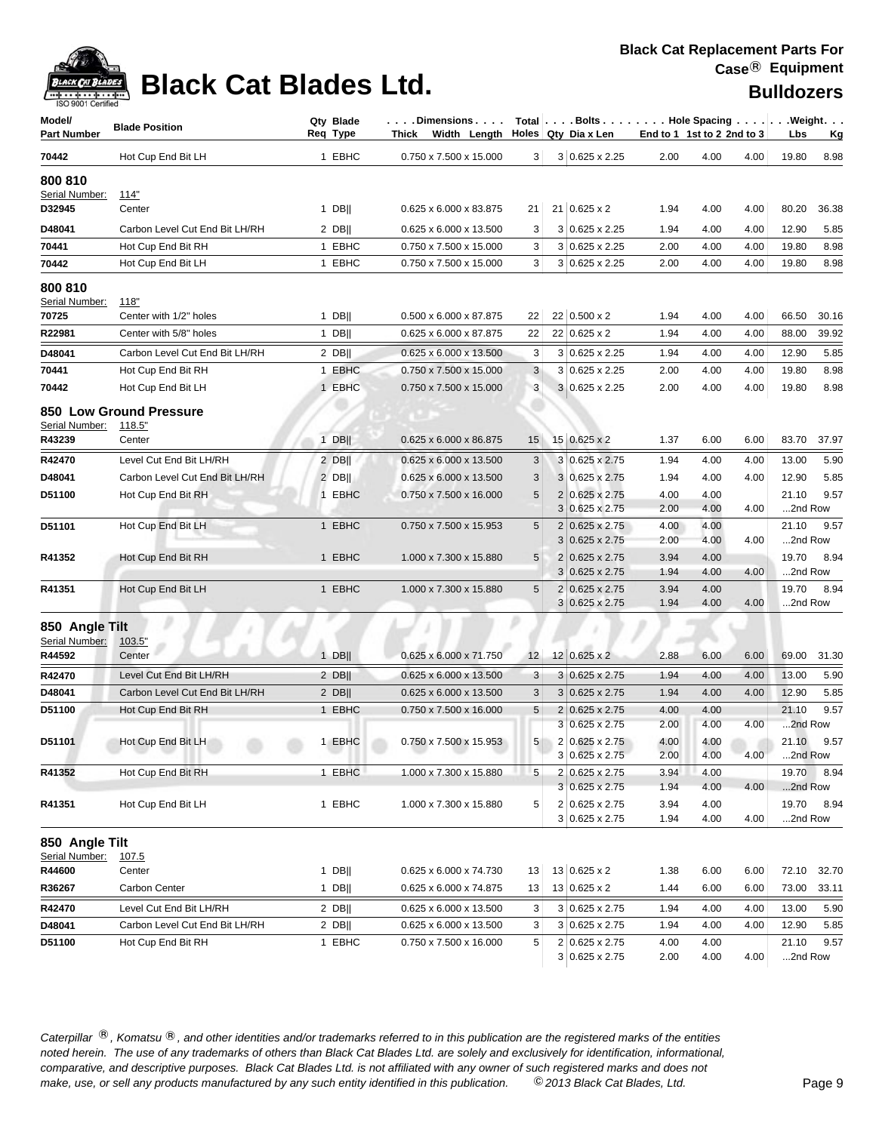

| Model/<br><b>Part Number</b>               | <b>Blade Position</b>             | Qty Blade<br>Req Type | .Dimensions<br>Thick Width Length  |                | Total   Bolts Hole Spacing Weight.<br>Holes Qty Dia x Len | End to 1 1st to 2 2nd to 3 |              |      | Lbs              | <u>Kg</u> |
|--------------------------------------------|-----------------------------------|-----------------------|------------------------------------|----------------|-----------------------------------------------------------|----------------------------|--------------|------|------------------|-----------|
| 70442                                      | Hot Cup End Bit LH                | 1 EBHC                | 0.750 x 7.500 x 15.000             | 3 <sup>1</sup> | 3 0.625 x 2.25                                            | 2.00                       | 4.00         | 4.00 | 19.80            | 8.98      |
| 800 810                                    |                                   |                       |                                    |                |                                                           |                            |              |      |                  |           |
| Serial Number:                             | <u>114"</u>                       |                       |                                    |                |                                                           |                            |              |      |                  |           |
| D32945                                     | Center                            | $1$ DB                | 0.625 x 6.000 x 83.875             | 21             | 21 0.625 x 2                                              | 1.94                       | 4.00         | 4.00 | 80.20            | 36.38     |
| D48041                                     | Carbon Level Cut End Bit LH/RH    | $2$ DB                | 0.625 x 6.000 x 13.500             | 3              | $3 0.625 \times 2.25$                                     | 1.94                       | 4.00         | 4.00 | 12.90            | 5.85      |
| 70441                                      | Hot Cup End Bit RH                | 1 EBHC                | 0.750 x 7.500 x 15.000             | 3              | $3 0.625 \times 2.25$                                     | 2.00                       | 4.00         | 4.00 | 19.80            | 8.98      |
| 70442                                      | Hot Cup End Bit LH                | 1 EBHC                | 0.750 x 7.500 x 15.000             | 3              | 3 0.625 x 2.25                                            | 2.00                       | 4.00         | 4.00 | 19.80            | 8.98      |
| 800 810<br>Serial Number:                  | 118"                              |                       |                                    |                |                                                           |                            |              |      |                  |           |
| 70725                                      | Center with 1/2" holes            | $1$ DB                | 0.500 x 6.000 x 87.875             | 22             | 22 0.500 x 2                                              | 1.94                       | 4.00         | 4.00 | 66.50            | 30.16     |
| R22981                                     | Center with 5/8" holes            | $1$ DB                | 0.625 x 6.000 x 87.875             | 22             | 22 0.625 x 2                                              | 1.94                       | 4.00         | 4.00 | 88.00            | 39.92     |
| D48041                                     | Carbon Level Cut End Bit LH/RH    | $2$ DB                | $0.625 \times 6.000 \times 13.500$ | 3              | $3 0.625 \times 2.25$                                     | 1.94                       | 4.00         | 4.00 | 12.90            | 5.85      |
| 70441                                      | Hot Cup End Bit RH                | 1 EBHC                | 0.750 x 7.500 x 15.000             | 3              | 3 0.625 x 2.25                                            | 2.00                       | 4.00         | 4.00 | 19.80            | 8.98      |
| 70442                                      | Hot Cup End Bit LH                | 1 EBHC                | 0.750 x 7.500 x 15.000             | 3              | 3 0.625 x 2.25                                            | 2.00                       | 4.00         | 4.00 | 19.80            | 8.98      |
|                                            |                                   |                       |                                    |                |                                                           |                            |              |      |                  |           |
| Serial Number:                             | 850 Low Ground Pressure<br>118.5" |                       |                                    |                |                                                           |                            |              |      |                  |           |
| R43239                                     | Center                            | $1$ DB                | 0.625 x 6.000 x 86.875             | 15             | 15 0.625 x 2                                              | 1.37                       | 6.00         | 6.00 | 83.70            | 37.97     |
| R42470                                     | Level Cut End Bit LH/RH           | $2$ DB                | 0.625 x 6.000 x 13.500             | 3              | 3 0.625 x 2.75                                            | 1.94                       | 4.00         | 4.00 | 13.00            | 5.90      |
| D48041                                     | Carbon Level Cut End Bit LH/RH    | $2$ DB                | 0.625 x 6.000 x 13.500             | 3              | 3 0.625 x 2.75                                            | 1.94                       | 4.00         | 4.00 | 12.90            | 5.85      |
| D51100                                     | Hot Cup End Bit RH                | 1 EBHC                | 0.750 x 7.500 x 16.000             | 5              | 2 0.625 x 2.75                                            | 4.00                       | 4.00         |      | 21.10            | 9.57      |
|                                            |                                   |                       |                                    |                | $3 0.625 \times 2.75$                                     | 2.00                       | 4.00         | 4.00 | 2nd Row          |           |
| D51101                                     | Hot Cup End Bit LH                | 1 EBHC                | 0.750 x 7.500 x 15.953             | 5              | $2 0.625 \times 2.75$                                     | 4.00                       | 4.00         |      | 21.10            | 9.57      |
|                                            |                                   |                       |                                    |                | $3 0.625 \times 2.75$                                     | 2.00                       | 4.00         | 4.00 | 2nd Row          |           |
| R41352                                     | Hot Cup End Bit RH                | 1 EBHC                | 1.000 x 7.300 x 15.880             | 5              | $2 0.625 \times 2.75$<br>$3 0.625 \times 2.75$            | 3.94<br>1.94               | 4.00<br>4.00 | 4.00 | 19.70<br>2nd Row | 8.94      |
| R41351                                     | Hot Cup End Bit LH                | 1 EBHC                | 1.000 x 7.300 x 15.880             | 5              | 2 0.625 x 2.75                                            | 3.94                       | 4.00         |      | 19.70            | 8.94      |
|                                            |                                   |                       |                                    |                | $3 0.625 \times 2.75$                                     | 1.94                       | 4.00         | 4.00 | 2nd Row          |           |
| 850 Angle Tilt<br>Serial Number:<br>R44592 | 103.5"<br>Center                  | $1$ DB                | 0.625 x 6.000 x 71.750             | 12             | 12   0.625 x 2                                            | 2.88                       | 6.00         | 6.00 | 69.00            | 31.30     |
| R42470                                     | Level Cut End Bit LH/RH           | $2$ DB                | 0.625 x 6.000 x 13.500             | 3              | 3 0.625 x 2.75                                            | 1.94                       | 4.00         | 4.00 | 13.00            | 5.90      |
| D48041                                     | Carbon Level Cut End Bit LH/RH    | $2$ DB                | 0.625 x 6.000 x 13.500             | 3              | $3 0.625 \times 2.75$                                     | 1.94                       | 4.00         | 4.00 | 12.90            | 5.85      |
| D51100                                     | Hot Cup End Bit RH                | 1 EBHC                | 0.750 x 7.500 x 16.000             | 5              | $2 0.625 \times 2.75$                                     | 4.00                       | 4.00         |      | 21.10            | 9.57      |
|                                            |                                   |                       |                                    |                | 3 0.625 x 2.75                                            | 2.00                       | 4.00         | 4.00 | 2nd Row          |           |
| D51101                                     | Hot Cup End Bit LH<br>$\sim$      | 1 EBHC                | 0.750 x 7.500 x 15.953             | 5              | 2 0.625 x 2.75<br>3 0.625 x 2.75                          | 4.00<br>2.00               | 4.00<br>4.00 | 4.00 | 21.10<br>2nd Row | 9.57      |
| R41352                                     | Hot Cup End Bit RH                | 1 EBHC                | 1.000 x 7.300 x 15.880             | 5              | 2 0.625 x 2.75                                            | 3.94                       | 4.00         |      | 19.70            | 8.94      |
|                                            |                                   |                       |                                    |                | $3 0.625 \times 2.75$                                     | 1.94                       | 4.00         | 4.00 | 2nd Row          |           |
| R41351                                     | Hot Cup End Bit LH                | 1 EBHC                | 1.000 x 7.300 x 15.880             | 5              | 2 0.625 x 2.75                                            | 3.94                       | 4.00         |      | 19.70            | 8.94      |
|                                            |                                   |                       |                                    |                | $3 0.625 \times 2.75$                                     | 1.94                       | 4.00         | 4.00 | 2nd Row          |           |
| 850 Angle Tilt<br>Serial Number:<br>R44600 | 107.5<br>Center                   | 1 DB $  $             | 0.625 x 6.000 x 74.730             | 13             | 13 0.625 x 2                                              | 1.38                       | 6.00         | 6.00 | 72.10            | 32.70     |
| R36267                                     | Carbon Center                     | 1 DB                  | 0.625 x 6.000 x 74.875             | 13             | 13 0.625 x 2                                              | 1.44                       | 6.00         | 6.00 | 73.00            | 33.11     |
| R42470                                     | Level Cut End Bit LH/RH           | $2$ DB                | 0.625 x 6.000 x 13.500             | 3              | 3 0.625 x 2.75                                            | 1.94                       | 4.00         | 4.00 | 13.00            | 5.90      |
| D48041                                     | Carbon Level Cut End Bit LH/RH    | $2$ DB                | 0.625 x 6.000 x 13.500             | 3              | 3 0.625 x 2.75                                            | 1.94                       | 4.00         | 4.00 | 12.90            | 5.85      |
| D51100                                     | Hot Cup End Bit RH                | 1 EBHC                | 0.750 x 7.500 x 16.000             | 5              | 2 0.625 x 2.75                                            | 4.00                       | 4.00         |      | 21.10            | 9.57      |
|                                            |                                   |                       |                                    |                | $3 0.625 \times 2.75$                                     | 2.00                       | 4.00         | 4.00 | 2nd Row          |           |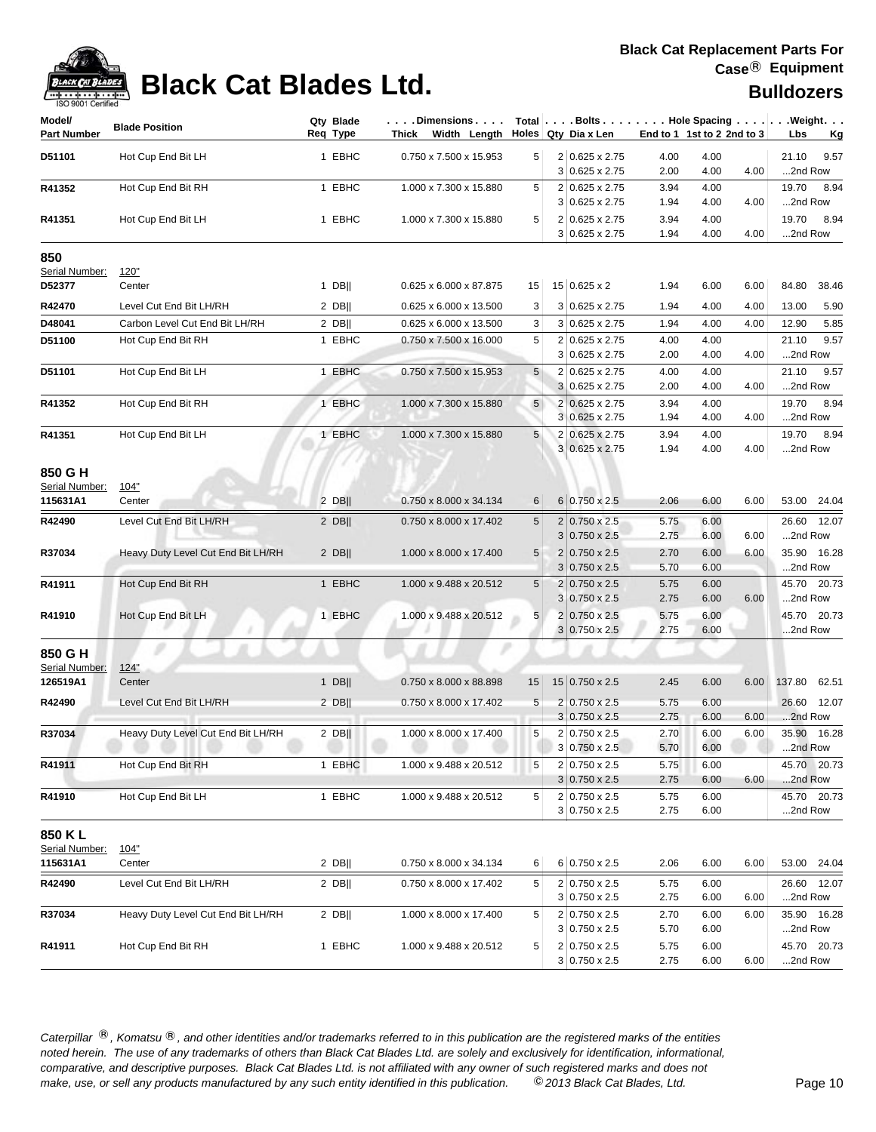

| Model/                   | <b>Blade Position</b>              | Qty Blade |  | $\ldots$ .Dimensions   |                 |                | Total $\vert \ldots$ Bolts $\ldots \vert \ldots$ Hole Spacing $\ldots \vert \ldots$ Weight. $\ldots$ |              |                            |      |         |             |
|--------------------------|------------------------------------|-----------|--|------------------------|-----------------|----------------|------------------------------------------------------------------------------------------------------|--------------|----------------------------|------|---------|-------------|
| <b>Part Number</b>       |                                    | Req Type  |  | Thick Width Length     |                 |                | Holes Qty Dia x Len                                                                                  |              | End to 1 1st to 2 2nd to 3 |      | Lbs     | <u>Kg</u>   |
| D51101                   | Hot Cup End Bit LH                 | 1 EBHC    |  | 0.750 x 7.500 x 15.953 | 5               |                | 2 0.625 x 2.75                                                                                       | 4.00         | 4.00                       |      | 21.10   | 9.57        |
|                          |                                    |           |  |                        |                 |                | $3 0.625 \times 2.75$                                                                                | 2.00         | 4.00                       | 4.00 | 2nd Row |             |
| R41352                   | Hot Cup End Bit RH                 | 1 EBHC    |  | 1.000 x 7.300 x 15.880 | 5               |                | 2 0.625 x 2.75                                                                                       | 3.94         | 4.00                       |      | 19.70   | 8.94        |
|                          |                                    |           |  |                        |                 |                | $3 0.625 \times 2.75$                                                                                | 1.94         | 4.00                       | 4.00 | 2nd Row |             |
| R41351                   | Hot Cup End Bit LH                 | 1 EBHC    |  | 1.000 x 7.300 x 15.880 | 5               |                | 2 0.625 x 2.75                                                                                       | 3.94         | 4.00                       |      | 19.70   | 8.94        |
|                          |                                    |           |  |                        |                 |                | $3 0.625 \times 2.75$                                                                                | 1.94         | 4.00                       | 4.00 | 2nd Row |             |
| 850                      |                                    |           |  |                        |                 |                |                                                                                                      |              |                            |      |         |             |
| Serial Number:           | <u>120"</u>                        |           |  |                        |                 |                |                                                                                                      |              |                            |      |         |             |
| D52377                   | Center                             | $1$ DB    |  | 0.625 x 6.000 x 87.875 | 15              |                | 15 0.625 x 2                                                                                         | 1.94         | 6.00                       | 6.00 | 84.80   | 38.46       |
| R42470                   | Level Cut End Bit LH/RH            | $2$ DB    |  | 0.625 x 6.000 x 13.500 | 3               |                | $3 0.625 \times 2.75$                                                                                | 1.94         | 4.00                       | 4.00 | 13.00   | 5.90        |
| D48041                   | Carbon Level Cut End Bit LH/RH     | $2$ DB    |  | 0.625 x 6.000 x 13.500 | 3               |                | $3 0.625 \times 2.75$                                                                                | 1.94         | 4.00                       | 4.00 | 12.90   | 5.85        |
| D51100                   | Hot Cup End Bit RH                 | 1 EBHC    |  | 0.750 x 7.500 x 16.000 | 5               |                | 2 0.625 x 2.75                                                                                       | 4.00         | 4.00                       |      | 21.10   | 9.57        |
|                          |                                    |           |  |                        |                 |                | $3 0.625 \times 2.75$                                                                                | 2.00         | 4.00                       | 4.00 | 2nd Row |             |
| D51101                   | Hot Cup End Bit LH                 | 1 EBHC    |  | 0.750 x 7.500 x 15.953 | 5               |                | 2 0.625 x 2.75                                                                                       | 4.00         | 4.00                       |      | 21.10   | 9.57        |
|                          |                                    |           |  |                        |                 |                | 3 0.625 x 2.75                                                                                       | 2.00         | 4.00                       | 4.00 | 2nd Row |             |
| R41352                   | Hot Cup End Bit RH                 | 1 EBHC    |  | 1.000 x 7.300 x 15.880 | $5\phantom{.0}$ |                | 2 0.625 x 2.75                                                                                       | 3.94         | 4.00                       |      | 19.70   | 8.94        |
|                          |                                    |           |  |                        |                 | 3              | $0.625 \times 2.75$                                                                                  | 1.94         | 4.00                       | 4.00 | 2nd Row |             |
| R41351                   | Hot Cup End Bit LH                 | 1 EBHC    |  | 1.000 x 7.300 x 15.880 | $\sqrt{5}$      |                | 2 0.625 x 2.75                                                                                       | 3.94         | 4.00                       |      | 19.70   | 8.94        |
|                          |                                    |           |  |                        |                 |                | $3 0.625 \times 2.75$                                                                                | 1.94         | 4.00                       | 4.00 | 2nd Row |             |
| 850 G H                  |                                    |           |  |                        |                 |                |                                                                                                      |              |                            |      |         |             |
| Serial Number:           | 104"                               |           |  |                        |                 |                |                                                                                                      |              |                            |      |         |             |
| 115631A1                 | Center                             | $2$ DB    |  | 0.750 x 8.000 x 34.134 | 6               |                | $6 0.750 \times 2.5$                                                                                 | 2.06         | 6.00                       | 6.00 |         | 53.00 24.04 |
| R42490                   | Level Cut End Bit LH/RH            | $2$ DB    |  | 0.750 x 8.000 x 17.402 | 5               |                | $2 0.750 \times 2.5$                                                                                 | 5.75         | 6.00                       |      |         | 26.60 12.07 |
|                          |                                    |           |  |                        |                 |                | $3 0.750 \times 2.5$                                                                                 | 2.75         | 6.00                       | 6.00 | 2nd Row |             |
| R37034                   | Heavy Duty Level Cut End Bit LH/RH | $2$ DB    |  | 1.000 x 8.000 x 17.400 | 5               |                | $2 0.750 \times 2.5$                                                                                 | 2.70         | 6.00                       | 6.00 |         | 35.90 16.28 |
|                          |                                    |           |  |                        |                 |                | $3 0.750 \times 2.5$                                                                                 | 5.70         | 6.00                       |      | 2nd Row |             |
| R41911                   | Hot Cup End Bit RH                 | 1 EBHC    |  | 1.000 x 9.488 x 20.512 | 5               | 2              | $0.750 \times 2.5$                                                                                   | 5.75         | 6.00                       |      |         | 45.70 20.73 |
|                          |                                    |           |  |                        |                 | 3              | $0.750 \times 2.5$                                                                                   | 2.75         | 6.00                       | 6.00 | 2nd Row |             |
| R41910                   | Hot Cup End Bit LH                 | 1 EBHC    |  | 1.000 x 9.488 x 20.512 | 5               |                | $2 0.750 \times 2.5$                                                                                 | 5.75         | 6.00                       |      |         | 45.70 20.73 |
|                          |                                    |           |  |                        |                 | 3              | $0.750 \times 2.5$                                                                                   | 2.75         | 6.00                       |      | 2nd Row |             |
| 850 G H                  |                                    |           |  |                        |                 |                |                                                                                                      |              |                            |      |         |             |
| Serial Number:           | 124"                               |           |  |                        |                 |                |                                                                                                      |              |                            |      |         |             |
| 126519A1                 | Center                             | $1$ DB    |  | 0.750 x 8.000 x 88.898 | 15              |                | 15 0.750 x 2.5                                                                                       | 2.45         | 6.00                       | 6.00 | 137.80  | 62.51       |
| R42490                   | Level Cut End Bit LH/RH            | $2$ DB    |  | 0.750 x 8.000 x 17.402 | $\overline{5}$  | $\overline{c}$ | $0.750 \times 2.5$                                                                                   | 5.75         | 6.00                       |      |         | 26.60 12.07 |
|                          |                                    |           |  |                        |                 |                | $3 0.750 \times 2.5$                                                                                 | 2.75         | 6.00                       | 6.00 | 2nd Row |             |
| R37034                   | Heavy Duty Level Cut End Bit LH/RH | $2$ DB    |  | 1.000 x 8.000 x 17.400 | 5               |                | 2 0.750 x 2.5                                                                                        | 2.70         | 6.00                       | 6.00 |         | 35.90 16.28 |
|                          |                                    |           |  |                        |                 |                | $3 0.750 \times 2.5 $                                                                                | 5.70         | 6.00                       |      | 2nd Row |             |
| R41911                   | Hot Cup End Bit RH                 | 1 EBHC    |  | 1.000 x 9.488 x 20.512 | 5               |                | $2 0.750 \times 2.5$                                                                                 | 5.75         | 6.00                       |      |         | 45.70 20.73 |
|                          |                                    |           |  |                        |                 |                | $3 0.750 \times 2.5$                                                                                 | 2.75         | 6.00                       | 6.00 | 2nd Row |             |
| R41910                   | Hot Cup End Bit LH                 | 1 EBHC    |  | 1.000 x 9.488 x 20.512 | 5               |                | $2 0.750 \times 2.5$                                                                                 | 5.75         | 6.00                       |      |         | 45.70 20.73 |
|                          |                                    |           |  |                        |                 |                | $3 0.750 \times 2.5$                                                                                 | 2.75         | 6.00                       |      | 2nd Row |             |
|                          |                                    |           |  |                        |                 |                |                                                                                                      |              |                            |      |         |             |
| 850 KL<br>Serial Number: | 104"                               |           |  |                        |                 |                |                                                                                                      |              |                            |      |         |             |
| 115631A1                 | Center                             | $2$ DB    |  | 0.750 x 8.000 x 34.134 | 6               |                | 6 0.750 x 2.5                                                                                        | 2.06         | 6.00                       | 6.00 |         | 53.00 24.04 |
|                          |                                    |           |  |                        |                 |                |                                                                                                      |              |                            |      |         |             |
| R42490                   | Level Cut End Bit LH/RH            | $2$ DB    |  | 0.750 x 8.000 x 17.402 | 5               |                | $2 0.750 \times 2.5$<br>$3 0.750 \times 2.5$                                                         | 5.75         | 6.00                       |      |         | 26.60 12.07 |
|                          |                                    |           |  |                        |                 |                |                                                                                                      | 2.75         | 6.00                       | 6.00 | 2nd Row |             |
| R37034                   | Heavy Duty Level Cut End Bit LH/RH | $2$ DB    |  | 1.000 x 8.000 x 17.400 | 5               |                | $2 0.750 \times 2.5$<br>$3 0.750 \times 2.5$                                                         | 2.70         | 6.00                       | 6.00 |         | 35.90 16.28 |
|                          |                                    |           |  |                        |                 |                |                                                                                                      | 5.70         | 6.00                       |      | 2nd Row |             |
| R41911                   | Hot Cup End Bit RH                 | 1 EBHC    |  | 1.000 x 9.488 x 20.512 | 5               |                | $2 0.750 \times 2.5$                                                                                 | 5.75<br>2.75 | 6.00<br>6.00               | 6.00 | 2nd Row | 45.70 20.73 |
|                          |                                    |           |  |                        |                 |                | $3 0.750 \times 2.5$                                                                                 |              |                            |      |         |             |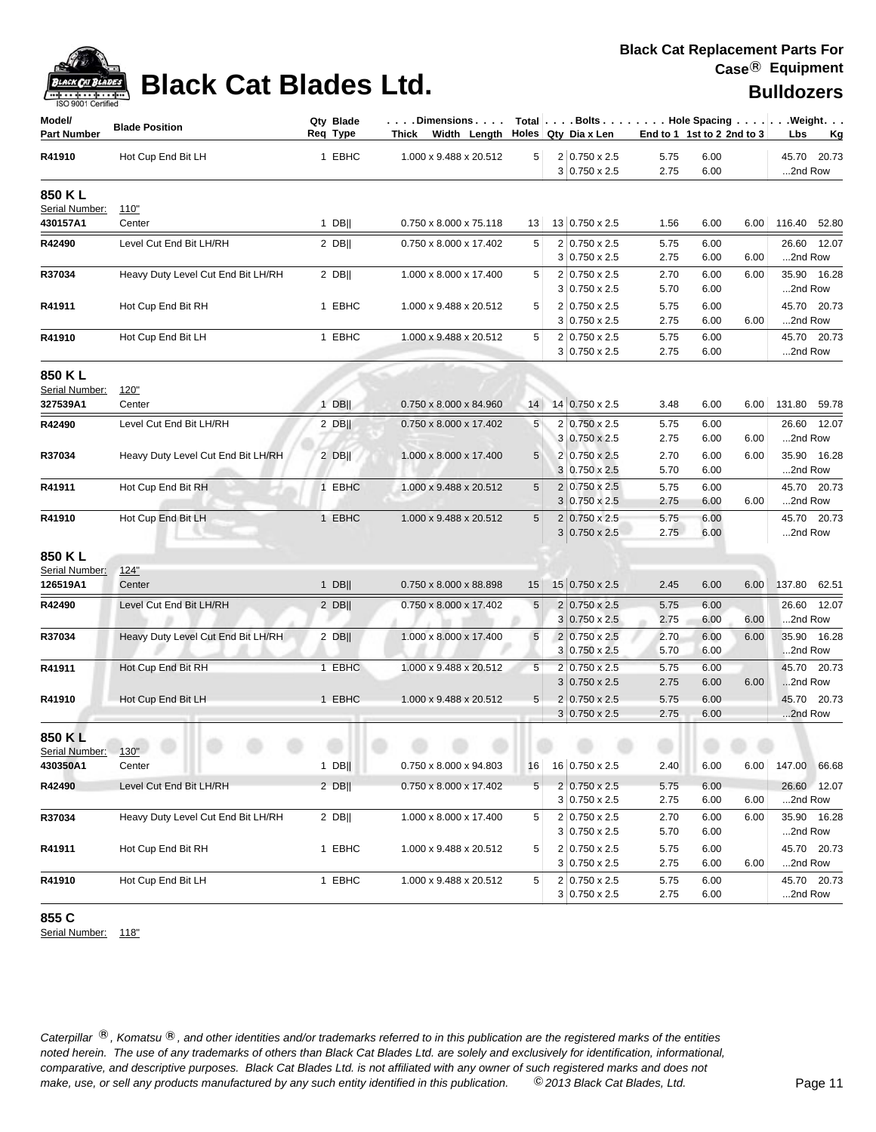

### **Black Cat Blades Ltd. Black Cat Blades Ltd. Black Cat Blades Ltd. Bulldozers**

| Model/<br><b>Part Number</b> | <b>Blade Position</b>              | Qty Blade<br>Req Type | . Dimensions<br>Thick Width Length Holes Qty Dia x Len |                 | $Total   \ldots$ Bolts $\ldots   \ldots$ . Hole Spacing $\ldots   \ldots$ . Weight. $\ldots$ |              | End to 1 1st to 2 2nd to 3 |      | Lbs<br><u>Kg</u>       |
|------------------------------|------------------------------------|-----------------------|--------------------------------------------------------|-----------------|----------------------------------------------------------------------------------------------|--------------|----------------------------|------|------------------------|
| R41910                       | Hot Cup End Bit LH                 | 1 EBHC                | 1.000 x 9.488 x 20.512                                 | 5 <sup>2</sup>  | 2 0.750 x 2.5<br>$3 0.750 \times 2.5$                                                        | 5.75<br>2.75 | 6.00<br>6.00               |      | 45.70 20.73<br>2nd Row |
| 850 KL<br>Serial Number:     | <u>110"</u>                        |                       |                                                        |                 |                                                                                              |              |                            |      |                        |
| 430157A1                     | Center                             | $1$ DB                | 0.750 x 8.000 x 75.118                                 | 13              | 13 0.750 x 2.5                                                                               | 1.56         | 6.00                       | 6.00 | 116.40 52.80           |
| R42490                       | Level Cut End Bit LH/RH            | $2$ DB                | 0.750 x 8.000 x 17.402                                 | 5 <sup>1</sup>  | 2 0.750 x 2.5<br>$3 0.750 \times 2.5$                                                        | 5.75<br>2.75 | 6.00<br>6.00               | 6.00 | 26.60 12.07<br>2nd Row |
| R37034                       | Heavy Duty Level Cut End Bit LH/RH | $2$ DB                | 1.000 x 8.000 x 17.400                                 | 5               | $2 0.750 \times 2.5$<br>$3 0.750 \times 2.5$                                                 | 2.70<br>5.70 | 6.00<br>6.00               | 6.00 | 35.90 16.28<br>2nd Row |
| R41911                       | Hot Cup End Bit RH                 | 1 EBHC                | 1.000 x 9.488 x 20.512                                 | 5               | 2 0.750 x 2.5<br>$3 0.750 \times 2.5$                                                        | 5.75<br>2.75 | 6.00<br>6.00               | 6.00 | 45.70 20.73<br>2nd Row |
| R41910                       | Hot Cup End Bit LH                 | 1 EBHC                | 1.000 x 9.488 x 20.512                                 | 5               | 2 0.750 x 2.5<br>$3 0.750 \times 2.5$                                                        | 5.75<br>2.75 | 6.00<br>6.00               |      | 45.70 20.73<br>2nd Row |
| 850 KL                       |                                    |                       |                                                        |                 |                                                                                              |              |                            |      |                        |
| Serial Number:<br>327539A1   | 120"<br>Center                     | $1$ DB                | 0.750 x 8.000 x 84.960                                 | 14              | 14 0.750 x 2.5                                                                               | 3.48         | 6.00                       | 6.00 | 131.80 59.78           |
| R42490                       | Level Cut End Bit LH/RH            | $2$ DB                | 0.750 x 8.000 x 17.402                                 | 5               | $2 0.750 \times 2.5$<br>$3 0.750 \times 2.5$                                                 | 5.75<br>2.75 | 6.00<br>6.00               | 6.00 | 26.60 12.07<br>2nd Row |
| R37034                       | Heavy Duty Level Cut End Bit LH/RH | $2$ DB                | 1.000 x 8.000 x 17.400                                 | 5               | 2 0.750 x 2.5<br>3 0.750 x 2.5                                                               | 2.70<br>5.70 | 6.00<br>6.00               | 6.00 | 35.90 16.28<br>2nd Row |
| R41911                       | Hot Cup End Bit RH                 | 1 EBHC                | 1.000 x 9.488 x 20.512                                 | 5               | $2 0.750 \times 2.5 $<br>$3 0.750 \times 2.5$                                                | 5.75<br>2.75 | 6.00<br>6.00               | 6.00 | 45.70 20.73<br>2nd Row |
| R41910                       | Hot Cup End Bit LH                 | 1 EBHC                | 1.000 x 9.488 x 20.512                                 | $5\overline{)}$ | $2 0.750 \times 2.5 $<br>$3 0.750 \times 2.5$                                                | 5.75<br>2.75 | 6.00<br>6.00               |      | 45.70 20.73<br>2nd Row |
| 850 KL                       |                                    |                       |                                                        |                 |                                                                                              |              |                            |      |                        |
| Serial Number:               | 124"                               |                       |                                                        |                 |                                                                                              |              |                            |      |                        |
| 126519A1                     | Center                             | $1$ DB                | 0.750 x 8.000 x 88.898                                 | 15              | 15 0.750 x 2.5                                                                               | 2.45         | 6.00                       | 6.00 | 137.80 62.51           |
| R42490                       | Level Cut End Bit LH/RH            | $2$ DB                | 0.750 x 8.000 x 17.402                                 | $5\phantom{.0}$ | $2 0.750 \times 2.5 $<br>$3 0.750 \times 2.5$                                                | 5.75<br>2.75 | 6.00<br>6.00               | 6.00 | 26.60 12.07<br>2nd Row |
| R37034                       | Heavy Duty Level Cut End Bit LH/RH | $2$ DB                | 1.000 x 8.000 x 17.400                                 | 5               | $2 0.750 \times 2.5 $<br>$3 0.750 \times 2.5$                                                | 2.70<br>5.70 | 6.00<br>6.00               | 6.00 | 35.90 16.28<br>2nd Row |
| R41911                       | Hot Cup End Bit RH                 | 1 EBHC                | 1.000 x 9.488 x 20.512                                 | 5               | $2 0.750 \times 2.5 $<br>$3 0.750 \times 2.5$                                                | 5.75<br>2.75 | 6.00<br>6.00               | 6.00 | 45.70 20.73<br>2nd Row |
| R41910                       | Hot Cup End Bit LH                 | 1 EBHC                | 1.000 x 9.488 x 20.512                                 | 5               | $2 0.750 \times 2.5$<br>$3 0.750 \times 2.5$                                                 | 5.75<br>2.75 | 6.00<br>6.00               |      | 45.70 20.73<br>2nd Row |
| 850 KL<br>Serial Number:     | 130"                               |                       |                                                        |                 |                                                                                              |              |                            |      |                        |
| 430350A1                     | Center                             | $1$ DB                | 0.750 x 8.000 x 94.803                                 | 16 <sup>1</sup> | 16 0.750 x 2.5                                                                               | 2.40         | 6.00                       | 6.00 | 147.00 66.68           |
| R42490                       | Level Cut End Bit LH/RH            | $2$ DB                | 0.750 x 8.000 x 17.402                                 | 5               | $2 0.750 \times 2.5 $<br>$3 0.750 \times 2.5$                                                | 5.75<br>2.75 | 6.00<br>6.00               | 6.00 | 26.60 12.07<br>2nd Row |
| R37034                       | Heavy Duty Level Cut End Bit LH/RH | $2$ DB                | 1.000 x 8.000 x 17.400                                 | 5               | 2 0.750 x 2.5<br>$3 0.750 \times 2.5$                                                        | 2.70<br>5.70 | 6.00<br>6.00               | 6.00 | 35.90 16.28<br>2nd Row |
| R41911                       | Hot Cup End Bit RH                 | 1 EBHC                | 1.000 x 9.488 x 20.512                                 | 5               | 2 0.750 x 2.5<br>$3 0.750 \times 2.5$                                                        | 5.75<br>2.75 | 6.00<br>6.00               | 6.00 | 45.70 20.73<br>2nd Row |
| R41910                       | Hot Cup End Bit LH                 | 1 EBHC                | 1.000 x 9.488 x 20.512                                 | 5 <sup>5</sup>  | $2 0.750 \times 2.5 $<br>$3 0.750 \times 2.5$                                                | 5.75<br>2.75 | 6.00<br>6.00               |      | 45.70 20.73<br>2nd Row |

**855 C** 

Serial Number: 118"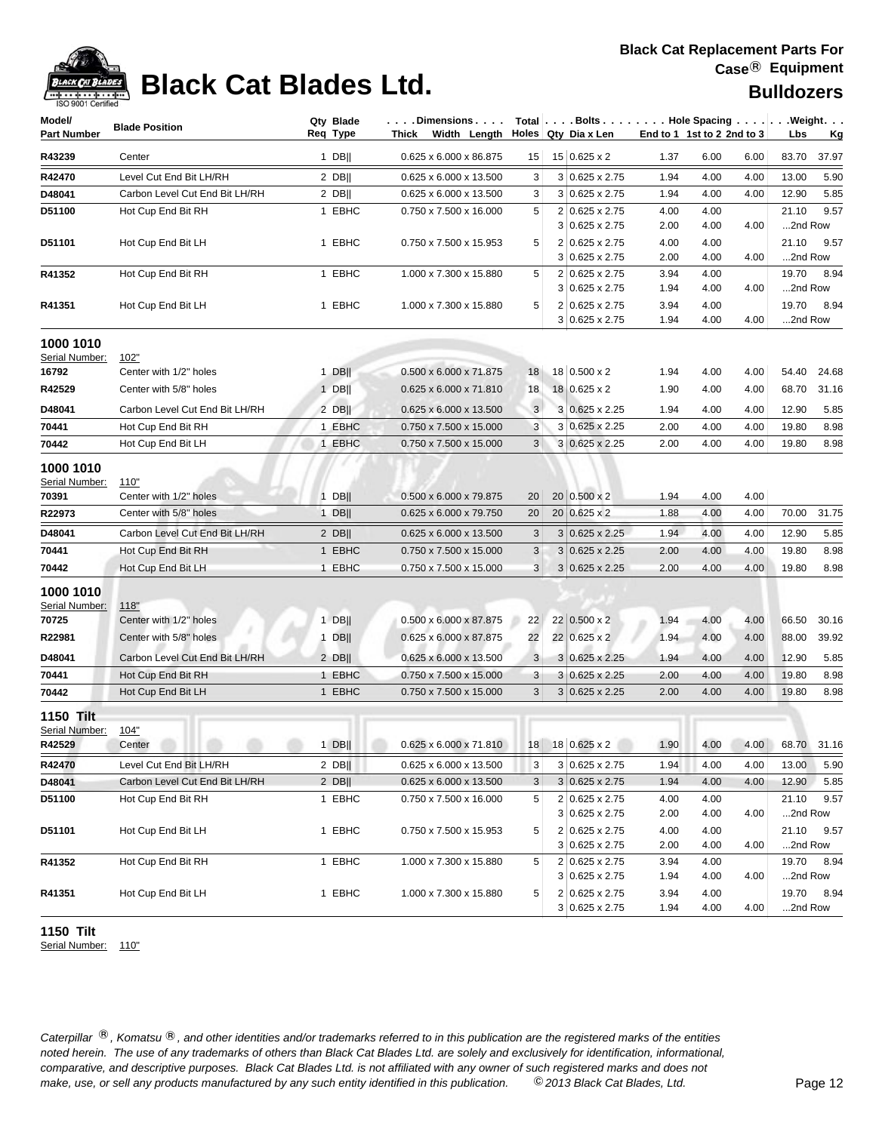| Model/                  |                                | Qty Blade | $\ldots$ . Dimensions. $\ldots$                     |              | $Total   \ldots$ Bolts $\dots   \ldots$ . Hole Spacing $\dots   \ldots$ . Weight. $\dots$ |              |                            |                                |
|-------------------------|--------------------------------|-----------|-----------------------------------------------------|--------------|-------------------------------------------------------------------------------------------|--------------|----------------------------|--------------------------------|
| <b>Part Number</b>      | <b>Blade Position</b>          | Reg Type  | Thick Width Length                                  |              | Holes   Qty Dia x Len                                                                     |              | End to 1 1st to 2 2nd to 3 | Lbs<br><u>Kg</u>               |
| R43239                  | Center                         | $1$ DB    | 0.625 x 6.000 x 86.875                              | 15           | $15 0.625 \times 2$                                                                       | 1.37         | 6.00<br>6.00               | 83.70<br>37.97                 |
| R42470                  | Level Cut End Bit LH/RH        | $2$ DB    | 0.625 x 6.000 x 13.500                              | 3            | 3 0.625 x 2.75                                                                            | 1.94         | 4.00<br>4.00               | 13.00<br>5.90                  |
| D48041                  | Carbon Level Cut End Bit LH/RH | $2$ DB    | 0.625 x 6.000 x 13.500                              | 3            | 3 0.625 x 2.75                                                                            | 1.94         | 4.00<br>4.00               | 12.90<br>5.85                  |
| D51100                  | Hot Cup End Bit RH             | 1 EBHC    | 0.750 x 7.500 x 16.000                              | 5            | 2 0.625 x 2.75                                                                            | 4.00         | 4.00                       | 9.57<br>21.10                  |
|                         |                                |           |                                                     |              | $3 0.625 \times 2.75$                                                                     | 2.00         | 4.00<br>4.00               | 2nd Row                        |
| D51101                  | Hot Cup End Bit LH             | 1 EBHC    | 0.750 x 7.500 x 15.953                              | 5            | 2 0.625 x 2.75                                                                            | 4.00         | 4.00                       | 9.57<br>21.10                  |
|                         |                                |           |                                                     |              | 3 0.625 x 2.75                                                                            | 2.00         | 4.00<br>4.00               | 2nd Row                        |
| R41352                  | Hot Cup End Bit RH             | 1 EBHC    | 1.000 x 7.300 x 15.880                              | 5            | 2 0.625 x 2.75<br>3<br>$0.625 \times 2.75$                                                | 3.94<br>1.94 | 4.00<br>4.00<br>4.00       | 19.70<br>8.94<br>2nd Row       |
| R41351                  | Hot Cup End Bit LH             | 1 EBHC    | 1.000 x 7.300 x 15.880                              | 5            | 2 0.625 x 2.75<br>$3 0.625 \times 2.75$                                                   | 3.94<br>1.94 | 4.00<br>4.00<br>4.00       | 19.70<br>8.94<br>2nd Row       |
| 1000 1010               |                                |           |                                                     |              |                                                                                           |              |                            |                                |
| Serial Number:<br>16792 | 102"<br>Center with 1/2" holes | $1$ DB    | 0.500 x 6.000 x 71.875                              | 18           | 18 0.500 x 2                                                                              | 1.94         | 4.00<br>4.00               | 54.40<br>24.68                 |
| R42529                  | Center with 5/8" holes         | $1$ DB    | 0.625 x 6.000 x 71.810                              | 18           | 18 0.625 x 2                                                                              | 1.90         | 4.00<br>4.00               | 31.16<br>68.70                 |
| D48041                  | Carbon Level Cut End Bit LH/RH | $2$ DB    | 0.625 x 6.000 x 13.500                              | 3            | 3 0.625 x 2.25                                                                            | 1.94         | 4.00<br>4.00               | 12.90<br>5.85                  |
| 70441                   | Hot Cup End Bit RH             | 1 EBHC    | 0.750 x 7.500 x 15.000                              | 3            | 3 0.625 x 2.25                                                                            | 2.00         | 4.00<br>4.00               | 19.80<br>8.98                  |
| 70442                   | Hot Cup End Bit LH             | 1 EBHC    | 0.750 x 7.500 x 15.000                              | 3            | $3 0.625 \times 2.25$                                                                     | 2.00         | 4.00<br>4.00               | 19.80<br>8.98                  |
| 1000 1010               |                                |           |                                                     |              |                                                                                           |              |                            |                                |
| Serial Number:          | 110"                           |           |                                                     |              |                                                                                           |              |                            |                                |
| 70391                   | Center with 1/2" holes         | $1$ DB    | 0.500 x 6.000 x 79.875                              | 20           | 20   0.500 x 2                                                                            | 1.94         | 4.00<br>4.00               |                                |
| R22973                  | Center with 5/8" holes         | $1$ DB    | 0.625 x 6.000 x 79.750                              | 20           | 20 0.625 x 2                                                                              | 1.88         | 4.00<br>4.00               | 70.00<br>31.75                 |
| D48041                  | Carbon Level Cut End Bit LH/RH | $2$ DB    | 0.625 x 6.000 x 13.500                              | 3            | $3 0.625 \times 2.25$                                                                     | 1.94         | 4.00<br>4.00               | 12.90<br>5.85                  |
| 70441                   | Hot Cup End Bit RH             | 1 EBHC    | 0.750 x 7.500 x 15.000                              | 3            | $3 0.625 \times 2.25$                                                                     | 2.00         | 4.00<br>4.00               | 19.80<br>8.98                  |
| 70442                   | Hot Cup End Bit LH             | 1 EBHC    | 0.750 x 7.500 x 15.000                              | 3            | $3 0.625 \times 2.25$                                                                     | 2.00         | 4.00<br>4.00               | 19.80<br>8.98                  |
| 1000 1010               |                                |           |                                                     |              |                                                                                           |              |                            |                                |
| Serial Number:          | 118"                           |           |                                                     |              |                                                                                           |              |                            |                                |
| 70725                   | Center with 1/2" holes         | $1$ DB    | 0.500 x 6.000 x 87.875                              | 22           | 22 0.500 x 2                                                                              | 1.94         | 4.00<br>4.00               | 66.50<br>30.16                 |
| R22981                  | Center with 5/8" holes         | $1$ DB    | 0.625 x 6.000 x 87.875                              | 22           | $22 0.625 \times 2$                                                                       | 1.94         | 4.00<br>4.00               | 88.00<br>39.92                 |
| D48041                  | Carbon Level Cut End Bit LH/RH | $2$ DB    | 0.625 x 6.000 x 13.500                              | $\mathbf{3}$ | $3 0.625 \times 2.25$                                                                     | 1.94         | 4.00<br>4.00               | 12.90<br>5.85                  |
| 70441                   | Hot Cup End Bit RH             | 1 EBHC    | 0.750 x 7.500 x 15.000                              | 3            | $3 0.625 \times 2.25$                                                                     | 2.00         | 4.00<br>4.00               | 19.80<br>8.98                  |
| 70442                   | Hot Cup End Bit LH             | 1 EBHC    | 0.750 x 7.500 x 15.000                              | 3            | $3 0.625 \times 2.25$                                                                     | 2.00         | 4.00<br>4.00               | 19.80<br>8.98                  |
| <b>1150 Tilt</b>        |                                |           |                                                     |              |                                                                                           |              |                            |                                |
| Serial Number:          | 104"                           |           |                                                     |              |                                                                                           |              |                            |                                |
| R42529                  | Center                         |           | 1 DB   0.625 x 6.000 x 71.810   18   18   0.625 x 2 |              |                                                                                           |              |                            | 1.90  4.00  4.00  68.70  31.16 |
| R42470                  | Level Cut End Bit LH/RH        | 2 DB $  $ | $0.625 \times 6.000 \times 13.500$                  | 3            | $3 0.625 \times 2.75$                                                                     | 1.94         | 4.00<br>4.00               | 13.00<br>5.90                  |
| D48041                  | Carbon Level Cut End Bit LH/RH | $2$ DB    | $0.625 \times 6.000 \times 13.500$                  | 3            | $3 0.625 \times 2.75$                                                                     | 1.94         | 4.00<br>4.00               | 12.90<br>5.85                  |
| D51100                  | Hot Cup End Bit RH             | 1 EBHC    | 0.750 x 7.500 x 16.000                              | 5            | $2 0.625 \times 2.75$<br>$3 0.625 \times 2.75$                                            | 4.00<br>2.00 | 4.00<br>4.00<br>4.00       | 21.10<br>9.57<br>2nd Row       |
| D51101                  | Hot Cup End Bit LH             | 1 EBHC    | 0.750 x 7.500 x 15.953                              | 5            | 2 0.625 x 2.75                                                                            | 4.00         | 4.00                       | 21.10 9.57                     |
|                         |                                |           |                                                     |              | $3 0.625 \times 2.75$                                                                     | 2.00         | 4.00<br>4.00               | 2nd Row                        |
| R41352                  | Hot Cup End Bit RH             | 1 EBHC    | 1.000 x 7.300 x 15.880                              | 5            | 2 0.625 x 2.75                                                                            | 3.94         | 4.00                       | 19.70 8.94                     |
|                         |                                |           |                                                     |              | 3 0.625 x 2.75                                                                            | 1.94         | 4.00<br>4.00               | 2nd Row                        |
| R41351                  | Hot Cup End Bit LH             | 1 EBHC    | 1.000 x 7.300 x 15.880                              | 5            | $2 0.625 \times 2.75$                                                                     | 3.94         | 4.00                       | 19.70 8.94                     |
|                         |                                |           |                                                     |              | 3 0.625 x 2.75                                                                            | 1.94         | 4.00<br>4.00               | 2nd Row                        |

**1150 Tilt**

Serial Number: 110"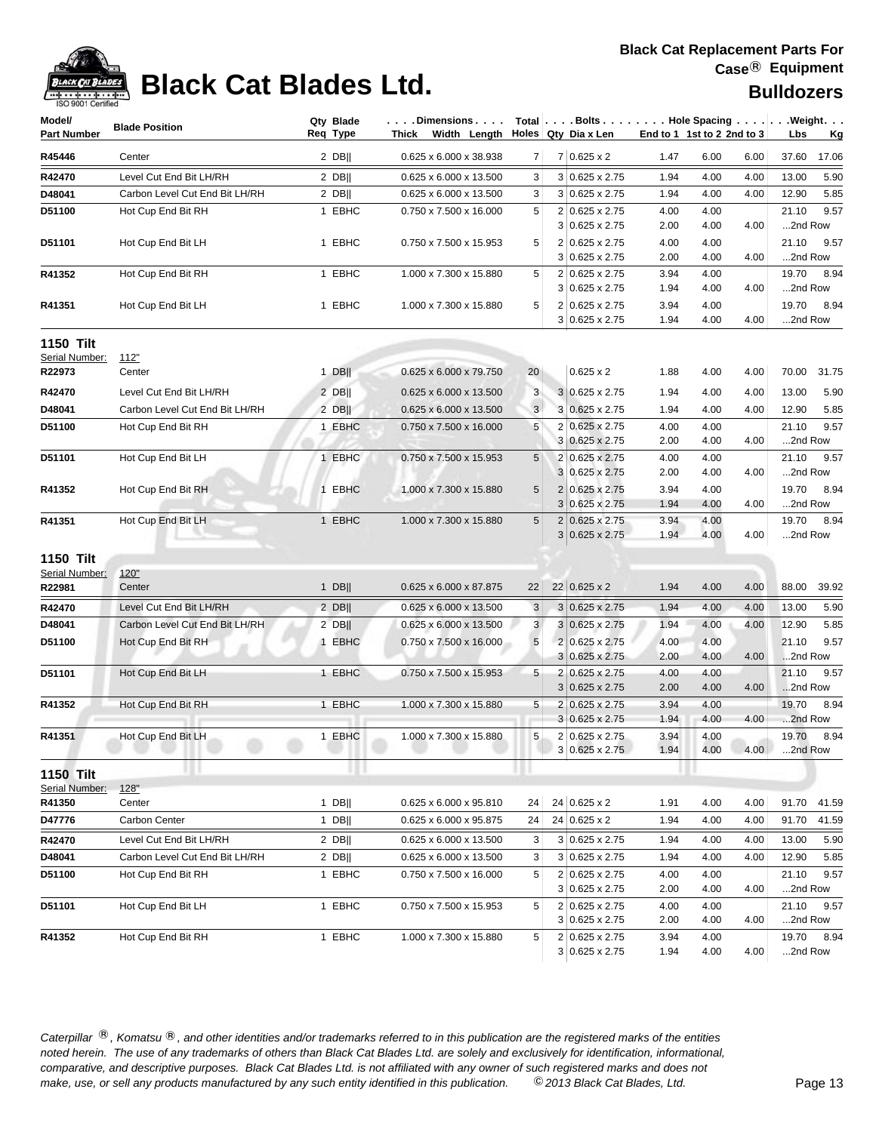### **Black Cat Replacement Parts For Case**® **Equipment**



## **Black Cat Blades Ltd. Black Cat Blades Ltd. Black Cat Blades Ltd. Bulldozers**

| Model/<br><b>Part Number</b>       | <b>Blade Position</b>          | Qty Blade<br>Req Type | . Dimensions  <br>Width Length Holes Qty Dia x Len<br>Thick |    |                | Total   Bolts   Hole Spacing   Weight.       |              | End to 1 1st to 2 2nd to 3 |      | Lbs              | <u>Kg</u> |
|------------------------------------|--------------------------------|-----------------------|-------------------------------------------------------------|----|----------------|----------------------------------------------|--------------|----------------------------|------|------------------|-----------|
| R45446                             | Center                         | $2$ DB                | 0.625 x 6.000 x 38.938                                      | 7  |                | $7 0.625 \times 2$                           | 1.47         | 6.00                       | 6.00 | 37.60            | 17.06     |
| R42470                             | Level Cut End Bit LH/RH        | $2$ DB                | 0.625 x 6.000 x 13.500                                      | 3  |                | $3 0.625 \times 2.75$                        | 1.94         | 4.00                       | 4.00 | 13.00            | 5.90      |
| D48041                             | Carbon Level Cut End Bit LH/RH | $2$ DB                | 0.625 x 6.000 x 13.500                                      | 3  |                | $3 0.625 \times 2.75$                        | 1.94         | 4.00                       | 4.00 | 12.90            | 5.85      |
| D51100                             | Hot Cup End Bit RH             | 1 EBHC                | 0.750 x 7.500 x 16.000                                      | 5  |                | 2 0.625 x 2.75                               | 4.00         | 4.00                       |      | 21.10            | 9.57      |
|                                    |                                |                       |                                                             |    |                | $3 0.625 \times 2.75$                        | 2.00         | 4.00                       | 4.00 | 2nd Row          |           |
| D51101                             | Hot Cup End Bit LH             | 1 EBHC                | 0.750 x 7.500 x 15.953                                      | 5  | 3              | 2 0.625 x 2.75<br>$0.625 \times 2.75$        | 4.00<br>2.00 | 4.00<br>4.00               | 4.00 | 21.10<br>2nd Row | 9.57      |
| R41352                             | Hot Cup End Bit RH             | 1 EBHC                | 1.000 x 7.300 x 15.880                                      | 5  |                | 2 0.625 x 2.75                               | 3.94         | 4.00                       |      | 19.70            | 8.94      |
| R41351                             | Hot Cup End Bit LH             | 1 EBHC                | 1.000 x 7.300 x 15.880                                      | 5  |                | 3 0.625 x 2.75<br>2 0.625 x 2.75             | 1.94<br>3.94 | 4.00<br>4.00               | 4.00 | 2nd Row<br>19.70 | 8.94      |
|                                    |                                |                       |                                                             |    |                | $3 0.625 \times 2.75$                        | 1.94         | 4.00                       | 4.00 | 2nd Row          |           |
| <b>1150 Tilt</b><br>Serial Number: | 112"                           |                       |                                                             |    |                |                                              |              |                            |      |                  |           |
| R22973                             | Center                         | $1$ DB                | 0.625 x 6.000 x 79.750                                      | 20 |                | $0.625 \times 2$                             | 1.88         | 4.00                       | 4.00 | 70.00            | 31.75     |
| R42470                             | Level Cut End Bit LH/RH        | $2$ DB                | 0.625 x 6.000 x 13.500                                      | 3  |                | 3 0.625 x 2.75                               | 1.94         | 4.00                       | 4.00 | 13.00            | 5.90      |
| D48041                             | Carbon Level Cut End Bit LH/RH | $2$ DB                | 0.625 x 6.000 x 13.500                                      | 3  |                | $3 0.625 \times 2.75$                        | 1.94         | 4.00                       | 4.00 | 12.90            | 5.85      |
| D51100                             | Hot Cup End Bit RH             | 1 EBHC                | 0.750 x 7.500 x 16.000                                      | 5  |                | 2 0.625 x 2.75                               | 4.00         | 4.00                       |      | 21.10            | 9.57      |
|                                    |                                |                       |                                                             |    |                | 3 0.625 x 2.75                               | 2.00         | 4.00                       | 4.00 | 2nd Row          |           |
| D51101                             | Hot Cup End Bit LH             | 1 EBHC                | 0.750 x 7.500 x 15.953                                      | 5  |                | 2 0.625 x 2.75                               | 4.00         | 4.00                       |      | 21.10            | 9.57      |
|                                    |                                |                       |                                                             |    |                | 3 0.625 x 2.75                               | 2.00         | 4.00                       | 4.00 | 2nd Row          |           |
| R41352                             | Hot Cup End Bit RH             | 1 EBHC                | 1.000 x 7.300 x 15.880                                      | 5  | $\overline{2}$ | $0.625 \times 2.75$<br>$3 0.625 \times 2.75$ | 3.94         | 4.00                       | 4.00 | 19.70<br>2nd Row | 8.94      |
|                                    | Hot Cup End Bit LH             | 1 EBHC                | 1.000 x 7.300 x 15.880                                      | 5  |                | $2 0.625 \times 2.75$                        | 1.94<br>3.94 | 4.00<br>4.00               |      | 19.70            | 8.94      |
| R41351                             |                                |                       |                                                             |    | 3              | $0.625 \times 2.75$                          | 1.94         | 4.00                       | 4.00 | 2nd Row          |           |
| <b>1150 Tilt</b>                   |                                |                       |                                                             |    |                |                                              |              |                            |      |                  |           |
| Serial Number:                     | 120"                           |                       |                                                             |    |                |                                              |              |                            |      |                  |           |
| R22981                             | Center                         | $1$ DB                | 0.625 x 6.000 x 87.875                                      | 22 |                | 22 0.625 x 2                                 | 1.94         | 4.00                       | 4.00 | 88.00            | 39.92     |
| R42470                             | Level Cut End Bit LH/RH        | $2$ DB                | $0.625 \times 6.000 \times 13.500$                          | 3  |                | $3 0.625 \times 2.75$                        | 1.94         | 4.00                       | 4.00 | 13.00            | 5.90      |
| D48041                             | Carbon Level Cut End Bit LH/RH | $2$ DB                | 0.625 x 6.000 x 13.500                                      | 3  | 3              | $0.625 \times 2.75$                          | 1.94         | 4.00                       | 4.00 | 12.90            | 5.85      |
| D51100                             | Hot Cup End Bit RH             | 1 EBHC                | $0.750 \times 7.500 \times 16.000$                          | 5  | 2              | $0.625 \times 2.75$                          | 4.00         | 4.00                       |      | 21.10            | 9.57      |
|                                    |                                |                       |                                                             |    |                | $3 0.625 \times 2.75$                        | 2.00         | 4.00                       | 4.00 | 2nd Row          |           |
| D51101                             | Hot Cup End Bit LH             | 1 EBHC                | 0.750 x 7.500 x 15.953                                      | 5  | 2              | $0.625 \times 2.75$                          | 4.00         | 4.00                       |      | 21.10            | 9.57      |
|                                    |                                |                       |                                                             |    |                | $3 0.625 \times 2.75$                        | 2.00         | 4.00                       | 4.00 | 2nd Row          |           |
| R41352                             | Hot Cup End Bit RH             | 1 EBHC                | 1.000 x 7.300 x 15.880                                      | 5  | $\overline{c}$ | $0.625 \times 2.75$                          | 3.94         | 4.00                       |      | 19.70            | 8.94      |
|                                    |                                |                       |                                                             |    |                | $3 0.625 \times 2.75$                        | 1.94         | 4.00                       | 4.00 | 2nd Row          |           |
| R41351                             | Hot Cup End Bit LH             | 1 EBHC                | 1.000 x 7.300 x 15.880                                      | 5  |                | 2 0.625 x 2.75<br>3 0.625 x 2.75             | 3.94<br>1.94 | 4.00<br>4.00               | 4.00 | 19.70<br>2nd Row | 8.94      |
| <b>1150 Tilt</b>                   |                                |                       |                                                             |    |                |                                              |              |                            |      |                  |           |
| Serial Number:                     | 128"                           |                       |                                                             |    |                |                                              |              |                            |      |                  |           |
| R41350                             | Center                         | $1$ DB                | 0.625 x 6.000 x 95.810                                      | 24 |                | 24 0.625 x 2                                 | 1.91         | 4.00                       | 4.00 | 91.70            | 41.59     |
| D47776                             | Carbon Center                  | 1 DB                  | 0.625 x 6.000 x 95.875                                      | 24 |                | 24 0.625 x 2                                 | 1.94         | 4.00                       | 4.00 | 91.70            | 41.59     |
| R42470                             | Level Cut End Bit LH/RH        | 2 DBII                | 0.625 x 6.000 x 13.500                                      | 3  |                | $3 0.625 \times 2.75$                        | 1.94         | 4.00                       | 4.00 | 13.00            | 5.90      |
| D48041                             | Carbon Level Cut End Bit LH/RH | 2 DBII                | 0.625 x 6.000 x 13.500                                      | 3  |                | 3 0.625 x 2.75                               | 1.94         | 4.00                       | 4.00 | 12.90            | 5.85      |
| D51100                             | Hot Cup End Bit RH             | 1 EBHC                | 0.750 x 7.500 x 16.000                                      | 5  |                | 2 0.625 x 2.75                               | 4.00         | 4.00                       |      | 21.10            | 9.57      |
|                                    |                                |                       |                                                             |    |                | 3 0.625 x 2.75                               | 2.00         | 4.00                       | 4.00 | 2nd Row          |           |
| D51101                             | Hot Cup End Bit LH             | 1 EBHC                | 0.750 x 7.500 x 15.953                                      | 5  |                | 2 0.625 x 2.75                               | 4.00         | 4.00                       |      | 21.10            | 9.57      |
|                                    |                                |                       |                                                             |    |                | 3 0.625 x 2.75                               | 2.00         | 4.00                       | 4.00 | 2nd Row          |           |
| R41352                             | Hot Cup End Bit RH             | 1 EBHC                | 1.000 x 7.300 x 15.880                                      | 5  |                | 2 0.625 x 2.75<br>3 0.625 x 2.75             | 3.94<br>1.94 | 4.00<br>4.00               | 4.00 | 19.70<br>2nd Row | 8.94      |
|                                    |                                |                       |                                                             |    |                |                                              |              |                            |      |                  |           |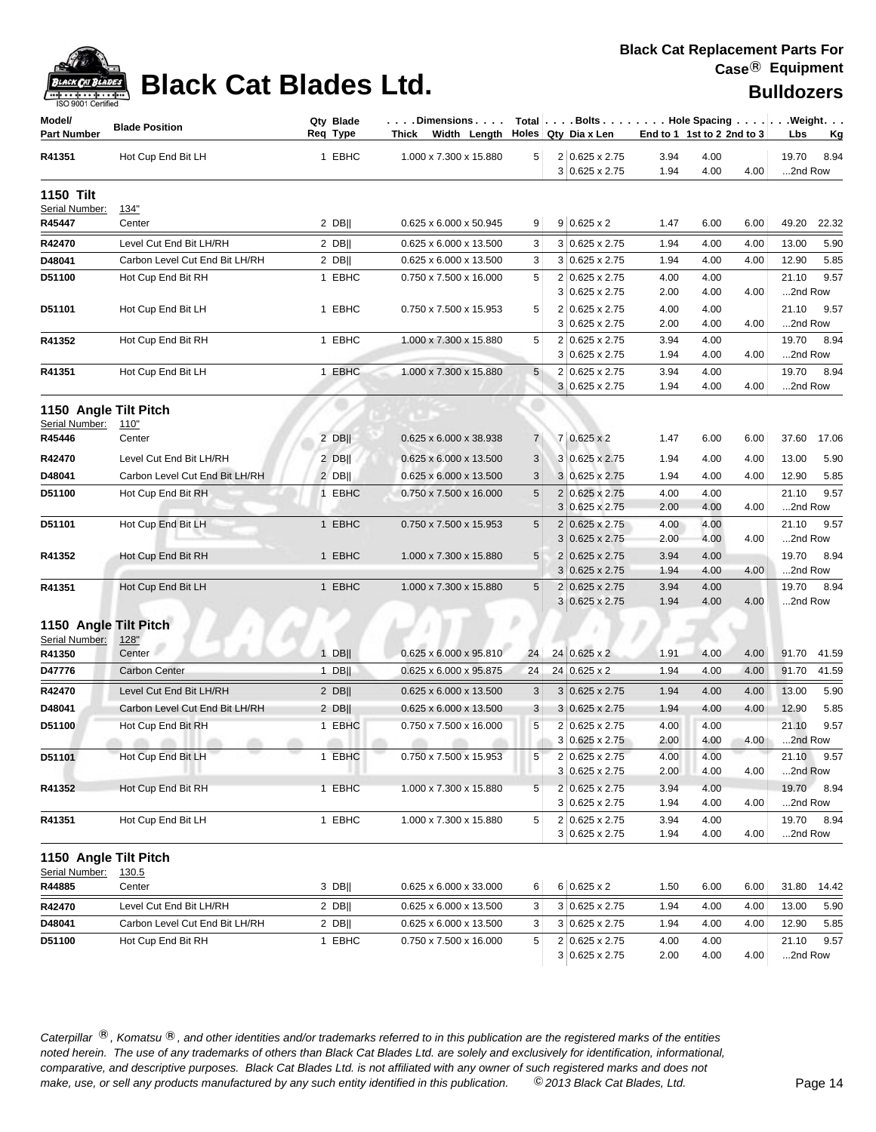

| Model/<br><b>Part Number</b>            | <b>Blade Position</b>                | Qty Blade<br>Reg Type | $\ldots$ . Dimensions. $\ldots$<br>Thick Width Length Holes Qty Dia x Len |                | Total   Bolts Hole Spacing Weight.                   | End to 1 1st to 2 2nd to 3   |      | Lbs<br><u>Kg</u>               |
|-----------------------------------------|--------------------------------------|-----------------------|---------------------------------------------------------------------------|----------------|------------------------------------------------------|------------------------------|------|--------------------------------|
| R41351                                  | Hot Cup End Bit LH                   | 1 EBHC                | 1.000 x 7.300 x 15.880                                                    | 5              | 2 0.625 x 2.75<br>$3 0.625 \times 2.75$              | 3.94<br>4.00<br>1.94<br>4.00 | 4.00 | 19.70<br>8.94<br>2nd Row       |
| <b>1150 Tilt</b><br>Serial Number:      | 134"                                 |                       |                                                                           |                |                                                      |                              |      |                                |
| R45447                                  | Center                               | $2$ DB                | 0.625 x 6.000 x 50.945                                                    | 9              | $9 0.625 \times 2$                                   | 6.00<br>1.47                 | 6.00 | 49.20<br>22.32                 |
| R42470                                  | Level Cut End Bit LH/RH              | $2$ DB                | 0.625 x 6.000 x 13.500                                                    | 3              | $3 0.625 \times 2.75$                                | 4.00<br>1.94                 | 4.00 | 13.00<br>5.90                  |
| D48041                                  | Carbon Level Cut End Bit LH/RH       | $2$ DB                | 0.625 x 6.000 x 13.500                                                    | 3              | $3 0.625 \times 2.75$                                | 1.94<br>4.00                 | 4.00 | 12.90<br>5.85                  |
| D51100                                  | Hot Cup End Bit RH                   | 1 EBHC                | 0.750 x 7.500 x 16.000                                                    | 5              | 2<br>$0.625 \times 2.75$                             | 4.00<br>4.00                 |      | 9.57<br>21.10                  |
|                                         |                                      |                       |                                                                           |                | $3 0.625 \times 2.75$                                | 4.00<br>2.00                 | 4.00 | 2nd Row                        |
| D51101                                  | Hot Cup End Bit LH                   | 1 EBHC                | 0.750 x 7.500 x 15.953                                                    | 5              | 2 0.625 x 2.75                                       | 4.00<br>4.00                 |      | 9.57<br>21.10                  |
|                                         |                                      |                       |                                                                           |                | $3 0.625 \times 2.75$                                | 2.00<br>4.00                 | 4.00 | 2nd Row                        |
| R41352                                  | Hot Cup End Bit RH                   | 1 EBHC                | 1.000 x 7.300 x 15.880                                                    | 5              | 2<br>$0.625 \times 2.75$                             | 3.94<br>4.00                 |      | 8.94<br>19.70                  |
|                                         |                                      |                       |                                                                           |                | $3 0.625 \times 2.75$                                | 1.94<br>4.00                 | 4.00 | 2nd Row                        |
| R41351                                  | Hot Cup End Bit LH                   | 1 EBHC                | 1.000 x 7.300 x 15.880                                                    | 5              | 2 0.625 x 2.75                                       | 3.94<br>4.00                 |      | 19.70<br>8.94                  |
|                                         |                                      |                       |                                                                           |                | $3 0.625 \times 2.75$                                | 1.94<br>4.00                 | 4.00 | 2nd Row                        |
| 1150 Angle Tilt Pitch                   |                                      |                       |                                                                           |                |                                                      |                              |      |                                |
| Serial Number:                          | <u>110"</u>                          |                       |                                                                           |                |                                                      |                              |      |                                |
| R45446                                  | Center                               | $2$ DB                | 0.625 x 6.000 x 38.938                                                    | $\overline{7}$ | $7 0.625 \times 2$                                   | 6.00<br>1.47                 | 6.00 | 37.60<br>17.06                 |
| R42470                                  | Level Cut End Bit LH/RH              | $2$ DB                | 0.625 x 6.000 x 13.500                                                    | 3              | 3 0.625 x 2.75                                       | 1.94<br>4.00                 | 4.00 | 13.00<br>5.90                  |
| D48041                                  | Carbon Level Cut End Bit LH/RH       | $2$ DB                | 0.625 x 6.000 x 13.500                                                    | 3              | 3 0.625 x 2.75                                       | 1.94<br>4.00                 | 4.00 | 12.90<br>5.85                  |
| D51100                                  | Hot Cup End Bit RH                   | 1 EBHC                | 0.750 x 7.500 x 16.000                                                    | 5              | $\overline{2}$<br>$0.625 \times 2.75$                | 4.00<br>4.00                 |      | 9.57<br>21.10                  |
|                                         |                                      |                       |                                                                           |                | 3<br>$0.625 \times 2.75$                             | 2.00<br>4.00                 | 4.00 | 2nd Row                        |
| D51101                                  | Hot Cup End Bit LH                   | 1 EBHC                | 0.750 x 7.500 x 15.953                                                    | 5              | $2 0.625 \times 2.75$                                | 4.00<br>4.00                 |      | 21.10<br>9.57                  |
|                                         |                                      |                       |                                                                           |                | $0.625 \times 2.75$<br>3                             | 2.00<br>4.00                 | 4.00 | 2nd Row                        |
| R41352                                  | Hot Cup End Bit RH                   | 1 EBHC                | 1.000 x 7.300 x 15.880                                                    | $\sqrt{5}$     | $0.625 \times 2.75$<br>2<br>3<br>$0.625 \times 2.75$ | 3.94<br>4.00<br>1.94<br>4.00 | 4.00 | 19.70<br>8.94<br>2nd Row       |
| R41351                                  | Hot Cup End Bit LH                   | 1 EBHC                | 1.000 x 7.300 x 15.880                                                    | 5              | $\overline{2}$<br>$0.625 \times 2.75$                | 3.94<br>4.00                 |      | 19.70<br>8.94                  |
|                                         |                                      |                       |                                                                           |                | $3 0.625 \times 2.75$                                | 1.94<br>4.00                 | 4.00 | 2nd Row                        |
| 1150 Angle Tilt Pitch                   |                                      |                       |                                                                           |                |                                                      |                              |      |                                |
| Serial Number:<br>R41350                | 128"<br>Center                       | $1$ DB                | 0.625 x 6.000 x 95.810                                                    | 24             | 24 0.625 x 2                                         | 1.91<br>4.00                 | 4.00 | 91.70<br>41.59                 |
| D47776                                  | <b>Carbon Center</b>                 | $1$ DB                | 0.625 x 6.000 x 95.875                                                    | 24             | 24 0.625 x 2                                         | 1.94<br>4.00                 | 4.00 | 91.70<br>41.59                 |
|                                         | Level Cut End Bit LH/RH              |                       |                                                                           |                |                                                      |                              |      |                                |
| R42470                                  |                                      | $2$ DB                | 0.625 x 6.000 x 13.500                                                    | 3              | $0.625 \times 2.75$<br>3                             | 1.94<br>4.00                 | 4.00 | 13.00<br>5.90                  |
| D48041<br>D51100                        | Carbon Level Cut End Bit LH/RH       | $2$ DB  <br>1 EBHC    | 0.625 x 6.000 x 13.500<br>0.750 x 7.500 x 16.000                          | 3<br>5         | $0.625 \times 2.75$<br>3                             | 1.94<br>4.00<br>4.00<br>4.00 | 4.00 | 5.85<br>12.90<br>21.10<br>9.57 |
|                                         | Hot Cup End Bit RH                   |                       |                                                                           |                | 2 0.625 x 2.75<br>3 0.625 x 2.75                     | 2.00<br>4.00                 | 4.00 | 2nd Row                        |
| D51101                                  | $1.001 - .001$<br>Hot Cup End Bit LH | 1 EBHC                | $\sim$<br><b>COL</b><br>0.750 x 7.500 x 15.953                            | 5              | 2 0.625 x 2.75                                       | 4.00<br>4.00                 |      | 21.10 9.57                     |
|                                         |                                      |                       |                                                                           |                | $3 0.625 \times 2.75$                                | 2.00<br>4.00                 | 4.00 | 2nd Row                        |
| R41352                                  | Hot Cup End Bit RH                   | 1 EBHC                | 1.000 x 7.300 x 15.880                                                    | $\sqrt{5}$     | 2 0.625 x 2.75                                       | 4.00<br>3.94                 |      | 19.70<br>8.94                  |
|                                         |                                      |                       |                                                                           |                | $3 0.625 \times 2.75$                                | 1.94<br>4.00                 | 4.00 | 2nd Row                        |
| R41351                                  | Hot Cup End Bit LH                   | 1 EBHC                | 1.000 x 7.300 x 15.880                                                    | 5              | 2 0.625 x 2.75                                       | 3.94<br>4.00                 |      | 19.70<br>8.94                  |
|                                         |                                      |                       |                                                                           |                | $3 0.625 \times 2.75$                                | 1.94<br>4.00                 | 4.00 | 2nd Row                        |
| 1150 Angle Tilt Pitch<br>Serial Number: | 130.5                                |                       |                                                                           |                |                                                      |                              |      |                                |
| R44885                                  | Center                               | 3 DBII                | 0.625 x 6.000 x 33.000                                                    | 6              | $6 0.625 \times 2$                                   | 6.00<br>1.50                 | 6.00 | 31.80 14.42                    |
| R42470                                  | Level Cut End Bit LH/RH              | 2 $DB$                | 0.625 x 6.000 x 13.500                                                    | 3              | 3 0.625 x 2.75                                       | 1.94<br>4.00                 | 4.00 | 5.90<br>13.00                  |
| D48041                                  | Carbon Level Cut End Bit LH/RH       | $2$ DB                | 0.625 x 6.000 x 13.500                                                    | 3              | $3 0.625 \times 2.75$                                | 1.94<br>4.00                 | 4.00 | 5.85<br>12.90                  |
| D51100                                  | Hot Cup End Bit RH                   | 1 EBHC                | 0.750 x 7.500 x 16.000                                                    | 5              | $0.625 \times 2.75$<br>2                             | 4.00<br>4.00                 |      | 9.57<br>21.10                  |
|                                         |                                      |                       |                                                                           |                | $3 0.625 \times 2.75$                                | 2.00<br>4.00                 | 4.00 | 2nd Row                        |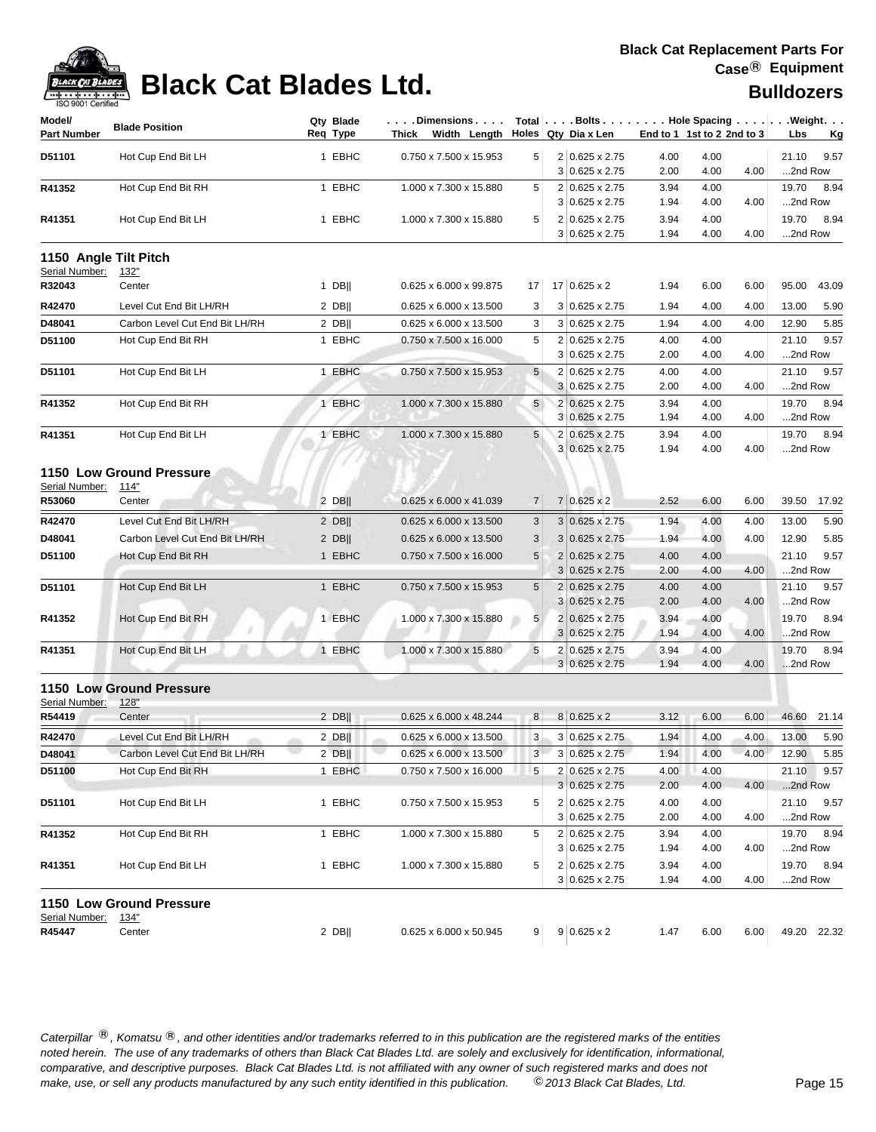

| Model/                | <b>Blade Position</b>            | Qty Blade | .Dimensions                        |    |                                         |                            |              |      | Total Bolts Hole Spacing Weight. |
|-----------------------|----------------------------------|-----------|------------------------------------|----|-----------------------------------------|----------------------------|--------------|------|----------------------------------|
| <b>Part Number</b>    |                                  | Reg Type  | Thick Width Length                 |    | Holes   Qty Dia x Len                   | End to 1 1st to 2 2nd to 3 |              |      | Lbs<br><u>Kg</u>                 |
| D51101                | Hot Cup End Bit LH               | 1 EBHC    | 0.750 x 7.500 x 15.953             | 5  | 2 0.625 x 2.75                          | 4.00                       | 4.00         |      | 21.10<br>9.57                    |
|                       |                                  |           |                                    |    | $3 0.625 \times 2.75$                   | 2.00                       | 4.00         | 4.00 | 2nd Row                          |
| R41352                | Hot Cup End Bit RH               | 1 EBHC    | 1.000 x 7.300 x 15.880             | 5  | 2 0.625 x 2.75                          | 3.94                       | 4.00         |      | 19.70<br>8.94                    |
|                       |                                  |           |                                    |    | $3 0.625 \times 2.75$                   | 1.94                       | 4.00         | 4.00 | 2nd Row                          |
| R41351                | Hot Cup End Bit LH               | 1 EBHC    | 1.000 x 7.300 x 15.880             | 5  | 2 0.625 x 2.75<br>$3 0.625 \times 2.75$ | 3.94<br>1.94               | 4.00<br>4.00 | 4.00 | 19.70<br>8.94<br>2nd Row         |
| 1150 Angle Tilt Pitch |                                  |           |                                    |    |                                         |                            |              |      |                                  |
| Serial Number:        | 132"                             |           |                                    |    |                                         |                            |              |      |                                  |
| R32043                | Center                           | $1$ DB    | 0.625 x 6.000 x 99.875             | 17 | 17 0.625 x 2                            | 1.94                       | 6.00         | 6.00 | 95.00<br>43.09                   |
| R42470                | Level Cut End Bit LH/RH          | 2 $DB$    | 0.625 x 6.000 x 13.500             | 3  | $3 0.625 \times 2.75$                   | 1.94                       | 4.00         | 4.00 | 13.00<br>5.90                    |
| D48041                | Carbon Level Cut End Bit LH/RH   | $2$ DB    | 0.625 x 6.000 x 13.500             | 3  | $3 0.625 \times 2.75$                   | 1.94                       | 4.00         | 4.00 | 12.90<br>5.85                    |
| D51100                | Hot Cup End Bit RH               | 1 EBHC    | 0.750 x 7.500 x 16.000             | 5  | 2 0.625 x 2.75                          | 4.00                       | 4.00         |      | 9.57<br>21.10                    |
|                       |                                  |           |                                    |    | $3 0.625 \times 2.75$                   | 2.00                       | 4.00         | 4.00 | 2nd Row                          |
| D51101                | Hot Cup End Bit LH               | 1 EBHC    | 0.750 x 7.500 x 15.953             | 5  | 2 0.625 x 2.75                          | 4.00                       | 4.00         |      | 21.10<br>9.57                    |
|                       |                                  |           |                                    |    | $3 0.625 \times 2.75$                   | 2.00                       | 4.00         | 4.00 | 2nd Row                          |
| R41352                | Hot Cup End Bit RH               | 1 EBHC    | 1.000 x 7.300 x 15.880             | 5  | 2 0.625 x 2.75                          | 3.94                       | 4.00         |      | 19.70<br>8.94                    |
|                       |                                  |           |                                    |    | $3 0.625 \times 2.75$                   | 1.94                       | 4.00         | 4.00 | 2nd Row                          |
| R41351                | Hot Cup End Bit LH               | 1 EBHC    | 1.000 x 7.300 x 15.880             | 5  | 2 0.625 x 2.75                          | 3.94                       | 4.00         |      | 19.70<br>8.94                    |
|                       |                                  |           |                                    |    | $3 0.625 \times 2.75$                   | 1.94                       | 4.00         | 4.00 | 2nd Row                          |
| Serial Number:        | 1150 Low Ground Pressure<br>114" |           |                                    |    |                                         |                            |              |      |                                  |
| R53060                | Center                           | 2 $DB$    | $0.625 \times 6.000 \times 41.039$ | 7  | $7 0.625 \times 2$                      | 2.52                       | 6.00         | 6.00 | 17.92<br>39.50                   |
| R42470                | Level Cut End Bit LH/RH          | $2$ DB    |                                    | 3  | $3 0.625 \times 2.75$                   | 1.94                       | 4.00         | 4.00 | 13.00<br>5.90                    |
| D48041                | Carbon Level Cut End Bit LH/RH   |           | 0.625 x 6.000 x 13.500             |    |                                         | 1.94                       | 4.00         | 4.00 |                                  |
|                       |                                  | $2$ DB    | 0.625 x 6.000 x 13.500             | 3  | $3 0.625 \times 2.75$                   |                            |              |      | 12.90<br>5.85                    |
| D51100                | Hot Cup End Bit RH               | 1 EBHC    | 0.750 x 7.500 x 16.000             | 5  | 2 0.625 x 2.75<br>$3 0.625 \times 2.75$ | 4.00<br>2.00               | 4.00<br>4.00 | 4.00 | 9.57<br>21.10<br>2nd Row         |
| D51101                | Hot Cup End Bit LH               | 1 EBHC    | 0.750 x 7.500 x 15.953             | 5  | $2 0.625 \times 2.75$                   | 4.00                       | 4.00         |      | 21.10<br>9.57                    |
|                       |                                  |           |                                    |    | $3 0.625 \times 2.75$                   | 2.00                       | 4.00         | 4.00 | 2nd Row                          |
| R41352                | Hot Cup End Bit RH               | 1 EBHC    | 1.000 x 7.300 x 15.880             | 5  | 2 0.625 x 2.75                          | 3.94                       | 4.00         |      | 19.70<br>8.94                    |
|                       |                                  |           |                                    |    | $3 0.625 \times 2.75$                   | 1.94                       | 4.00         | 4.00 | 2nd Row                          |
| R41351                | Hot Cup End Bit LH               | 1 EBHC    | 1.000 x 7.300 x 15.880             | 5  | 2 0.625 x 2.75                          | 3.94                       | 4.00         |      | 19.70<br>8.94                    |
|                       |                                  |           |                                    |    | $3 0.625 \times 2.75$                   | 1.94                       | 4.00         | 4.00 | 2nd Row                          |
|                       | 1150 Low Ground Pressure         |           |                                    |    |                                         |                            |              |      |                                  |
| Serial Number:        | 128"                             |           |                                    |    |                                         |                            |              |      |                                  |
| R54419                | Center                           | $2$ DB    | 0.625 x 6.000 x 48.244             | 8  | $8 0.625 \times 2$                      | 3.12                       | 6.00         | 6.00 | 46.60<br>21.14                   |
| R42470                | Level Cut End Bit LH/RH          | $2$ DB    | 0.625 x 6.000 x 13.500             | 3  | $3 0.625 \times 2.75$                   | 1.94                       | 4.00         | 4.00 | 13.00<br>5.90                    |
| D48041                | Carbon Level Cut End Bit LH/RH   | $2$ DB    | 0.625 x 6.000 x 13.500             | 3  | 3 0.625 x 2.75                          | 1.94                       | 4.00         | 4.00 | 12.90<br>5.85                    |
| D51100                | Hot Cup End Bit RH               | 1 EBHC    | 0.750 x 7.500 x 16.000             | 5  | 2 0.625 x 2.75                          | 4.00                       | 4.00         |      | 21.10<br>9.57                    |
|                       |                                  |           |                                    |    | $3 0.625 \times 2.75$                   | 2.00                       | 4.00         | 4.00 | 2nd Row                          |
| D51101                | Hot Cup End Bit LH               | 1 EBHC    | 0.750 x 7.500 x 15.953             | 5  | 2 0.625 x 2.75                          | 4.00                       | 4.00         |      | 21.10<br>9.57                    |
|                       |                                  |           |                                    |    | $3 0.625 \times 2.75$                   | 2.00                       | 4.00         | 4.00 | 2nd Row                          |
| R41352                | Hot Cup End Bit RH               | 1 EBHC    | 1.000 x 7.300 x 15.880             | 5  | 2 0.625 x 2.75                          | 3.94                       | 4.00         |      | 19.70<br>8.94                    |
|                       |                                  |           |                                    |    | $3 0.625 \times 2.75$                   | 1.94                       | 4.00         | 4.00 | 2nd Row                          |
| R41351                | Hot Cup End Bit LH               | 1 EBHC    | 1.000 x 7.300 x 15.880             | 5  | 2 0.625 x 2.75                          | 3.94                       | 4.00         |      | 19.70<br>8.94                    |
|                       |                                  |           |                                    |    | 3 0.625 x 2.75                          | 1.94                       | 4.00         | 4.00 | 2nd Row                          |
|                       | 1150 Low Ground Pressure         |           |                                    |    |                                         |                            |              |      |                                  |
| Serial Number:        | 134"                             |           |                                    |    |                                         |                            |              |      |                                  |
| R45447                | Center                           | $2$ DB    | $0.625 \times 6.000 \times 50.945$ |    | 9   9   0.625 x 2                       | 1.47                       | 6.00         | 6.00 | 49.20 22.32                      |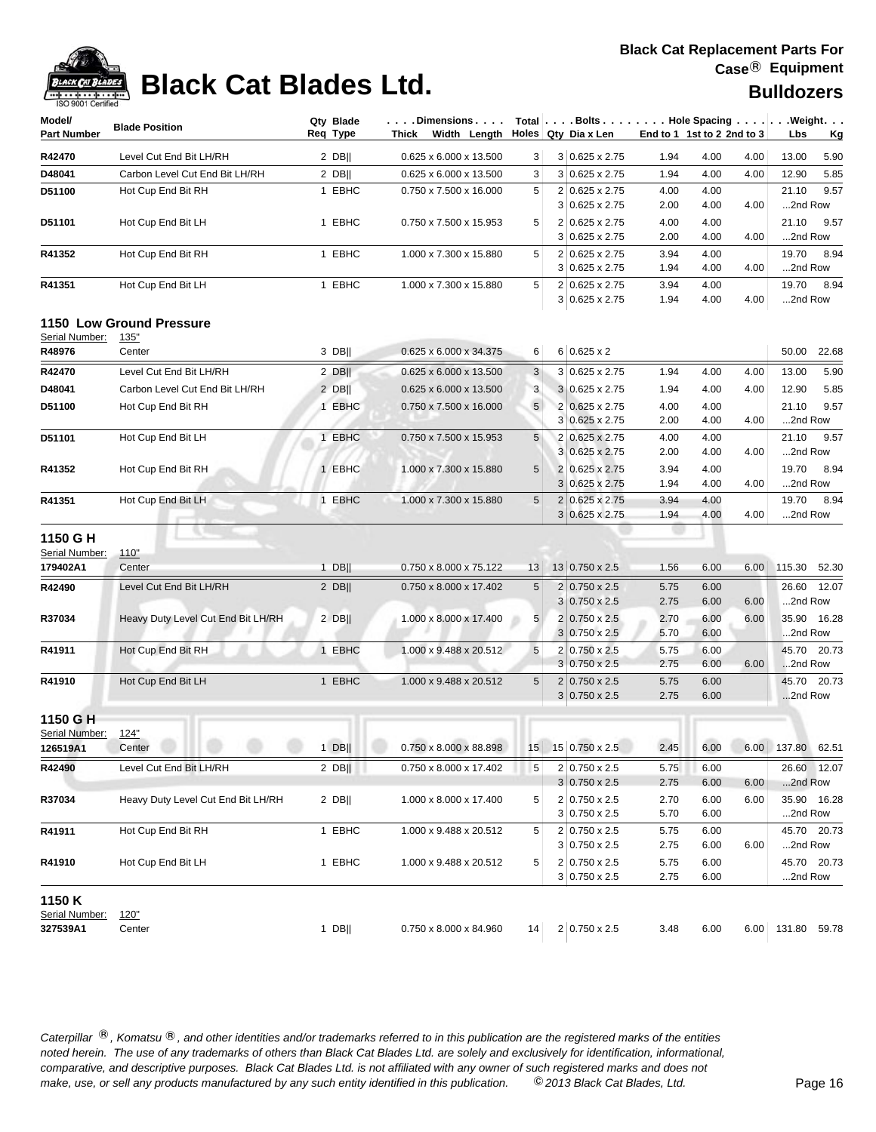

| <b>ISO 9001 Certified</b><br>Model/ |                                    |                       | . Dimensions                       |                | Total Bolts Hole Spacing Weight. |                            |      |      |                   |             |
|-------------------------------------|------------------------------------|-----------------------|------------------------------------|----------------|----------------------------------|----------------------------|------|------|-------------------|-------------|
| <b>Part Number</b>                  | <b>Blade Position</b>              | Qty Blade<br>Req Type | Width Length<br>Thick              |                | Holes Qty Dia x Len              | End to 1 1st to 2 2nd to 3 |      |      | Lbs               | <u>Kg</u>   |
| R42470                              | Level Cut End Bit LH/RH            | $2$ DB                | 0.625 x 6.000 x 13.500             | 3              | $3 0.625 \times 2.75$            | 1.94                       | 4.00 | 4.00 | 13.00             | 5.90        |
| D48041                              | Carbon Level Cut End Bit LH/RH     | $2$ DB                | 0.625 x 6.000 x 13.500             | 3              | $3 0.625 \times 2.75$            | 1.94                       | 4.00 | 4.00 | 12.90             | 5.85        |
| D51100                              | Hot Cup End Bit RH                 | 1 EBHC                | 0.750 x 7.500 x 16.000             | 5              | 2 0.625 x 2.75                   | 4.00                       | 4.00 |      | 21.10             | 9.57        |
|                                     |                                    |                       |                                    |                | $3 0.625 \times 2.75$            | 2.00                       | 4.00 | 4.00 | 2nd Row           |             |
| D51101                              | Hot Cup End Bit LH                 | 1 EBHC                | 0.750 x 7.500 x 15.953             | 5              | 2 0.625 x 2.75                   | 4.00                       | 4.00 |      | 21.10             | 9.57        |
|                                     |                                    |                       |                                    |                | $3 0.625 \times 2.75$            | 2.00                       | 4.00 | 4.00 | 2nd Row           |             |
| R41352                              | Hot Cup End Bit RH                 | 1 EBHC                | 1.000 x 7.300 x 15.880             | 5              | 2 0.625 x 2.75                   | 3.94                       | 4.00 |      | 19.70             | 8.94        |
|                                     |                                    |                       |                                    |                | $3 0.625 \times 2.75$            | 1.94                       | 4.00 | 4.00 | 2nd Row           |             |
| R41351                              | Hot Cup End Bit LH                 | 1 EBHC                | 1.000 x 7.300 x 15.880             | 5              | 2 0.625 x 2.75                   | 3.94                       | 4.00 |      | 19.70             | 8.94        |
|                                     |                                    |                       |                                    |                | $3 0.625 \times 2.75$            | 1.94                       | 4.00 | 4.00 | 2nd Row           |             |
|                                     | 1150 Low Ground Pressure           |                       |                                    |                |                                  |                            |      |      |                   |             |
| Serial Number:                      | 135"                               |                       |                                    |                |                                  |                            |      |      |                   |             |
| R48976                              | Center                             | 3 DB                  | 0.625 x 6.000 x 34.375             | 6              | $6 0.625 \times 2$               |                            |      |      | 50.00             | 22.68       |
| R42470                              | Level Cut End Bit LH/RH            | $2$ DB                | 0.625 x 6.000 x 13.500             | 3              | 3 0.625 x 2.75                   | 1.94                       | 4.00 | 4.00 | 13.00             | 5.90        |
| D48041                              | Carbon Level Cut End Bit LH/RH     | $2$ DB                | 0.625 x 6.000 x 13.500             | 3              | 3 0.625 x 2.75                   | 1.94                       | 4.00 | 4.00 | 12.90             | 5.85        |
| D51100                              | Hot Cup End Bit RH                 | 1 EBHC                | 0.750 x 7.500 x 16.000             | 5 <sup>5</sup> | 2 0.625 x 2.75                   | 4.00                       | 4.00 |      | 21.10             | 9.57        |
|                                     |                                    |                       |                                    |                | 3 0.625 x 2.75                   | 2.00                       | 4.00 | 4.00 | 2nd Row           |             |
| D51101                              | Hot Cup End Bit LH                 | 1 EBHC                | 0.750 x 7.500 x 15.953             | 5              | 2 0.625 x 2.75                   | 4.00                       | 4.00 |      | 21.10             | 9.57        |
|                                     |                                    |                       |                                    |                | $3 0.625 \times 2.75$            | 2.00                       | 4.00 | 4.00 | 2nd Row           |             |
| R41352                              | Hot Cup End Bit RH                 | 1 EBHC                | 1.000 x 7.300 x 15.880             | 5              | 2 0.625 x 2.75                   | 3.94                       | 4.00 |      | 19.70             | 8.94        |
|                                     |                                    |                       |                                    |                | 3 0.625 x 2.75                   | 1.94                       | 4.00 | 4.00 | 2nd Row           |             |
| R41351                              | Hot Cup End Bit LH                 | 1 EBHC                | 1.000 x 7.300 x 15.880             | 5              | 2 0.625 x 2.75                   | 3.94                       | 4.00 |      | 19.70             | 8.94        |
|                                     |                                    |                       |                                    |                | $3 0.625 \times 2.75$            | 1.94                       | 4.00 | 4.00 | 2nd Row           |             |
| 1150 G H                            |                                    |                       |                                    |                |                                  |                            |      |      |                   |             |
| Serial Number:                      | 110"                               |                       |                                    |                |                                  |                            |      |      |                   |             |
| 179402A1                            | Center                             | $1$ DB                | 0.750 x 8.000 x 75.122             | 13             | 13 0.750 x 2.5                   | 1.56                       | 6.00 | 6.00 | 115.30            | 52.30       |
| R42490                              | Level Cut End Bit LH/RH            | $2$ DB                | 0.750 x 8.000 x 17.402             | 5              | 2 0.750 x 2.5                    | 5.75                       | 6.00 |      |                   | 26.60 12.07 |
|                                     |                                    |                       |                                    |                | $3 0.750 \times 2.5$             | 2.75                       | 6.00 | 6.00 | 2nd Row           |             |
| R37034                              | Heavy Duty Level Cut End Bit LH/RH | $2$ DB                | 1.000 x 8.000 x 17.400             | 5 <sup>5</sup> | $2 0.750 \times 2.5 $            | 2.70                       | 6.00 | 6.00 |                   | 35.90 16.28 |
|                                     |                                    |                       |                                    |                | $3 0.750 \times 2.5$             | 5.70                       | 6.00 |      | 2nd Row           |             |
| R41911                              | Hot Cup End Bit RH                 | 1 EBHC                | 1.000 x 9.488 x 20.512             | 5              | $2 0.750 \times 2.5$             | 5.75                       | 6.00 |      |                   | 45.70 20.73 |
|                                     |                                    |                       |                                    |                | $3 0.750 \times 2.5$             | 2.75                       | 6.00 | 6.00 | 2nd Row           |             |
| R41910                              | Hot Cup End Bit LH                 | 1 EBHC                | 1.000 x 9.488 x 20.512             | 5              | $2 0.750 \times 2.5$             | 5.75                       | 6.00 |      |                   | 45.70 20.73 |
|                                     |                                    |                       |                                    |                | $3 0.750 \times 2.5$             | 2.75                       | 6.00 |      | 2nd Row           |             |
| 1150 G H                            |                                    |                       |                                    |                |                                  |                            |      |      |                   |             |
| Serial Number:                      | <u>124"</u>                        |                       |                                    |                |                                  |                            |      |      |                   |             |
| 126519A1                            | Center                             | $1$ DB                | $0.750 \times 8.000 \times 88.898$ |                | $15$ 15 0.750 x 2.5              | 2.45                       | 6.00 | 6.00 | 137.80 62.51      |             |
| R42490                              | Level Cut End Bit LH/RH            | $2$ DB                | 0.750 x 8.000 x 17.402             | 5              | $2 0.750 \times 2.5$             | 5.75                       | 6.00 |      |                   | 26.60 12.07 |
|                                     |                                    |                       |                                    |                | $3 0.750 \times 2.5$             | 2.75                       | 6.00 | 6.00 | 2nd Row           |             |
| R37034                              | Heavy Duty Level Cut End Bit LH/RH | $2$ DB                | 1.000 x 8.000 x 17.400             | 5              | 2 0.750 x 2.5                    | 2.70                       | 6.00 | 6.00 |                   | 35.90 16.28 |
|                                     |                                    |                       |                                    |                | $3 0.750 \times 2.5$             | 5.70                       | 6.00 |      | 2nd Row           |             |
| R41911                              | Hot Cup End Bit RH                 | 1 EBHC                | 1.000 x 9.488 x 20.512             | 5              | 2 0.750 x 2.5                    | 5.75                       | 6.00 |      |                   | 45.70 20.73 |
|                                     |                                    |                       |                                    |                | $3 0.750 \times 2.5$             | 2.75                       | 6.00 | 6.00 | 2nd Row           |             |
| R41910                              | Hot Cup End Bit LH                 | 1 EBHC                | 1.000 x 9.488 x 20.512             | 5 <sup>1</sup> | 2 0.750 x 2.5                    | 5.75                       | 6.00 |      |                   | 45.70 20.73 |
|                                     |                                    |                       |                                    |                | $3 0.750 \times 2.5$             | 2.75                       | 6.00 |      | 2nd Row           |             |
| 1150 K                              |                                    |                       |                                    |                |                                  |                            |      |      |                   |             |
| Serial Number:                      | <u>120"</u>                        |                       |                                    |                |                                  |                            |      |      |                   |             |
| 327539A1                            | Center                             | $1$ DB                | $0.750 \times 8.000 \times 84.960$ | 14             | 20.750 x 2.5                     | 3.48                       | 6.00 |      | 6.00 131.80 59.78 |             |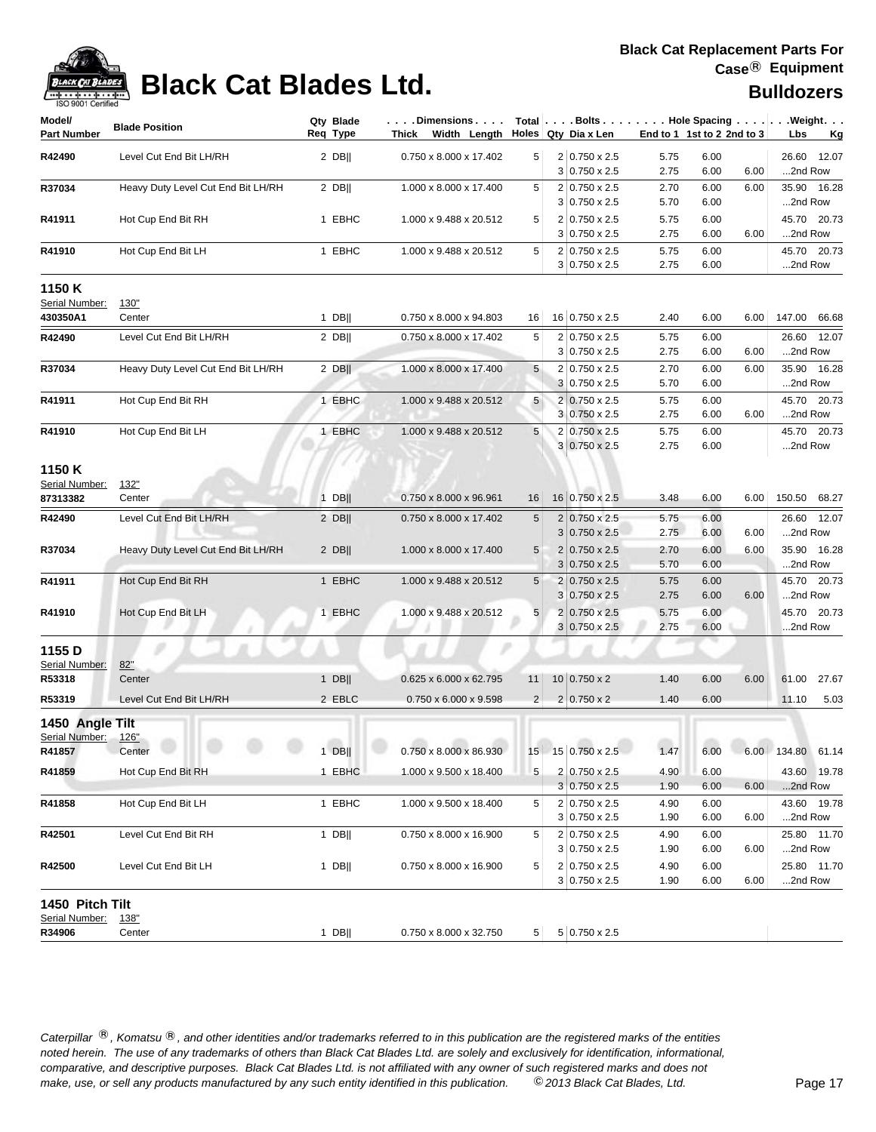

| <b>190 anni Ceimied</b><br>Model/ |                                    | Qty Blade | $\ldots$ . Dimensions. $\ldots$    |                                            | Total   Bolts   Hole Spacing   Weight.     |      |                            |                  |
|-----------------------------------|------------------------------------|-----------|------------------------------------|--------------------------------------------|--------------------------------------------|------|----------------------------|------------------|
| <b>Part Number</b>                | <b>Blade Position</b>              | Req Type  | Thick Width Length                 |                                            | Holes Qty Dia x Len                        |      | End to 1 1st to 2 2nd to 3 | Lbs<br><u>Kg</u> |
| R42490                            | Level Cut End Bit LH/RH            | $2$ DB    | 0.750 x 8.000 x 17.402             | 5                                          | 2 0.750 x 2.5                              | 5.75 | 6.00                       | 26.60<br>12.07   |
|                                   |                                    |           |                                    |                                            | $3 0.750 \times 2.5$                       | 2.75 | 6.00<br>6.00               | 2nd Row          |
| R37034                            | Heavy Duty Level Cut End Bit LH/RH | $2$ DB    | 1.000 x 8.000 x 17.400             | 5                                          | $2 0.750 \times 2.5$                       | 2.70 | 6.00<br>6.00               | 35.90 16.28      |
|                                   |                                    |           |                                    |                                            | $3 0.750 \times 2.5$                       | 5.70 | 6.00                       | 2nd Row          |
| R41911                            | Hot Cup End Bit RH                 | 1 EBHC    | 1.000 x 9.488 x 20.512             | 5                                          | 2 0.750 x 2.5                              | 5.75 | 6.00                       | 45.70 20.73      |
|                                   |                                    |           |                                    |                                            | $3 0.750 \times 2.5$                       | 2.75 | 6.00<br>6.00               | 2nd Row          |
| R41910                            | Hot Cup End Bit LH                 | 1 EBHC    | 1.000 x 9.488 x 20.512             | 5                                          | 2 0.750 x 2.5                              | 5.75 | 6.00                       | 45.70 20.73      |
|                                   |                                    |           |                                    |                                            | $3 0.750 \times 2.5$                       | 2.75 | 6.00                       | 2nd Row          |
| 1150 K                            |                                    |           |                                    |                                            |                                            |      |                            |                  |
| Serial Number:                    | 130"                               |           |                                    |                                            |                                            |      |                            |                  |
| 430350A1                          | Center                             | $1$ DB    | 0.750 x 8.000 x 94.803             | 16                                         | 16 0.750 x 2.5                             | 2.40 | 6.00<br>6.00               | 147.00<br>66.68  |
| R42490                            | Level Cut End Bit LH/RH            | $2$ DB    | 0.750 x 8.000 x 17.402             | 5                                          | $2 0.750 \times 2.5$                       | 5.75 | 6.00                       | 26.60 12.07      |
|                                   |                                    |           |                                    |                                            | $3 0.750 \times 2.5$                       | 2.75 | 6.00<br>6.00               | 2nd Row          |
| R37034                            | Heavy Duty Level Cut End Bit LH/RH | $2$ DB    | 1.000 x 8.000 x 17.400             | 5                                          | $2 0.750 \times 2.5$                       | 2.70 | 6.00<br>6.00               | 35.90 16.28      |
|                                   |                                    |           |                                    |                                            | $3 0.750 \times 2.5$                       | 5.70 | 6.00                       | 2nd Row          |
| R41911                            | Hot Cup End Bit RH                 | 1 EBHC    | 1.000 x 9.488 x 20.512             | 5                                          | 2 0.750 x 2.5                              | 5.75 | 6.00                       | 45.70 20.73      |
|                                   |                                    |           |                                    |                                            | $3 0.750 \times 2.5$                       | 2.75 | 6.00<br>6.00               | 2nd Row          |
| R41910                            | Hot Cup End Bit LH                 | 1 EBHC    | 1.000 x 9.488 x 20.512             | 5                                          | 2 0.750 x 2.5                              | 5.75 | 6.00                       | 45.70<br>20.73   |
|                                   |                                    |           |                                    |                                            | $3 0.750 \times 2.5$                       | 2.75 | 6.00                       | 2nd Row          |
| 1150 K                            |                                    |           |                                    |                                            |                                            |      |                            |                  |
| Serial Number:                    | 132"                               |           |                                    |                                            |                                            |      |                            |                  |
| 87313382                          | Center                             | $1$ DB    | 0.750 x 8.000 x 96.961             | 16                                         | 16 0.750 x 2.5                             | 3.48 | 6.00<br>6.00               | 150.50 68.27     |
| R42490                            | Level Cut End Bit LH/RH            | $2$ DB    | 0.750 x 8.000 x 17.402             | 5                                          | $2 0.750 \times 2.5 $                      | 5.75 | 6.00                       | 26.60 12.07      |
|                                   |                                    |           |                                    |                                            | $3 0.750 \times 2.5$                       | 2.75 | 6.00<br>6.00               | 2nd Row          |
| R37034                            | Heavy Duty Level Cut End Bit LH/RH | $2$ DB    | 1.000 x 8.000 x 17.400             | $5\phantom{.0}$                            | $2 0.750 \times 2.5$                       | 2.70 | 6.00<br>6.00               | 35.90 16.28      |
|                                   |                                    |           |                                    |                                            | $3 0.750 \times 2.5$                       | 5.70 | 6.00                       | 2nd Row          |
| R41911                            | Hot Cup End Bit RH                 | 1 EBHC    | 1.000 x 9.488 x 20.512             | $5\phantom{.0}$                            | $2 0.750 \times 2.5$                       | 5.75 | 6.00                       | 45.70 20.73      |
|                                   |                                    |           |                                    |                                            | $3 0.750 \times 2.5$                       | 2.75 | 6.00<br>6.00               | 2nd Row          |
| R41910                            | Hot Cup End Bit LH                 | 1 EBHC    | 1.000 x 9.488 x 20.512             | 5                                          | $2 0.750 \times 2.5 $                      | 5.75 | 6.00                       | 45.70 20.73      |
|                                   |                                    |           |                                    |                                            | $3 0.750 \times 2.5 $                      | 2.75 | 6.00                       | 2nd Row          |
| 1155 D                            | $\mathcal{P}$                      |           |                                    |                                            |                                            |      | 79                         |                  |
| Serial Number:                    | 82"                                |           |                                    |                                            |                                            |      |                            |                  |
| R53318                            | Center                             | $1$ DB    | 0.625 x 6.000 x 62.795             | 11                                         | $10$ 0.750 x 2                             | 1.40 | 6.00<br>6.00               | 61.00<br>27.67   |
| R53319                            | Level Cut End Bit LH/RH            | 2 EBLC    | 0.750 x 6.000 x 9.598              | $\overline{2}$                             | $2 0.750 \times 2$                         | 1.40 | 6.00                       | 11.10<br>5.03    |
|                                   |                                    |           |                                    |                                            |                                            |      |                            |                  |
| 1450 Angle Tilt                   |                                    |           |                                    |                                            |                                            |      |                            |                  |
| Serial Number:                    | 126"                               |           |                                    | <b>Contract Contract Contract Contract</b> | <b>Contract Contract Contract Contract</b> |      |                            |                  |
| R41857                            | Center                             | 1 $DB$    | 0.750 x 8.000 x 86.930             | 15                                         | $15 \mid 0.750 \times 2.5$                 | 1.47 | 6.00<br>6.00               | 134.80 61.14     |
| R41859                            | Hot Cup End Bit RH                 | 1 EBHC    | 1.000 x 9.500 x 18.400             | 5                                          | 2 0.750 x 2.5                              | 4.90 | 6.00                       | 43.60 19.78      |
|                                   |                                    |           |                                    |                                            | $3 0.750 \times 2.5$                       | 1.90 | 6.00<br>6.00               | 2nd Row          |
| R41858                            | Hot Cup End Bit LH                 | 1 EBHC    | 1.000 x 9.500 x 18.400             | 5                                          | $2 0.750 \times 2.5$                       | 4.90 | 6.00                       | 43.60 19.78      |
|                                   |                                    |           |                                    |                                            | $3 0.750 \times 2.5$                       | 1.90 | 6.00<br>6.00               | 2nd Row          |
| R42501                            | Level Cut End Bit RH               | 1 DB      | 0.750 x 8.000 x 16.900             | 5                                          | $2 0.750 \times 2.5$                       | 4.90 | 6.00                       | 25.80 11.70      |
|                                   |                                    |           |                                    |                                            | $3 0.750 \times 2.5$                       | 1.90 | 6.00<br>6.00               | 2nd Row          |
| R42500                            | Level Cut End Bit LH               | 1 $DB$    | 0.750 x 8.000 x 16.900             | 5                                          | $2 0.750 \times 2.5$                       | 4.90 | 6.00                       | 25.80 11.70      |
|                                   |                                    |           |                                    |                                            | $3 0.750 \times 2.5$                       | 1.90 | 6.00<br>6.00               | 2nd Row          |
| 1450 Pitch Tilt                   |                                    |           |                                    |                                            |                                            |      |                            |                  |
| Serial Number:                    | <u>138"</u>                        |           |                                    |                                            |                                            |      |                            |                  |
| R34906                            | Center                             | $1$ DB    | $0.750 \times 8.000 \times 32.750$ |                                            | $5 \mid 5 \mid 0.750 \times 2.5$           |      |                            |                  |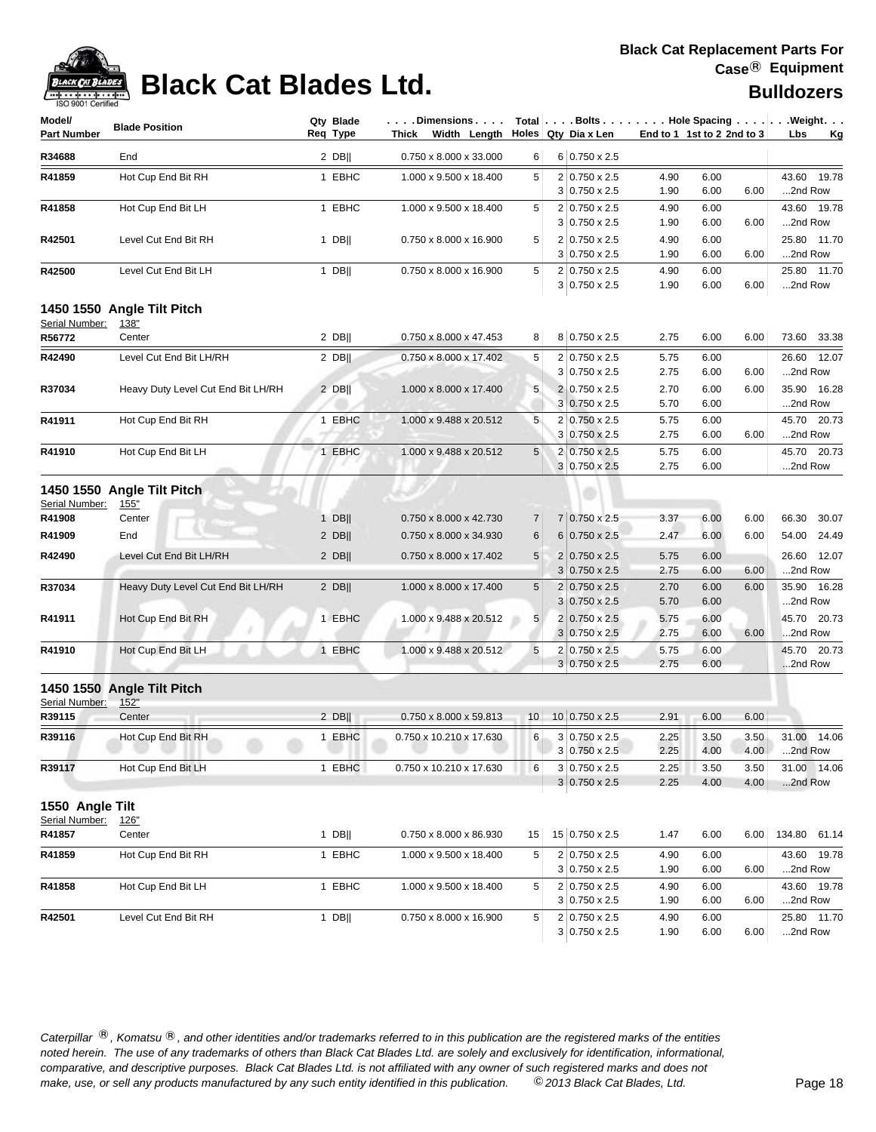### **Black Cat Blades Ltd.**

| <b>COMMON THE AMERICAN</b><br>$\sqrt{}$ $\cdots$ $\cdots$ $\cdots$ $\cdots$ $\cdots$<br>ISO 9001 Certified |                       | DIACK GAL DIAURS LIU. |                                                                        |          |                                              |              |                            |      | <b>Bulldozers</b>                                    |
|------------------------------------------------------------------------------------------------------------|-----------------------|-----------------------|------------------------------------------------------------------------|----------|----------------------------------------------|--------------|----------------------------|------|------------------------------------------------------|
| Model/<br><b>Part Number</b>                                                                               | <b>Blade Position</b> | Qty Blade<br>Req Type | . Dimensions I<br>Width Length   Holes   Qty Dia x Len<br><b>Thick</b> |          |                                              |              | End to 1 1st to 2 2nd to 3 |      | Total Bolts Hole Spacing Weight.<br><b>Lbs</b><br>Kg |
| R34688                                                                                                     | End                   | 2 DBII                | $0.750 \times 8.000 \times 33.000$                                     | $6 \mid$ | 6 0.750 x 2.5                                |              |                            |      |                                                      |
| R41859                                                                                                     | Hot Cup End Bit RH    | 1 EBHC                | 1.000 x 9.500 x 18.400                                                 | 5        | $2 0.750 \times 2.5$<br>$3 0.750 \times 2.5$ | 4.90<br>1.90 | 6.00<br>6.00               | 6.00 | 43.60 19.78<br>2nd Row                               |
| R41858                                                                                                     | Hot Cup End Bit LH    | 1 EBHC                | 1.000 x 9.500 x 18.400                                                 | 5        | 2 0.750 x 2.5<br>$3 0.750 \times 2.5$        | 4.90<br>1.90 | 6.00<br>6.00               | 6.00 | 43.60 19.78<br>2nd Row                               |
| R42501                                                                                                     | Level Cut End Bit RH  | 1 DBII                | $0.750 \times 8.000 \times 16.900$                                     | 5        | $2 0.750 \times 2.5$<br>$3 0.750 \times 2.5$ | 4.90<br>1.90 | 6.00<br>6.00               | 6.00 | 25.80 11.70<br>2nd Row                               |

 $3 \mid 0.750 \times 2.5$  1.90 6.00 6.00 ...2nd Row

### **1450 1550 Angle Tilt Pitch**

| Serial Number: | 138"                               |             |                                    |                |                             |      |      |      |                |
|----------------|------------------------------------|-------------|------------------------------------|----------------|-----------------------------|------|------|------|----------------|
| R56772         | Center                             | 2 DBII      | $0.750 \times 8.000 \times 47.453$ | 8              | 8 0.750 x 2.5               | 2.75 | 6.00 | 6.00 | 33.38<br>73.60 |
| R42490         | Level Cut End Bit LH/RH            | 2 DBIL      | $0.750 \times 8.000 \times 17.402$ | 5              | $2 0.750 \times 2.5 $       | 5.75 | 6.00 |      | 26.60 12.07    |
|                |                                    |             |                                    |                | $3 0.750 \times 2.5$        | 2.75 | 6.00 | 6.00 | 2nd Row        |
| R37034         | Heavy Duty Level Cut End Bit LH/RH | 2 DBII      | 1.000 x 8.000 x 17.400             | 5 <sup>1</sup> | $2 \times 0.750 \times 2.5$ | 2.70 | 6.00 | 6.00 | 35.90 16.28    |
|                |                                    |             |                                    |                | $3 0.750 \times 2.5$        | 5.70 | 6.00 |      | $$ 2nd Row     |
| R41911         | Hot Cup End Bit RH                 | <b>EBHC</b> | 1.000 x 9.488 x 20.512             | 5              | 2 0.750 x 2.5               | 5.75 | 6.00 |      | 45.70 20.73    |
|                |                                    |             |                                    |                | $3 0.750 \times 2.5$        | 2.75 | 6.00 | 6.00 | 2nd Row        |
| R41910         | Hot Cup End Bit LH                 | <b>EBHC</b> | 1.000 x 9.488 x 20.512             | 5 <sup>1</sup> | $2 0.750 \times 2.5$        | 5.75 | 6.00 |      | 45.70 20.73    |
|                |                                    |             |                                    |                | $3 0.750 \times 2.5$        | 2.75 | 6.00 |      | 2nd Row        |

**R42500** Level Cut End Bit LH 1 DB|| 0.750 x 8.000 x 16.900 2 0.750 x 2.5 4.90 6.00 25.80 11.70

### **1450 1550 Angle Tilt Pitch**

| Serial Number: | 155"                               |             |                                    |                |                           |      |      |      |                |
|----------------|------------------------------------|-------------|------------------------------------|----------------|---------------------------|------|------|------|----------------|
| R41908         | Center                             | <b>DBII</b> | $0.750 \times 8.000 \times 42.730$ | 7 <sup>1</sup> | 7 0.750 x 2.5             | 3.37 | 6.00 | 6.00 | 66.30<br>30.07 |
| R41909         | End                                | 2 DBII      | $0.750 \times 8.000 \times 34.930$ | $6 \mid$       | $6 \mid 0.750 \times 2.5$ | 2.47 | 6.00 | 6.00 | 54.00 24.49    |
| R42490         | Level Cut End Bit LH/RH            | $2$ DB      | $0.750 \times 8.000 \times 17.402$ | 5 <sup>1</sup> | $2 0.750 \times 2.5$      | 5.75 | 6.00 |      | 26.60 12.07    |
|                |                                    |             |                                    |                | $3 0.750 \times 2.5$      | 2.75 | 6.00 | 6.00 | 2nd Row        |
| R37034         | Heavy Duty Level Cut End Bit LH/RH | 2 DBII      | 1.000 x 8.000 x 17.400             | 5 <sup>1</sup> | $2 0.750 \times 2.5 $     | 2.70 | 6.00 | 6.00 | 35.90 16.28    |
|                |                                    |             |                                    |                | $3 0.750 \times 2.5$      | 5.70 | 6.00 |      | 2nd Row        |
| R41911         | Hot Cup End Bit RH                 | <b>EBHC</b> | 1.000 x 9.488 x 20.512             | 5 <sup>1</sup> | $2 0.750 \times 2.5 $     | 5.75 | 6.00 |      | 45.70 20.73    |
|                |                                    |             |                                    |                | $3 0.750 \times 2.5$      | 2.75 | 6.00 | 6.00 | 2nd Row        |
| R41910         | Hot Cup End Bit LH                 | <b>EBHC</b> | 1.000 x 9.488 x 20.512             | 5 <sup>1</sup> | $2 0.750 \times 2.5$      | 5.75 | 6.00 |      | 45.70 20.73    |
|                |                                    |             |                                    |                | $3 0.750 \times 2.5$      | 2.75 | 6.00 |      | 2nd Row        |

### **1450 1550 Angle Tilt Pitch**

| Serial Number: | 152"               |             |                                     |                        |                       |      |      |      |                |
|----------------|--------------------|-------------|-------------------------------------|------------------------|-----------------------|------|------|------|----------------|
| R39115         | Center             | 2 DBII      | $0.750 \times 8.000 \times 59.813$  | 10 <sup>1</sup><br>___ | $10 0.750 \times 2.5$ | 2.91 | 6.00 | 6.00 |                |
| R39116         | Hot Cup End Bit RH | EBHC        | $0.750 \times 10.210 \times 17.630$ | 6                      | $3 0.750 \times 2.5$  | 2.25 | 3.50 | 3.50 | 14.06<br>31.00 |
|                |                    |             |                                     |                        | $3 0.750 \times 2.5$  | 2.25 | 4.00 | 4.00 | 2nd Row        |
| R39117         | Hot Cup End Bit LH | <b>EBHC</b> | $0.750 \times 10.210 \times 17.630$ | 6                      | $3 0.750 \times 2.5$  | 2.25 | 3.50 | 3.50 | 14.06<br>31.00 |
|                |                    |             |                                     |                        | $3 0.750 \times 2.5$  | 2.25 | 4.00 | 4.00 | 2nd Row        |

### **1550 Angle Tilt**

| Serial Number: | 126"                 |             |                                    |                 |                            |      |      |      |                 |
|----------------|----------------------|-------------|------------------------------------|-----------------|----------------------------|------|------|------|-----------------|
| R41857         | Center               | <b>DBII</b> | $0.750 \times 8.000 \times 86.930$ | 15 <sub>1</sub> | $15 \mid 0.750 \times 2.5$ | 1.47 | 6.00 | 6.00 | 61.14<br>134.80 |
| R41859         | Hot Cup End Bit RH   | EBHC        | 1.000 x 9.500 x 18.400 l           | 5               | $2 0.750 \times 2.5 $      | 4.90 | 6.00 |      | 19.78<br>43.60  |
|                |                      |             |                                    |                 | $3 0.750 \times 2.5$       | 1.90 | 6.00 | 6.00 | 2nd Row         |
| R41858         | Hot Cup End Bit LH   | EBHC        | 1.000 x 9.500 x 18.400 l           | 5               | $2 0.750 \times 2.5$       | 4.90 | 6.00 |      | 19.78<br>43.60  |
|                |                      |             |                                    |                 | $3 0.750 \times 2.5$       | 1.90 | 6.00 | 6.00 | 2nd Row         |
| R42501         | Level Cut End Bit RH | DBII        | $0.750 \times 8.000 \times 16.900$ | 5               | $2 0.750 \times 2.5 $      | 4.90 | 6.00 |      | 11.70<br>25.80  |
|                |                      |             |                                    |                 | $3 0.750 \times 2.5$       | 1.90 | 6.00 | 6.00 | 2nd Row         |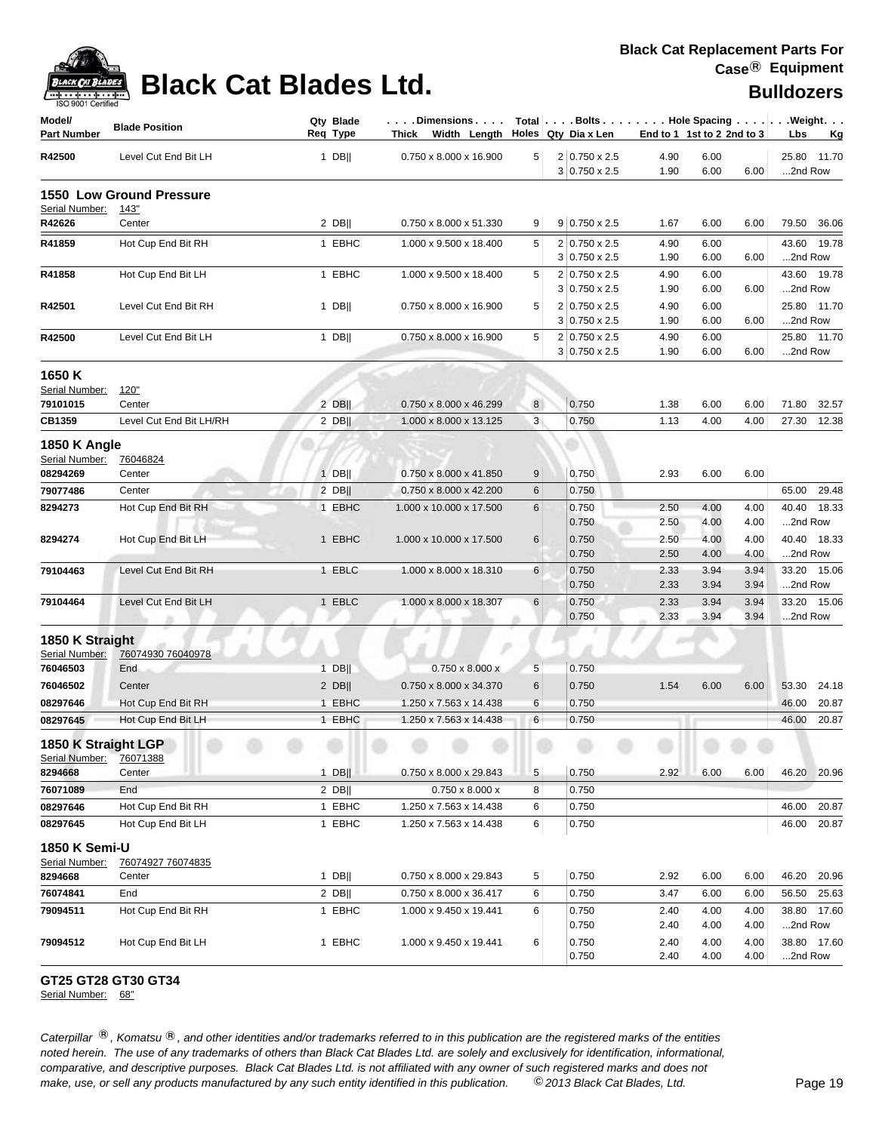

| Model/<br><b>Part Number</b>          | <b>Blade Position</b>    | Qty Blade<br>Reg Type | Dimensions   Total   Bolts    Hole Spacing    Weight<br>Thick Width Length $\vert$ Holes Qty Dia x Len |       |                      | End to 1 1st to 2 2nd to 3 |      |      | Lbs<br>Kg      |
|---------------------------------------|--------------------------|-----------------------|--------------------------------------------------------------------------------------------------------|-------|----------------------|----------------------------|------|------|----------------|
| R42500                                | Level Cut End Bit LH     | 1 DB                  | 0.750 x 8.000 x 16.900                                                                                 | 5     | 2 0.750 x 2.5        | 4.90                       | 6.00 |      | 25.80 11.70    |
|                                       |                          |                       |                                                                                                        |       | 3 0.750 x 2.5        | 1.90                       | 6.00 | 6.00 | 2nd Row        |
|                                       | 1550 Low Ground Pressure |                       |                                                                                                        |       |                      |                            |      |      |                |
| Serial Number:                        | 143"                     |                       |                                                                                                        |       |                      |                            |      |      |                |
| R42626                                | Center                   | $2$ DB                | 0.750 x 8.000 x 51.330                                                                                 | 9     | $9 0.750 \times 2.5$ | 1.67                       | 6.00 | 6.00 | 79.50 36.06    |
| R41859                                | Hot Cup End Bit RH       | 1 EBHC                | 1.000 x 9.500 x 18.400                                                                                 | 5     | 2 0.750 x 2.5        | 4.90                       | 6.00 |      | 43.60 19.78    |
|                                       |                          |                       |                                                                                                        |       | $3 0.750 \times 2.5$ | 1.90                       | 6.00 | 6.00 | 2nd Row        |
| R41858                                | Hot Cup End Bit LH       | 1 EBHC                | 1.000 x 9.500 x 18.400                                                                                 | 5     | $2 0.750 \times 2.5$ | 4.90                       | 6.00 |      | 43.60 19.78    |
|                                       |                          |                       |                                                                                                        |       | $3 0.750 \times 2.5$ | 1.90                       | 6.00 | 6.00 | 2nd Row        |
| R42501                                | Level Cut End Bit RH     | $1$ DB                | 0.750 x 8.000 x 16.900                                                                                 | 5     | 2 0.750 x 2.5        | 4.90                       | 6.00 |      | 25.80 11.70    |
|                                       |                          |                       |                                                                                                        |       | $3 0.750 \times 2.5$ | 1.90                       | 6.00 | 6.00 | 2nd Row        |
| R42500                                | Level Cut End Bit LH     | $1$ DB                | 0.750 x 8.000 x 16.900                                                                                 | 5     | 2 0.750 x 2.5        | 4.90                       | 6.00 |      | 25.80 11.70    |
|                                       |                          |                       |                                                                                                        |       | $3 0.750 \times 2.5$ | 1.90                       | 6.00 | 6.00 | 2nd Row        |
| 1650 K                                |                          |                       |                                                                                                        |       |                      |                            |      |      |                |
| Serial Number:                        | 120"                     |                       |                                                                                                        |       |                      |                            |      |      |                |
| 79101015                              | Center                   | $2$ DB                | 0.750 x 8.000 x 46.299                                                                                 | 8     | 0.750                | 1.38                       | 6.00 | 6.00 | 71.80<br>32.57 |
| CB1359                                | Level Cut End Bit LH/RH  | $2$ DB                | 1.000 x 8.000 x 13.125                                                                                 | 3     | 0.750                | 1.13                       | 4.00 | 4.00 | 27.30 12.38    |
| <b>1850 K Angle</b>                   |                          |                       |                                                                                                        |       |                      |                            |      |      |                |
| Serial Number:                        | 76046824                 |                       |                                                                                                        |       |                      |                            |      |      |                |
| 08294269                              | Center                   | $1$ DB                | $0.750 \times 8.000 \times 41.850$                                                                     | 9     | 0.750                | 2.93                       | 6.00 | 6.00 |                |
| 79077486                              | Center                   | $2$ DB                | 0.750 x 8.000 x 42.200                                                                                 | 6     | 0.750                |                            |      |      | 65.00 29.48    |
| 8294273                               | Hot Cup End Bit RH       | 1 EBHC                | 1.000 x 10.000 x 17.500                                                                                | 6     | 0.750                | 2.50                       | 4.00 | 4.00 | 40.40 18.33    |
|                                       |                          |                       |                                                                                                        |       | 0.750                | 2.50                       | 4.00 | 4.00 | 2nd Row        |
| 8294274                               | Hot Cup End Bit LH       | 1 EBHC                | 1.000 x 10.000 x 17.500                                                                                | 6     | 0.750                | 2.50                       | 4.00 | 4.00 | 40.40 18.33    |
|                                       |                          |                       |                                                                                                        |       | 0.750                | 2.50                       | 4.00 | 4.00 | 2nd Row        |
| 79104463                              | Level Cut End Bit RH     | 1 EBLC                | 1.000 x 8.000 x 18.310                                                                                 | 6     | 0.750                | 2.33                       | 3.94 | 3.94 | 33.20 15.06    |
|                                       |                          |                       |                                                                                                        |       | 0.750                | 2.33                       | 3.94 | 3.94 | 2nd Row        |
| 79104464                              | Level Cut End Bit LH     | 1 EBLC                | 1.000 x 8.000 x 18.307                                                                                 | 6     | 0.750                | 2.33                       | 3.94 | 3.94 | 33.20 15.06    |
|                                       |                          |                       |                                                                                                        |       | 0.750                | 2.33                       | 3.94 | 3.94 | 2nd Row        |
| 1850 K Straight                       |                          |                       |                                                                                                        |       |                      |                            |      |      |                |
| Serial Number:                        | 76074930 76040978        |                       |                                                                                                        |       |                      |                            |      |      |                |
| 76046503                              | End                      | $1$ DB                | $0.750 \times 8.000 \times$                                                                            | 5     | 0.750                |                            |      |      |                |
| 76046502                              | Center                   | $2$ DB                | 0.750 x 8.000 x 34.370                                                                                 | 6     | 0.750                | 1.54                       | 6.00 | 6.00 | 53.30<br>24.18 |
| 08297646                              | Hot Cup End Bit RH       | 1 EBHC                | 1.250 x 7.563 x 14.438                                                                                 | $\,6$ | 0.750                |                            |      |      | 46.00<br>20.87 |
| 08297645                              | Hot Cup End Bit LH       | 1 EBHC                | 1.250 x 7.563 x 14.438                                                                                 | 6     | 0.750                |                            |      |      | 20.87<br>46.00 |
|                                       |                          |                       |                                                                                                        |       |                      |                            |      |      |                |
| 1850 K Straight LGP<br>Serial Number: | 76071388                 |                       |                                                                                                        |       |                      |                            |      |      |                |
| 8294668                               | Center                   | $1$ DB                | 0.750 x 8.000 x 29.843                                                                                 | 5     | 0.750                | 2.92                       | 6.00 | 6.00 | 46.20 20.96    |
| 76071089                              | End                      | $2$ DB                | $0.750 \times 8.000 \times$                                                                            | 8     | 0.750                |                            |      |      |                |
| 08297646                              | Hot Cup End Bit RH       | 1 EBHC                | 1.250 x 7.563 x 14.438                                                                                 | 6     | 0.750                |                            |      |      | 20.87<br>46.00 |
| 08297645                              |                          |                       | 1.250 x 7.563 x 14.438                                                                                 | 6     | 0.750                |                            |      |      | 20.87          |
|                                       | Hot Cup End Bit LH       | 1 EBHC                |                                                                                                        |       |                      |                            |      |      | 46.00          |
| 1850 K Semi-U                         |                          |                       |                                                                                                        |       |                      |                            |      |      |                |
| Serial Number:                        | 76074927 76074835        |                       |                                                                                                        |       |                      |                            |      |      |                |
| 8294668                               | Center                   | 1 DB                  | 0.750 x 8.000 x 29.843                                                                                 | 5     | 0.750                | 2.92                       | 6.00 | 6.00 | 46.20 20.96    |
| 76074841                              | End                      | $2$ DB                | 0.750 x 8.000 x 36.417                                                                                 | 6     | 0.750                | 3.47                       | 6.00 | 6.00 | 56.50 25.63    |
| 79094511                              | Hot Cup End Bit RH       | 1 EBHC                | 1.000 x 9.450 x 19.441                                                                                 | 6     | 0.750                | 2.40                       | 4.00 | 4.00 | 38.80 17.60    |
|                                       |                          |                       |                                                                                                        |       | 0.750                | 2.40                       | 4.00 | 4.00 | 2nd Row        |
| 79094512                              | Hot Cup End Bit LH       | 1 EBHC                | 1.000 x 9.450 x 19.441                                                                                 | 6     | 0.750                | 2.40                       | 4.00 | 4.00 | 38.80 17.60    |
|                                       |                          |                       |                                                                                                        |       | 0.750                | 2.40                       | 4.00 | 4.00 | 2nd Row        |

### **GT25 GT28 GT30 GT34**

Serial Number: 68"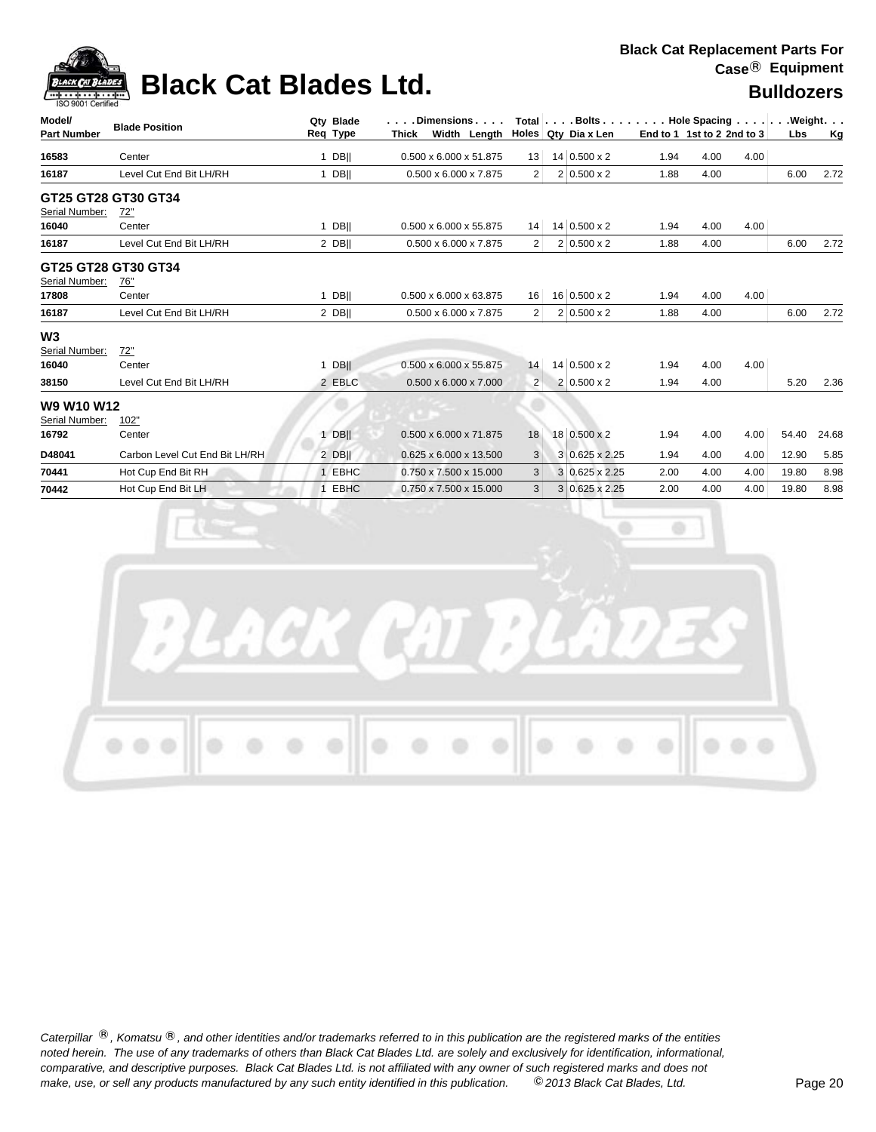

| Model/                           | <b>Blade Position</b>             | Qty Blade | Dimensions   Total   Bolts    Hole Spacing    Weight |                |                       |                            |      |      |            |           |
|----------------------------------|-----------------------------------|-----------|------------------------------------------------------|----------------|-----------------------|----------------------------|------|------|------------|-----------|
| <b>Part Number</b>               |                                   | Req Type  | Thick Width Length $\vert$ Holes Qty Dia x Len       |                |                       | End to 1 1st to 2 2nd to 3 |      |      | <b>Lbs</b> | <b>Kg</b> |
| 16583                            | Center                            | $1$ DB    | 0.500 x 6.000 x 51.875                               | 13             | $14 0.500 \times 2$   | 1.94                       | 4.00 | 4.00 |            |           |
| 16187                            | Level Cut End Bit LH/RH           | $1$ DB    | $0.500 \times 6.000 \times 7.875$                    | $\overline{2}$ | $2 0.500 \times 2$    | 1.88                       | 4.00 |      | 6.00       | 2.72      |
| Serial Number:                   | GT25 GT28 GT30 GT34<br>72"        |           |                                                      |                |                       |                            |      |      |            |           |
| 16040                            | Center                            | $1$ DB    | $0.500 \times 6.000 \times 55.875$                   | 14             | 14 0.500 x 2          | 1.94                       | 4.00 | 4.00 |            |           |
| 16187                            | Level Cut End Bit LH/RH           | 2 DBII    | $0.500 \times 6.000 \times 7.875$                    | $\overline{2}$ | $2 0.500 \times 2$    | 1.88                       | 4.00 |      | 6.00       | 2.72      |
| Serial Number:                   | GT25 GT28 GT30 GT34<br><u>76"</u> |           |                                                      |                |                       |                            |      |      |            |           |
| 17808                            | Center                            | $1$ DB    | $0.500 \times 6.000 \times 63.875$                   | 16             | 16 0.500 x 2          | 1.94                       | 4.00 | 4.00 |            |           |
| 16187                            | Level Cut End Bit LH/RH           | $2$ DB    | $0.500 \times 6.000 \times 7.875$                    | $\overline{2}$ | $2 0.500 \times 2$    | 1.88                       | 4.00 |      | 6.00       | 2.72      |
| W <sub>3</sub><br>Serial Number: | 72"                               |           |                                                      |                |                       |                            |      |      |            |           |
| 16040                            | Center                            | $1$ DB    | $0.500 \times 6.000 \times 55.875$                   | 14             | 14 0.500 x 2          | 1.94                       | 4.00 | 4.00 |            |           |
| 38150                            | Level Cut End Bit LH/RH           | 2 EBLC    | $0.500 \times 6.000 \times 7.000$                    | $\overline{c}$ | $2 0.500 \times 2 $   | 1.94                       | 4.00 |      | 5.20       | 2.36      |
| W9 W10 W12<br>Serial Number:     | 102"                              |           |                                                      |                |                       |                            |      |      |            |           |
| 16792                            | Center                            | $1$ DB    | $0.500 \times 6.000 \times 71.875$                   | 18             | 18 0.500 x 2          | 1.94                       | 4.00 | 4.00 | 54.40      | 24.68     |
| D48041                           | Carbon Level Cut End Bit LH/RH    | $2$ DB    | $0.625 \times 6.000 \times 13.500$                   | 3              | $3 0.625 \times 2.25$ | 1.94                       | 4.00 | 4.00 | 12.90      | 5.85      |
| 70441                            | Hot Cup End Bit RH                | 1 EBHC    | $0.750 \times 7.500 \times 15.000$                   | 3              | 3 0.625 x 2.25        | 2.00                       | 4.00 | 4.00 | 19.80      | 8.98      |
| 70442                            | Hot Cup End Bit LH                | 1 EBHC    | $0.750 \times 7.500 \times 15.000$                   | 3              | $3 0.625 \times 2.25$ | 2.00                       | 4.00 | 4.00 | 19.80      | 8.98      |
|                                  |                                   |           |                                                      |                |                       |                            |      |      |            |           |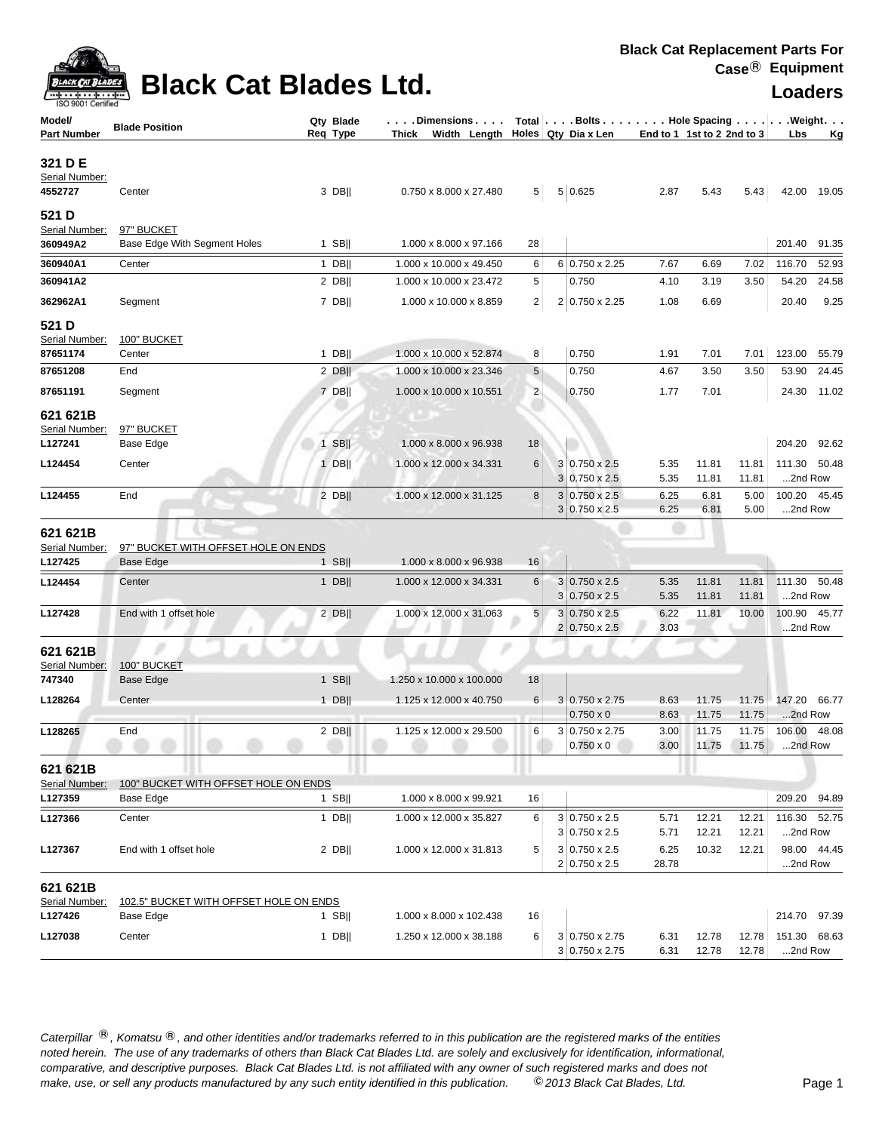

### **Black Cat Blades Ltd. Loaders** Lease **Loaders**

| ISO 9001 Certified                    |                                                  |                       |                                  |                |                                                             |               |                            | LUQUUI J       |                         |             |
|---------------------------------------|--------------------------------------------------|-----------------------|----------------------------------|----------------|-------------------------------------------------------------|---------------|----------------------------|----------------|-------------------------|-------------|
| Model/<br><b>Part Number</b>          | <b>Blade Position</b>                            | Qty Blade<br>Req Type | Dimensions<br>Thick Width Length |                | Total   Bolts Hole Spacing Weight.<br>Holes   Qty Dia x Len |               | End to 1 1st to 2 2nd to 3 |                | Lbs                     | Kg          |
| 321 D E                               |                                                  |                       |                                  |                |                                                             |               |                            |                |                         |             |
| Serial Number:                        |                                                  |                       |                                  |                |                                                             |               |                            |                |                         |             |
| 4552727                               | Center                                           | 3 DB                  | 0.750 x 8.000 x 27.480           | 5 <sup>1</sup> | 5 0.625                                                     | 2.87          | 5.43                       | 5.43           |                         | 42.00 19.05 |
| 521 D                                 |                                                  |                       |                                  |                |                                                             |               |                            |                |                         |             |
| Serial Number:                        | 97" BUCKET                                       |                       |                                  |                |                                                             |               |                            |                |                         |             |
| 360949A2                              | Base Edge With Segment Holes                     | $1$ SB                | 1.000 x 8.000 x 97.166           | 28             |                                                             |               |                            |                | 201.40                  | 91.35       |
| 360940A1                              | Center                                           | $1$ DB                | 1.000 x 10.000 x 49.450          | 6              | 6 0.750 x 2.25                                              | 7.67          | 6.69                       | 7.02           | 116.70                  | 52.93       |
| 360941A2                              |                                                  | $2$ DB                | 1.000 x 10.000 x 23.472          | 5              | 0.750                                                       | 4.10          | 3.19                       | 3.50           | 54.20                   | 24.58       |
| 362962A1                              | Segment                                          | 7 DB                  | 1.000 x 10.000 x 8.859           | 2              | 2 0.750 x 2.25                                              | 1.08          | 6.69                       |                | 20.40                   | 9.25        |
| 521 D                                 |                                                  |                       |                                  |                |                                                             |               |                            |                |                         |             |
| Serial Number:                        | 100" BUCKET                                      |                       |                                  |                |                                                             |               |                            |                |                         |             |
| 87651174                              | Center                                           | $1$ DB                | 1.000 x 10.000 x 52.874          | 8              | 0.750                                                       | 1.91          | 7.01                       | 7.01           | 123.00                  | 55.79       |
| 87651208                              | End                                              | $2$ DB                | 1.000 x 10.000 x 23.346          | 5              | 0.750                                                       | 4.67          | 3.50                       | 3.50           | 53.90                   | 24.45       |
| 87651191                              | Segment                                          | 7 DB                  | 1.000 x 10.000 x 10.551          | $\overline{c}$ | 0.750                                                       | 1.77          | 7.01                       |                | 24.30                   | 11.02       |
| 621 621B                              |                                                  |                       |                                  |                |                                                             |               |                            |                |                         |             |
| Serial Number:                        | 97" BUCKET                                       |                       |                                  |                |                                                             |               |                            |                |                         |             |
| L127241                               | Base Edge                                        | $1$ SB                | 1.000 x 8.000 x 96.938           | 18             |                                                             |               |                            |                | 204.20                  | 92.62       |
| L124454                               | Center                                           | $1$ DB                | 1.000 x 12.000 x 34.331          | 6              | 3 0.750 x 2.5                                               | 5.35          | 11.81                      | 11.81          | 111.30                  | 50.48       |
|                                       |                                                  |                       |                                  |                | $3 0.750 \times 2.5$                                        | 5.35          | 11.81                      | 11.81          | 2nd Row                 |             |
| L124455                               | End                                              | $2$ DB                | 1.000 x 12.000 x 31.125          | 8              | $3 0.750 \times 2.5$<br>$3 0.750 \times 2.5$                | 6.25<br>6.25  | 6.81<br>6.81               | 5.00<br>5.00   | 100.20<br>2nd Row       | 45.45       |
| 621 621B<br>Serial Number:<br>L127425 | 97" BUCKET WITH OFFSET HOLE ON ENDS<br>Base Edge | $1$ SB                | 1.000 x 8.000 x 96.938           | 16             |                                                             |               |                            |                |                         |             |
| L124454                               | Center                                           | $1$ DB                | 1.000 x 12.000 x 34.331          | 6              | $3 0.750 \times 2.5$<br>$3 0.750 \times 2.5$                | 5.35<br>5.35  | 11.81<br>11.81             | 11.81<br>11.81 | 111.30<br>2nd Row       | 50.48       |
| L127428                               | End with 1 offset hole                           | $2$ DB                | 1.000 x 12.000 x 31.063          | 5              | $3 0.750 \times 2.5$<br>$0.750 \times 2.5$                  | 6.22<br>3.03  | 11.81                      | 10.00          | 100.90 45.77<br>2nd Row |             |
| 621 621B                              |                                                  |                       |                                  |                |                                                             |               |                            |                |                         |             |
| Serial Number:<br>747340              | 100" BUCKET<br><b>Base Edge</b>                  | $1$ SB                | 1.250 x 10.000 x 100.000         | 18             |                                                             |               |                            |                |                         |             |
| L128264                               | Center                                           | $1$ DB                | 1.125 x 12.000 x 40.750          | 6              | $3 0.750 \times 2.75$                                       | 8.63          | 11.75                      | 11.75          | 147.20                  | 66.77       |
|                                       |                                                  |                       |                                  |                | $0.750 \times 0$                                            | 8.63          | 11.75                      | 11.75          | 2nd Row                 |             |
| L128265                               | End                                              | 2 DBII                | 1.125 x 12.000 x 29.500          | 6              | 3 0.750 x 2.75<br>$0.750 \times 0$                          | 3.00<br>3.00  | 11.75<br>11.75             | 11.75<br>11.75 | 106.00<br>2nd Row       | 48.08       |
| 621 621B                              |                                                  |                       |                                  |                |                                                             |               |                            |                |                         |             |
| Serial Number:                        | 100" BUCKET WITH OFFSET HOLE ON ENDS             |                       |                                  |                |                                                             |               |                            |                |                         |             |
| L127359                               | Base Edge                                        | $1$ SB                | 1.000 x 8.000 x 99.921           | 16             |                                                             |               |                            |                | 209.20                  | 94.89       |
| L127366                               | Center                                           | $1$ DB                | 1.000 x 12.000 x 35.827          | 6              | $3 0.750 \times 2.5$<br>$3 0.750 \times 2.5$                | 5.71<br>5.71  | 12.21<br>12.21             | 12.21<br>12.21 | 116.30<br>2nd Row       | 52.75       |
| L127367                               | End with 1 offset hole                           | $2$ DB                | 1.000 x 12.000 x 31.813          | 5              | $3 0.750 \times 2.5$<br>$2 0.750 \times 2.5$                | 6.25<br>28.78 | 10.32                      | 12.21          | 98.00<br>2nd Row        | 44.45       |
| 621 621B<br>Serial Number:            | 102.5" BUCKET WITH OFFSET HOLE ON ENDS           |                       |                                  |                |                                                             |               |                            |                |                         |             |
| L127426                               | Base Edge                                        | 1 SB $  $             | 1.000 x 8.000 x 102.438          | 16             |                                                             |               |                            |                | 214.70                  | 97.39       |
| L127038                               | Center                                           | $1$ DB                | 1.250 x 12.000 x 38.188          | 6              | 3 0.750 x 2.75<br>3 0.750 x 2.75                            | 6.31<br>6.31  | 12.78<br>12.78             | 12.78<br>12.78 | 151.30<br>2nd Row       | 68.63       |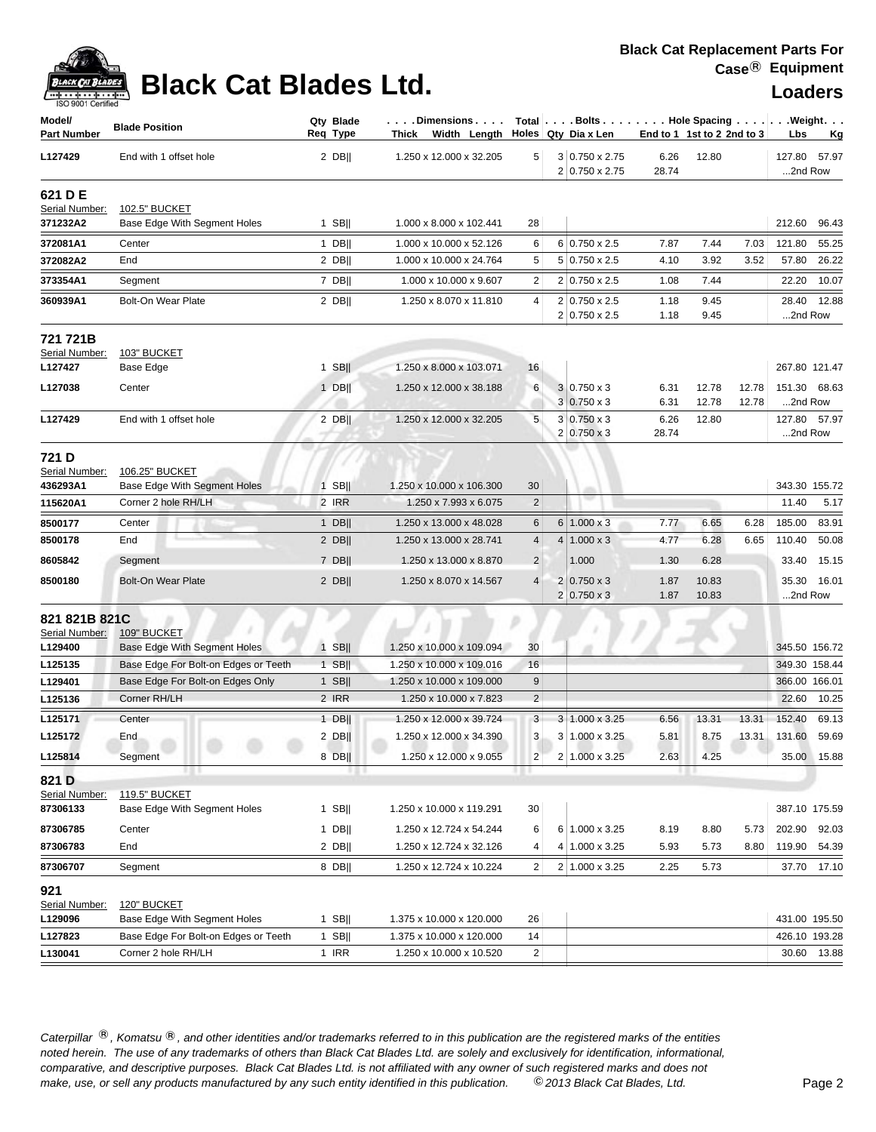| <b>ACK CAT</b> |
|----------------|
|                |

### **Black Cat Blades Ltd. Leaders Leaders Loaders**

| Model/<br>Part Number      | <b>Blade Position</b>                | Qty Blade<br>Reg Type | Dimensions   Total   Bolts    Hole Spacing    Weight<br>Thick Width Length |                  |   | Holes   Qty Dia x Len                        | End to 1 1st to 2 2nd to 3 |                |       | Lbs               | <u>Kg</u>    |
|----------------------------|--------------------------------------|-----------------------|----------------------------------------------------------------------------|------------------|---|----------------------------------------------|----------------------------|----------------|-------|-------------------|--------------|
| L127429                    | End with 1 offset hole               | $2$ DB                | 1.250 x 12.000 x 32.205                                                    | 5                |   | $3 0.750 \times 2.75$<br>2 0.750 x 2.75      | 6.26<br>28.74              | 12.80          |       | 127.80<br>2nd Row | 57.97        |
| 621 D E<br>Serial Number:  | 102.5" BUCKET                        |                       |                                                                            |                  |   |                                              |                            |                |       |                   |              |
| 371232A2                   | Base Edge With Segment Holes         | $1$ SB                | 1.000 x 8.000 x 102.441                                                    | 28               |   |                                              |                            |                |       | 212.60            | 96.43        |
| 372081A1                   | Center                               | $1$ DB                | 1.000 x 10.000 x 52.126                                                    | 6                |   | $6 0.750 \times 2.5$                         | 7.87                       | 7.44           | 7.03  | 121.80            | 55.25        |
| 372082A2                   | End                                  | $2$ DB                | 1.000 x 10.000 x 24.764                                                    | 5                |   | $5 0.750 \times 2.5$                         | 4.10                       | 3.92           | 3.52  | 57.80             | 26.22        |
| 373354A1                   | Segment                              | 7 DB                  | 1.000 x 10.000 x 9.607                                                     | 2                |   | 2 0.750 x 2.5                                | 1.08                       | 7.44           |       | 22.20             | 10.07        |
|                            |                                      |                       |                                                                            |                  |   |                                              |                            |                |       |                   |              |
| 360939A1                   | <b>Bolt-On Wear Plate</b>            | $2$ DB                | 1.250 x 8.070 x 11.810                                                     | $\overline{4}$   |   | $2 0.750 \times 2.5$<br>$2 0.750 \times 2.5$ | 1.18<br>1.18               | 9.45<br>9.45   |       | 28.40<br>2nd Row  | 12.88        |
| 721 721B<br>Serial Number: | 103" BUCKET                          |                       |                                                                            |                  |   |                                              |                            |                |       |                   |              |
| L127427                    | Base Edge                            | 1 $SB$                | 1.250 x 8.000 x 103.071                                                    | 16               |   |                                              |                            |                |       | 267.80 121.47     |              |
| L127038                    | Center                               | $1$ DB                | 1.250 x 12.000 x 38.188                                                    | 6                |   | $3 0.750 \times 3$                           | 6.31                       | 12.78          | 12.78 | 151.30 68.63      |              |
|                            |                                      |                       |                                                                            |                  |   | $3 0.750 \times 3$                           | 6.31                       | 12.78          | 12.78 | 2nd Row           |              |
| L127429                    | End with 1 offset hole               | $2$ DB                | 1.250 x 12.000 x 32.205                                                    | 5                |   | $3 0.750 \times 3$<br>$2 0.750 \times 3$     | 6.26<br>28.74              | 12.80          |       | 2nd Row           | 127.80 57.97 |
|                            |                                      |                       |                                                                            |                  |   |                                              |                            |                |       |                   |              |
| 721 D<br>Serial Number:    | 106.25" BUCKET                       |                       |                                                                            |                  |   |                                              |                            |                |       |                   |              |
| 436293A1                   | Base Edge With Segment Holes         | $1$ SB                | 1.250 x 10.000 x 106.300                                                   | 30               |   |                                              |                            |                |       | 343.30 155.72     |              |
| 115620A1                   | Corner 2 hole RH/LH                  | 2 IRR                 | 1.250 x 7.993 x 6.075                                                      | $\overline{c}$   |   |                                              |                            |                |       | 11.40             | 5.17         |
| 8500177                    | Center                               | $1$ DB                | 1.250 x 13.000 x 48.028                                                    | $\,6$            |   | $6 1.000 \times 3$                           | 7.77                       | 6.65           | 6.28  | 185.00            | 83.91        |
| 8500178                    | End                                  | $2$ DB                | 1.250 x 13.000 x 28.741                                                    | $\overline{4}$   | 4 | $1.000 \times 3$                             | 4.77                       | 6.28           | 6.65  | 110.40            | 50.08        |
| 8605842                    | Segment                              | 7 DB                  | 1.250 x 13.000 x 8.870                                                     | $\overline{2}$   |   | 1.000                                        | 1.30                       | 6.28           |       | 33.40             | 15.15        |
|                            |                                      |                       |                                                                            |                  |   |                                              |                            |                |       |                   |              |
| 8500180                    | <b>Bolt-On Wear Plate</b>            | $2$ DB                | 1.250 x 8.070 x 14.567                                                     | $\overline{4}$   |   | $2 0.750 \times 3$<br>$2 0.750 \times 3$     | 1.87<br>1.87               | 10.83<br>10.83 |       | 35.30<br>2nd Row  | 16.01        |
| 821 821B 821C              |                                      |                       |                                                                            |                  |   |                                              |                            |                |       |                   |              |
| Serial Number:             | 109" BUCKET                          |                       |                                                                            |                  |   |                                              |                            |                |       |                   |              |
| L129400                    | Base Edge With Segment Holes         | $1$ SB                | 1.250 x 10.000 x 109.094                                                   | 30               |   |                                              |                            |                |       | 345.50 156.72     |              |
| L125135                    | Base Edge For Bolt-on Edges or Teeth | $1$ SB                | 1.250 x 10.000 x 109.016                                                   | 16               |   |                                              |                            |                |       | 349.30 158.44     |              |
| L129401                    | Base Edge For Bolt-on Edges Only     | 1 SB                  | 1.250 x 10.000 x 109.000                                                   | $\boldsymbol{9}$ |   |                                              |                            |                |       | 366.00 166.01     |              |
| L125136                    | Corner RH/LH                         | 2 IRR                 | 1.250 x 10.000 x 7.823                                                     | $\overline{2}$   |   |                                              |                            |                |       | 22.60             | 10.25        |
| L125171                    | Center                               | $1$ DB                | 1.250 x 12.000 x 39.724                                                    | 3                |   | 3 1.000 x 3.25                               | 6.56                       | 13.31          | 13.31 | 152.40            | 69.13        |
| L125172                    | End                                  | $2$ DB                | 1.250 x 12.000 x 34.390                                                    | 3                |   | 3 1.000 x 3.25                               | 5.81                       | 8.75           | 13.31 | 131.60            | 59.69        |
| L125814                    | Segment                              | 8 DB                  | 1.250 x 12.000 x 9.055                                                     | $\overline{c}$   |   | 2 1.000 x 3.25                               | 2.63                       | 4.25           |       |                   | 35.00 15.88  |
| 821 D                      |                                      |                       |                                                                            |                  |   |                                              |                            |                |       |                   |              |
| Serial Number:             | <b>119.5" BUCKET</b>                 |                       |                                                                            |                  |   |                                              |                            |                |       |                   |              |
| 87306133                   | Base Edge With Segment Holes         | 1 SB $  $             | 1.250 x 10.000 x 119.291                                                   | 30               |   |                                              |                            |                |       | 387.10 175.59     |              |
| 87306785                   | Center                               | $1$ DB                | 1.250 x 12.724 x 54.244                                                    | 6                |   | 6 1.000 x 3.25                               | 8.19                       | 8.80           | 5.73  | 202.90            | 92.03        |
| 87306783                   | End                                  | $2$ DB                | 1.250 x 12.724 x 32.126                                                    | 4                |   | 4 1.000 x 3.25                               | 5.93                       | 5.73           | 8.80  | 119.90            | 54.39        |
| 87306707                   | Segment                              | 8 DB                  | 1.250 x 12.724 x 10.224                                                    | $\overline{2}$   |   | 2 1.000 x 3.25                               | 2.25                       | 5.73           |       | 37.70             | 17.10        |
| 921                        |                                      |                       |                                                                            |                  |   |                                              |                            |                |       |                   |              |
| Serial Number:             | 120" BUCKET                          |                       |                                                                            |                  |   |                                              |                            |                |       |                   |              |
| L129096                    | Base Edge With Segment Holes         | 1 SB $  $             | 1.375 x 10.000 x 120.000                                                   | 26               |   |                                              |                            |                |       | 431.00 195.50     |              |
| L127823                    | Base Edge For Bolt-on Edges or Teeth | 1 SB                  | 1.375 x 10.000 x 120.000                                                   | 14               |   |                                              |                            |                |       | 426.10 193.28     |              |
| L130041                    | Corner 2 hole RH/LH                  | 1 IRR                 | 1.250 x 10.000 x 10.520                                                    | $\overline{c}$   |   |                                              |                            |                |       |                   | 30.60 13.88  |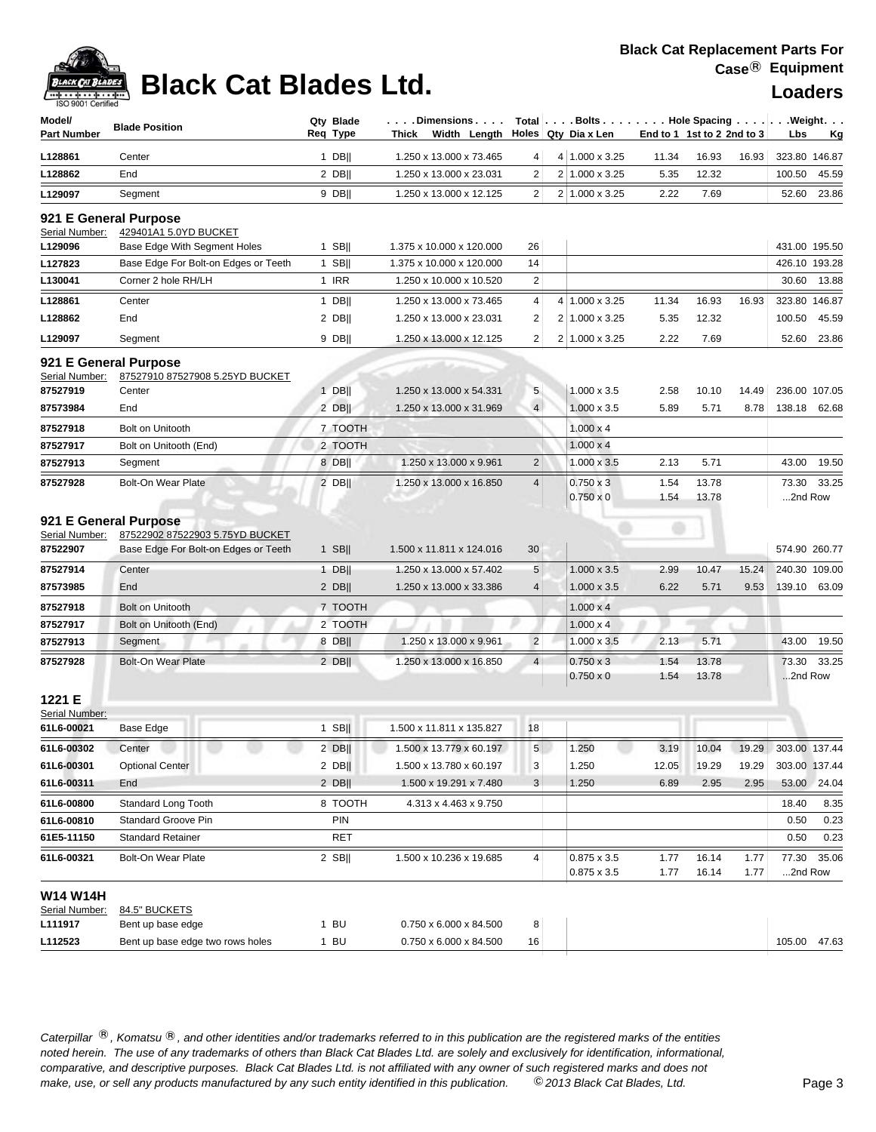## **Black Cat Blades Ltd. Loaders Legand Loaders**

| Model/<br>Part Number                  | <b>Blade Position</b>                                                                            | Qty Blade<br>Req Type | .Dimensions<br>Width Lenath<br>Thick               |                     | Total Bolts Hole Spacing Weight.<br>Holes $Qty$ Dia x Len |              | End to 1 1st to 2 2nd to 3 |               | Lbs              | <u>Kg</u>              |
|----------------------------------------|--------------------------------------------------------------------------------------------------|-----------------------|----------------------------------------------------|---------------------|-----------------------------------------------------------|--------------|----------------------------|---------------|------------------|------------------------|
| L128861                                | Center                                                                                           | $1$ DB                | 1.250 x 13.000 x 73.465                            | 4                   | 4 1.000 x 3.25                                            | 11.34        | 16.93                      | 16.93         |                  | 323.80 146.87          |
| L128862                                | End                                                                                              | $2$ DB                | 1.250 x 13.000 x 23.031                            | 2                   | 2 1.000 x 3.25                                            | 5.35         | 12.32                      |               | 100.50           | 45.59                  |
| L129097                                | Segment                                                                                          | $9$ DB                | 1.250 x 13.000 x 12.125                            | $\overline{2}$      | 2 1.000 x 3.25                                            | 2.22         | 7.69                       |               | 52.60            | 23.86                  |
| Serial Number:                         | 921 E General Purpose<br>429401A1 5.0YD BUCKET                                                   |                       |                                                    |                     |                                                           |              |                            |               |                  |                        |
| L129096                                | Base Edge With Segment Holes                                                                     | $1$ SB                | 1.375 x 10.000 x 120.000                           | 26                  |                                                           |              |                            |               |                  | 431.00 195.50          |
| L127823                                | Base Edge For Bolt-on Edges or Teeth<br>Corner 2 hole RH/LH                                      | $1$ SB                | 1.375 x 10.000 x 120.000                           | 14                  |                                                           |              |                            |               |                  | 426.10 193.28          |
| L130041                                |                                                                                                  | 1 IRR                 | 1.250 x 10.000 x 10.520                            | $\overline{c}$      |                                                           |              |                            |               | 30.60            | 13.88                  |
| L128861                                | Center                                                                                           | 1 DB                  | 1.250 x 13.000 x 73.465                            | 4                   | 4 1.000 x 3.25                                            | 11.34        | 16.93                      | 16.93         |                  | 323.80 146.87          |
| L128862                                | End                                                                                              | $2$ DB                | 1.250 x 13.000 x 23.031                            | $\overline{c}$      | 2 1.000 x 3.25                                            | 5.35         | 12.32                      |               | 100.50           | 45.59                  |
| L129097                                | Segment                                                                                          | $9$ DB                | 1.250 x 13.000 x 12.125                            | $\overline{2}$      | 2 1.000 x 3.25                                            | 2.22         | 7.69                       |               | 52.60            | 23.86                  |
| Serial Number:<br>87527919<br>87573984 | 921 E General Purpose<br>87527910 87527908 5.25YD BUCKET<br>Center<br>End                        | $1$ DB  <br>2 DB      | 1.250 x 13.000 x 54.331<br>1.250 x 13.000 x 31.969 | 5 <sub>1</sub><br>4 | $1.000 \times 3.5$<br>$1.000 \times 3.5$                  | 2.58<br>5.89 | 10.10<br>5.71              | 14.49<br>8.78 | 138.18           | 236.00 107.05<br>62.68 |
| 87527918                               | Bolt on Unitooth                                                                                 | 7 TOOTH               |                                                    |                     | $1.000 \times 4$                                          |              |                            |               |                  |                        |
| 87527917                               | Bolt on Unitooth (End)                                                                           | 2 TOOTH               |                                                    |                     | $1.000 \times 4$                                          |              |                            |               |                  |                        |
| 87527913                               | Segment                                                                                          | 8 DB                  | 1.250 x 13.000 x 9.961                             | $\overline{c}$      | 1.000 x 3.5                                               | 2.13         | 5.71                       |               |                  | 43.00 19.50            |
|                                        |                                                                                                  |                       |                                                    |                     |                                                           |              |                            |               |                  |                        |
| 87527928                               | <b>Bolt-On Wear Plate</b>                                                                        | $2$ DB                | 1.250 x 13.000 x 16.850                            | $\overline{4}$      | $0.750 \times 3$<br>$0.750 \times 0$                      | 1.54<br>1.54 | 13.78<br>13.78             |               | 73.30<br>2nd Row | 33.25                  |
| Serial Number:<br>87522907             | 921 E General Purpose<br>87522902 87522903 5.75YD BUCKET<br>Base Edge For Bolt-on Edges or Teeth | $1$ SB                | 1.500 x 11.811 x 124.016                           | 30                  |                                                           |              |                            |               |                  | 574.90 260.77          |
| 87527914                               | Center                                                                                           | $1$ DB                | 1.250 x 13.000 x 57.402                            | 5                   | $1.000 \times 3.5$                                        | 2.99         | 10.47                      | 15.24         |                  | 240.30 109.00          |
| 87573985                               | End                                                                                              | $2$ DB                | 1.250 x 13.000 x 33.386                            | $\overline{4}$      | 1.000 x 3.5                                               | 6.22         | 5.71                       | 9.53          | 139.10           | 63.09                  |
| 87527918                               | <b>Bolt on Unitooth</b>                                                                          | 7 TOOTH               |                                                    |                     | $1.000 \times 4$                                          |              |                            |               |                  |                        |
| 87527917                               | Bolt on Unitooth (End)                                                                           | 2 TOOTH               |                                                    |                     | $1.000 \times 4$                                          |              |                            |               |                  |                        |
| 87527913                               | Segment                                                                                          | 8 DB                  | 1.250 x 13.000 x 9.961                             | $\overline{2}$      | 1.000 x 3.5                                               | 2.13         | 5.71                       |               | 43.00            | 19.50                  |
| 87527928                               | <b>Bolt-On Wear Plate</b>                                                                        | $2$ DB                | 1.250 x 13.000 x 16.850                            | 4 <sup>1</sup>      | $0.750 \times 3$                                          | 1.54         | 13.78                      |               |                  | 73.30 33.25            |
| 1221 E<br>Serial Number:               |                                                                                                  |                       |                                                    |                     | $0.750 \times 0$                                          | 1.54         | 13.78                      |               | 2nd Row          |                        |
| 61L6-00021                             | Base Edge                                                                                        | $1$ SB                | 1.500 x 11.811 x 135.827                           | 18                  |                                                           |              |                            |               |                  |                        |
| 61L6-00302                             | Center                                                                                           | $2$ DB                | 1.500 x 13.779 x 60.197                            | $\mathbf{5}$        | 1.250                                                     | 3.19         | 10.04                      | 19.29         | 303.00 137.44    |                        |
| 61L6-00301                             | <b>Optional Center</b>                                                                           | 2 DB                  | 1.500 x 13.780 x 60.197                            | 3                   | 1.250                                                     | 12.05        | 19.29                      | 19.29         |                  | 303.00 137.44          |
| 61L6-00311                             | End                                                                                              | $2$ DB                | 1.500 x 19.291 x 7.480                             | 3 <sup>1</sup>      | 1.250                                                     | 6.89         | 2.95                       | 2.95          |                  | 53.00 24.04            |
| 61L6-00800                             | Standard Long Tooth                                                                              | 8 TOOTH               | 4.313 x 4.463 x 9.750                              |                     |                                                           |              |                            |               | 18.40            | 8.35                   |
| 61L6-00810                             | Standard Groove Pin                                                                              | PIN                   |                                                    |                     |                                                           |              |                            |               | 0.50             | 0.23                   |
| 61E5-11150                             | <b>Standard Retainer</b>                                                                         | <b>RET</b>            |                                                    |                     |                                                           |              |                            |               | 0.50             | 0.23                   |
| 61L6-00321                             | <b>Bolt-On Wear Plate</b>                                                                        | $2$ SB                | 1.500 x 10.236 x 19.685                            | 4                   | $0.875 \times 3.5$<br>$0.875 \times 3.5$                  | 1.77<br>1.77 | 16.14<br>16.14             | 1.77<br>1.77  | 2nd Row          | 77.30 35.06            |
| <b>W14 W14H</b><br>Serial Number:      | 84.5" BUCKETS                                                                                    |                       |                                                    |                     |                                                           |              |                            |               |                  |                        |
| L111917                                | Bent up base edge                                                                                | $1$ BU                | 0.750 x 6.000 x 84.500                             | 8                   |                                                           |              |                            |               |                  |                        |
| L112523                                | Bent up base edge two rows holes                                                                 | $1$ BU                | 0.750 x 6.000 x 84.500                             | 16                  |                                                           |              |                            |               |                  | 105.00 47.63           |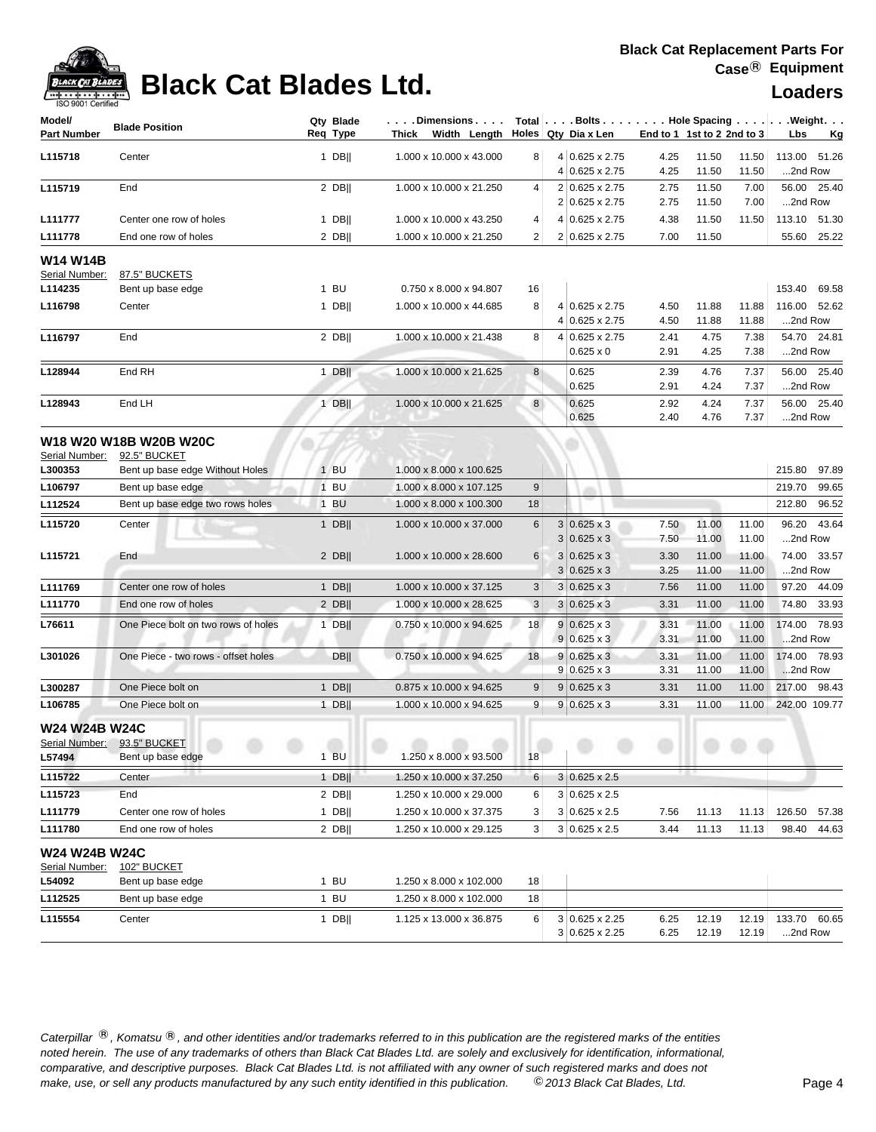

## **Black Cat Blades Ltd. Loaders Leganders Loaders**

| Model/             |                                        | Qty Blade   | . Dimensions            |              | Total $\vert \ldots$ Bolts $\ldots \vert \ldots$ Hole Spacing $\ldots \vert \ldots$ Weight. $\ldots$ |                            |              |              |               |             |
|--------------------|----------------------------------------|-------------|-------------------------|--------------|------------------------------------------------------------------------------------------------------|----------------------------|--------------|--------------|---------------|-------------|
| <b>Part Number</b> | <b>Blade Position</b>                  | Reg Type    | Thick<br>Width Length   |              | Holes Qty Dia x Len                                                                                  | End to 1 1st to 2 2nd to 3 |              |              | Lbs           | <u>Kg</u>   |
| L115718            | Center                                 | $1$ DB      | 1.000 x 10.000 x 43.000 | 8            | 4 0.625 x 2.75                                                                                       | 4.25                       | 11.50        | 11.50        | 113.00        | 51.26       |
|                    |                                        |             |                         |              | 4 0.625 x 2.75                                                                                       | 4.25                       | 11.50        | 11.50        | 2nd Row       |             |
| L115719            | End                                    | 2 DBII      | 1.000 x 10.000 x 21.250 | 4            | 2 0.625 x 2.75                                                                                       | 2.75                       | 11.50        | 7.00         |               | 56.00 25.40 |
|                    |                                        |             |                         |              | 2 0.625 x 2.75                                                                                       | 2.75                       | 11.50        | 7.00         | 2nd Row       |             |
| L111777            | Center one row of holes                | $1$ DB      | 1.000 x 10.000 x 43.250 | 4            | 4 0.625 x 2.75                                                                                       | 4.38                       | 11.50        | 11.50        | 113.10        | 51.30       |
| L111778            | End one row of holes                   | $2$ DB      | 1.000 x 10.000 x 21.250 | 2            | 2 0.625 x 2.75                                                                                       | 7.00                       | 11.50        |              | 55.60         | 25.22       |
| W14 W14B           |                                        |             |                         |              |                                                                                                      |                            |              |              |               |             |
| Serial Number:     | 87.5" BUCKETS                          |             |                         |              |                                                                                                      |                            |              |              |               |             |
| L114235            | Bent up base edge                      | $1$ BU      | 0.750 x 8.000 x 94.807  | 16           |                                                                                                      |                            |              |              | 153.40        | 69.58       |
| L116798            | Center                                 | $1$ DB      | 1.000 x 10.000 x 44.685 | 8            | 4 0.625 x 2.75                                                                                       | 4.50                       | 11.88        | 11.88        | 116.00        | 52.62       |
|                    |                                        |             |                         |              | 4 0.625 x 2.75                                                                                       | 4.50                       | 11.88        | 11.88        | 2nd Row       |             |
| L116797            | End                                    | $2$ DB      | 1.000 x 10.000 x 21.438 | 8            | 4 0.625 x 2.75<br>$0.625 \times 0$                                                                   | 2.41<br>2.91               | 4.75<br>4.25 | 7.38<br>7.38 | 2nd Row       | 54.70 24.81 |
|                    |                                        |             |                         |              |                                                                                                      |                            |              |              |               |             |
| L128944            | End RH                                 | $1$ DB      | 1.000 x 10.000 x 21.625 | 8            | 0.625<br>0.625                                                                                       | 2.39<br>2.91               | 4.76<br>4.24 | 7.37<br>7.37 | 2nd Row       | 56.00 25.40 |
| L128943            | End LH                                 | $1$ DB      | 1.000 x 10.000 x 21.625 | 8            | 0.625                                                                                                | 2.92                       | 4.24         | 7.37         |               | 56.00 25.40 |
|                    |                                        |             |                         |              | 0.625                                                                                                | 2.40                       | 4.76         | 7.37         | 2nd Row       |             |
|                    |                                        |             |                         |              |                                                                                                      |                            |              |              |               |             |
| Serial Number:     | W18 W20 W18B W20B W20C<br>92.5" BUCKET |             |                         |              |                                                                                                      |                            |              |              |               |             |
| L300353            | Bent up base edge Without Holes        | 1 BU        | 1.000 x 8.000 x 100.625 |              |                                                                                                      |                            |              |              | 215.80        | 97.89       |
| L106797            | Bent up base edge                      | $1$ BU      | 1.000 x 8.000 x 107.125 | 9            | m                                                                                                    |                            |              |              | 219.70        | 99.65       |
| L112524            | Bent up base edge two rows holes       | 1 BU        | 1.000 x 8.000 x 100.300 | 18           |                                                                                                      |                            |              |              | 212.80        | 96.52       |
| L115720            | Center                                 | $1$ DB      | 1.000 x 10.000 x 37.000 | 6            | $3 0.625 \times 3$                                                                                   | 7.50                       | 11.00        | 11.00        | 96.20         | 43.64       |
|                    |                                        |             |                         |              | $3 0.625 \times 3$                                                                                   | 7.50                       | 11.00        | 11.00        | 2nd Row       |             |
| L115721            | End                                    | $2$ DB      | 1.000 x 10.000 x 28.600 | 6            | $3 0.625 \times 3$                                                                                   | 3.30                       | 11.00        | 11.00        | 74.00         | 33.57       |
|                    |                                        |             |                         |              | $3 0.625 \times 3$                                                                                   | 3.25                       | 11.00        | 11.00        | 2nd Row       |             |
| L111769            | Center one row of holes                | $1$ DB      | 1.000 x 10.000 x 37.125 | 3            | $3 0.625 \times 3$                                                                                   | 7.56                       | 11.00        | 11.00        | 97.20         | 44.09       |
| L111770            | End one row of holes                   | $2$ DB      | 1.000 x 10.000 x 28.625 | $\mathbf{3}$ | $3 0.625 \times 3$                                                                                   | 3.31                       | 11.00        | 11.00        | 74.80         | 33.93       |
| L76611             | One Piece bolt on two rows of holes    | $1$ DB      | 0.750 x 10.000 x 94.625 | 18           | $9 0.625 \times 3$                                                                                   | 3.31                       | 11.00        | 11.00        | 174.00        | 78.93       |
|                    |                                        |             |                         |              | $9 0.625 \times 3$                                                                                   | 3.31                       | 11.00        | 11.00        | 2nd Row       |             |
| L301026            | One Piece - two rows - offset holes    | <b>DBII</b> | 0.750 x 10.000 x 94.625 | 18           | $9 0.625 \times 3$                                                                                   | 3.31                       | 11.00        | 11.00        | 174.00 78.93  |             |
|                    |                                        |             |                         |              | $9 0.625 \times 3$                                                                                   | 3.31                       | 11.00        | 11.00        | 2nd Row       |             |
| L300287            | One Piece bolt on                      | $1$ DB      | 0.875 x 10.000 x 94.625 | 9            | $9 0.625 \times 3$                                                                                   | 3.31                       | 11.00        | 11.00        | 217.00        | 98.43       |
| L106785            | One Piece bolt on                      | 1 DBII      | 1.000 x 10.000 x 94.625 | 9            | $9 0.625 \times 3$                                                                                   | 3.31                       | 11.00        | 11.00        | 242.00 109.77 |             |
| W24 W24B W24C      |                                        |             |                         |              |                                                                                                      |                            |              |              |               |             |
|                    | Serial Number: 93.5" BUCKET            |             |                         |              |                                                                                                      |                            |              |              |               |             |
| L57494             | Bent up base edge                      | 1 BU        | 1.250 x 8.000 x 93.500  | 18           |                                                                                                      |                            |              |              |               |             |
| L115722            | Center                                 | 1 DB        | 1.250 x 10.000 x 37.250 | 6            | $3 0.625 \times 2.5$                                                                                 |                            |              |              |               |             |
| L115723            | End                                    | $2$ DB      | 1.250 x 10.000 x 29.000 | 6            | $3 0.625 \times 2.5$                                                                                 |                            |              |              |               |             |
| L111779            | Center one row of holes                | 1 DB $  $   | 1.250 x 10.000 x 37.375 | 3            | $3 0.625 \times 2.5$                                                                                 | 7.56                       | 11.13        | 11.13        | 126.50        | 57.38       |
| L111780            | End one row of holes                   | $2$ DB      | 1.250 x 10.000 x 29.125 | 3            | $3 0.625 \times 2.5$                                                                                 | 3.44                       | 11.13        | 11.13        | 98.40         | 44.63       |
| W24 W24B W24C      |                                        |             |                         |              |                                                                                                      |                            |              |              |               |             |
| Serial Number:     | 102" BUCKET                            |             |                         |              |                                                                                                      |                            |              |              |               |             |
| L54092             | Bent up base edge                      | $1$ BU      | 1.250 x 8.000 x 102.000 | 18           |                                                                                                      |                            |              |              |               |             |
| L112525            | Bent up base edge                      | $1$ BU      | 1.250 x 8.000 x 102.000 | 18           |                                                                                                      |                            |              |              |               |             |
| L115554            | Center                                 | 1 DB $  $   | 1.125 x 13.000 x 36.875 | 6            | 3 0.625 x 2.25                                                                                       | 6.25                       | 12.19        | 12.19        | 133.70        | 60.65       |
|                    |                                        |             |                         |              | 3 0.625 x 2.25                                                                                       | 6.25                       | 12.19        | 12.19        | 2nd Row       |             |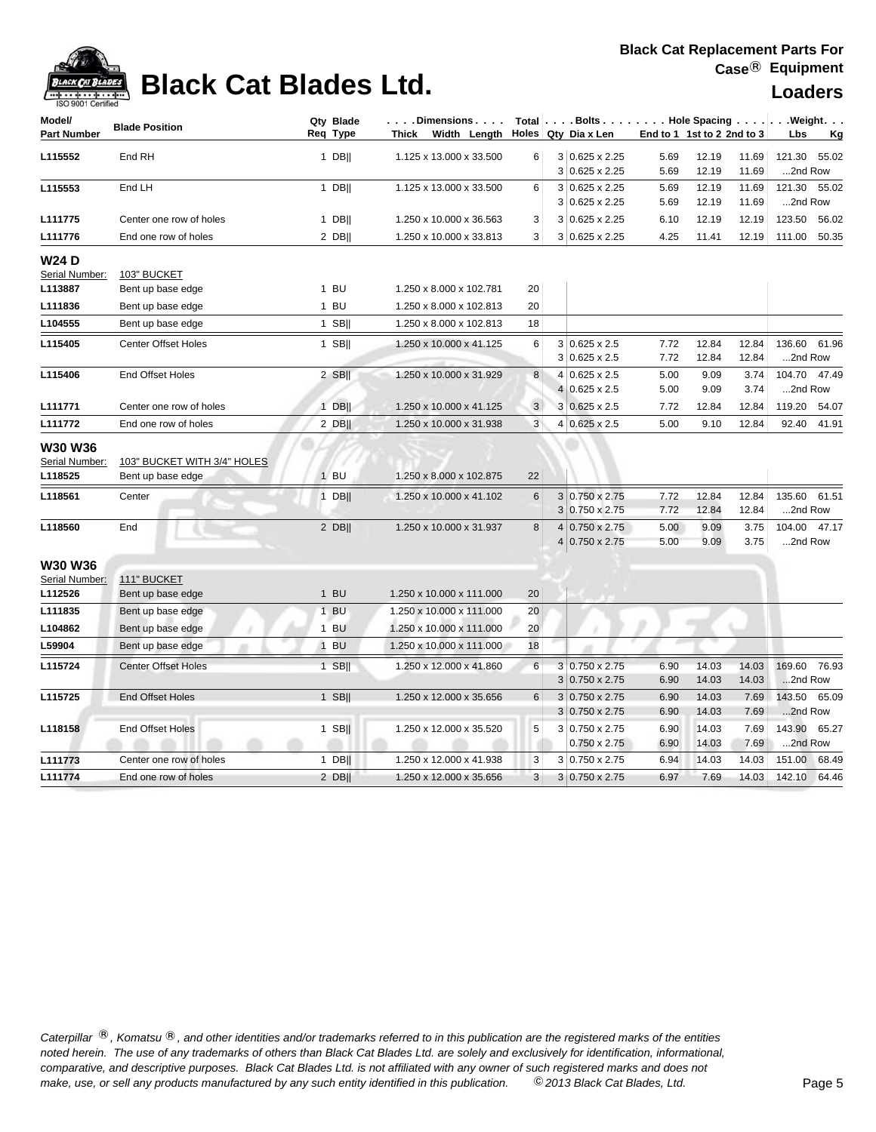

## **Black Cat Blades Ltd. Loaders Leganders Loaders**

| Model/             |                             | Qty Blade | Dimensions               |    |   | $Total   \ldots$ Bolts $\ldots   \ldots$ . Hole Spacing $\ldots   \ldots$ . Weight. $\ldots$ |      |                            |       |         |              |
|--------------------|-----------------------------|-----------|--------------------------|----|---|----------------------------------------------------------------------------------------------|------|----------------------------|-------|---------|--------------|
| <b>Part Number</b> | <b>Blade Position</b>       | Req Type  | Thick Width Length       |    |   | Holes $Qty$ Dia x Len                                                                        |      | End to 1 1st to 2 2nd to 3 |       | Lbs     | Kg           |
| L115552            | End RH                      | $1$ DB    | 1.125 x 13.000 x 33.500  | 6  |   | 3 0.625 x 2.25                                                                               | 5.69 | 12.19                      | 11.69 | 121.30  | 55.02        |
|                    |                             |           |                          |    |   | 3 0.625 x 2.25                                                                               | 5.69 | 12.19                      | 11.69 | 2nd Row |              |
| L115553            | End LH                      | $1$ DB    | 1.125 x 13.000 x 33.500  | 6  |   | 3 0.625 x 2.25                                                                               | 5.69 | 12.19                      | 11.69 | 121.30  | 55.02        |
|                    |                             |           |                          |    |   | $3 0.625 \times 2.25$                                                                        | 5.69 | 12.19                      | 11.69 | 2nd Row |              |
| L111775            | Center one row of holes     | $1$ DB    | 1.250 x 10.000 x 36.563  | 3  |   | 3 0.625 x 2.25                                                                               | 6.10 | 12.19                      | 12.19 | 123.50  | 56.02        |
| L111776            | End one row of holes        | $2$ DB    | 1.250 x 10.000 x 33.813  | 3  |   | $3 0.625 \times 2.25$                                                                        | 4.25 | 11.41                      | 12.19 | 111.00  | 50.35        |
| <b>W24D</b>        |                             |           |                          |    |   |                                                                                              |      |                            |       |         |              |
| Serial Number:     | 103" BUCKET                 |           |                          |    |   |                                                                                              |      |                            |       |         |              |
| L113887            | Bent up base edge           | 1 BU      | 1.250 x 8.000 x 102.781  | 20 |   |                                                                                              |      |                            |       |         |              |
| L111836            | Bent up base edge           | 1 BU      | 1.250 x 8.000 x 102.813  | 20 |   |                                                                                              |      |                            |       |         |              |
| L104555            | Bent up base edge           | $1$ SB    | 1.250 x 8.000 x 102.813  | 18 |   |                                                                                              |      |                            |       |         |              |
| L115405            | <b>Center Offset Holes</b>  | $1$ SB    | 1.250 x 10.000 x 41.125  | 6  |   | $3 0.625 \times 2.5$                                                                         | 7.72 | 12.84                      | 12.84 | 136.60  | 61.96        |
|                    |                             |           |                          |    |   | $3 0.625 \times 2.5$                                                                         | 7.72 | 12.84                      | 12.84 | 2nd Row |              |
| L115406            | <b>End Offset Holes</b>     | $2$ SB    | 1.250 x 10.000 x 31.929  | 8  |   | 4 0.625 x 2.5                                                                                | 5.00 | 9.09                       | 3.74  | 104.70  | 47.49        |
|                    |                             |           |                          |    |   | $4 0.625 \times 2.5$                                                                         | 5.00 | 9.09                       | 3.74  | 2nd Row |              |
| L111771            | Center one row of holes     | $1$ DB    | 1.250 x 10.000 x 41.125  | 3  |   | $3 0.625 \times 2.5$                                                                         | 7.72 | 12.84                      | 12.84 | 119.20  | 54.07        |
| L111772            | End one row of holes        | $2$ DB    | 1.250 x 10.000 x 31.938  | 3  |   | 4 0.625 x 2.5                                                                                | 5.00 | 9.10                       | 12.84 | 92.40   | 41.91        |
| W30 W36            |                             |           |                          |    |   |                                                                                              |      |                            |       |         |              |
| Serial Number:     | 103" BUCKET WITH 3/4" HOLES |           |                          |    |   |                                                                                              |      |                            |       |         |              |
| L118525            | Bent up base edge           | $1$ BU    | 1.250 x 8.000 x 102.875  | 22 |   |                                                                                              |      |                            |       |         |              |
| L118561            | Center                      | 1 DBII    | 1.250 x 10.000 x 41.102  | 6  |   | $3 0.750 \times 2.75$                                                                        | 7.72 | 12.84                      | 12.84 | 135.60  | 61.51        |
|                    |                             |           |                          |    |   | $3 0.750 \times 2.75$                                                                        | 7.72 | 12.84                      | 12.84 | 2nd Row |              |
| L118560            | End                         | $2$ DB    | 1.250 x 10.000 x 31.937  | 8  | 4 | $0.750 \times 2.75$                                                                          | 5.00 | 9.09                       | 3.75  | 104.00  | 47.17        |
|                    |                             |           |                          |    | 4 | $0.750 \times 2.75$                                                                          | 5.00 | 9.09                       | 3.75  | 2nd Row |              |
| W30 W36            |                             |           |                          |    |   |                                                                                              |      |                            |       |         |              |
| Serial Number:     | 111" BUCKET                 |           |                          |    |   |                                                                                              |      |                            |       |         |              |
| L112526            | Bent up base edge           | $1$ BU    | 1.250 x 10.000 x 111.000 | 20 |   |                                                                                              |      |                            |       |         |              |
| L111835            | Bent up base edge           | 1 BU      | 1.250 x 10.000 x 111.000 | 20 |   |                                                                                              |      |                            |       |         |              |
| L104862            | Bent up base edge           | 1 BU      | 1.250 x 10.000 x 111.000 | 20 |   |                                                                                              |      |                            |       |         |              |
| L59904             | Bent up base edge           | 1 BU      | 1.250 x 10.000 x 111.000 | 18 |   |                                                                                              |      |                            |       |         |              |
| L115724            | <b>Center Offset Holes</b>  | $1$ SB    | 1.250 x 12.000 x 41.860  | 6  |   | $3 0.750 \times 2.75$                                                                        | 6.90 | 14.03                      | 14.03 |         | 169.60 76.93 |
|                    |                             |           |                          |    |   | $3 0.750 \times 2.75$                                                                        | 6.90 | 14.03                      | 14.03 | 2nd Row |              |
| L115725            | <b>End Offset Holes</b>     | $1$ SB    | 1.250 x 12.000 x 35.656  | 6  |   | $3 0.750 \times 2.75$                                                                        | 6.90 | 14.03                      | 7.69  | 143.50  | 65.09        |
|                    |                             |           |                          |    |   | $3 0.750 \times 2.75$                                                                        | 6.90 | 14.03                      | 7.69  | 2nd Row |              |
| L118158            | End Offset Holes            | 1 SB $  $ | 1.250 x 12.000 x 35.520  | 5  |   | $3 0.750 \times 2.75$                                                                        | 6.90 | 14.03                      | 7.69  | 143.90  | 65.27        |
|                    |                             |           |                          |    |   | 0.750 x 2.75                                                                                 | 6.90 | 14.03                      | 7.69  | 2nd Row |              |
| L111773            | Center one row of holes     | $1$ DB    | 1.250 x 12.000 x 41.938  | 3  |   | 3 0.750 x 2.75                                                                               | 6.94 | 14.03                      | 14.03 | 151.00  | 68.49        |
| L111774            | End one row of holes        | $2$ DB    | 1.250 x 12.000 x 35.656  | 3  |   | 3 0.750 x 2.75                                                                               | 6.97 | 7.69                       | 14.03 |         | 142.10 64.46 |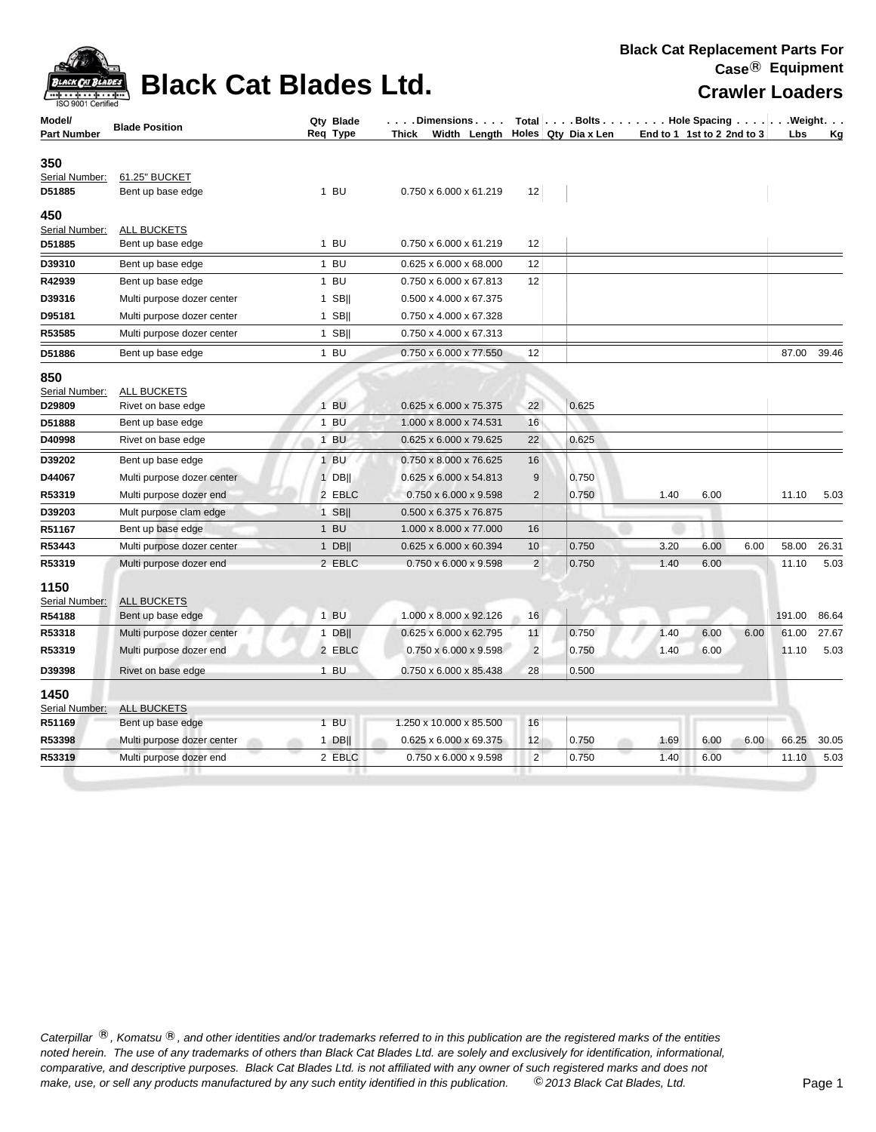

### **Black Cat Blades Ltd.** Crawler Loaders

| Model/             | <b>Blade Position</b>      | Qty Blade | . Dimensions                      |                | Total Bolts Hole Spacing Weight. |      |                            |        |       |
|--------------------|----------------------------|-----------|-----------------------------------|----------------|----------------------------------|------|----------------------------|--------|-------|
| <b>Part Number</b> |                            | Reg Type  | Width Length<br>Thick             |                | Holes   Qty Dia x Len            |      | End to 1 1st to 2 2nd to 3 | Lbs    | Κg    |
| 350                |                            |           |                                   |                |                                  |      |                            |        |       |
| Serial Number:     | 61.25" BUCKET              |           |                                   |                |                                  |      |                            |        |       |
| D51885             | Bent up base edge          | $1$ BU    | 0.750 x 6.000 x 61.219            | 12             |                                  |      |                            |        |       |
| 450                |                            |           |                                   |                |                                  |      |                            |        |       |
| Serial Number:     | <b>ALL BUCKETS</b>         |           |                                   |                |                                  |      |                            |        |       |
| D51885             | Bent up base edge          | $1$ BU    | 0.750 x 6.000 x 61.219            | 12             |                                  |      |                            |        |       |
| D39310             | Bent up base edge          | $1$ BU    | 0.625 x 6.000 x 68.000            | 12             |                                  |      |                            |        |       |
| R42939             | Bent up base edge          | $1$ BU    | 0.750 x 6.000 x 67.813            | 12             |                                  |      |                            |        |       |
| D39316             | Multi purpose dozer center | $1$ SB    | 0.500 x 4.000 x 67.375            |                |                                  |      |                            |        |       |
| D95181             | Multi purpose dozer center | $1$ SB    | 0.750 x 4.000 x 67.328            |                |                                  |      |                            |        |       |
| R53585             | Multi purpose dozer center | $1$ SB    | 0.750 x 4.000 x 67.313            |                |                                  |      |                            |        |       |
| D51886             | Bent up base edge          | $1$ BU    | 0.750 x 6.000 x 77.550            | 12             |                                  |      |                            | 87.00  | 39.46 |
| 850                |                            |           |                                   |                |                                  |      |                            |        |       |
| Serial Number:     | <b>ALL BUCKETS</b>         |           |                                   |                |                                  |      |                            |        |       |
| D29809             | Rivet on base edge         | 1 BU      | 0.625 x 6.000 x 75.375            | 22             | 0.625                            |      |                            |        |       |
| D51888             | Bent up base edge          | $1$ BU    | 1.000 x 8.000 x 74.531            | 16             |                                  |      |                            |        |       |
| D40998             | Rivet on base edge         | $1$ BU    | 0.625 x 6.000 x 79.625            | 22             | 0.625                            |      |                            |        |       |
| D39202             | Bent up base edge          | 1 BU      | 0.750 x 8.000 x 76.625            | 16             |                                  |      |                            |        |       |
| D44067             | Multi purpose dozer center | $1$ DB    | 0.625 x 6.000 x 54.813            | 9              | 0.750                            |      |                            |        |       |
| R53319             | Multi purpose dozer end    | 2 EBLC    | $0.750 \times 6.000 \times 9.598$ | $\overline{c}$ | 0.750                            | 1.40 | 6.00                       | 11.10  | 5.03  |
| D39203             | Mult purpose clam edge     | $1$ SB    | 0.500 x 6.375 x 76.875            |                |                                  |      |                            |        |       |
| R51167             | Bent up base edge          | $1$ BU    | 1.000 x 8.000 x 77.000            | 16             |                                  |      |                            |        |       |
| R53443             | Multi purpose dozer center | $1$ DB    | 0.625 x 6.000 x 60.394            | 10             | 0.750                            | 3.20 | 6.00<br>6.00               | 58.00  | 26.31 |
| R53319             | Multi purpose dozer end    | 2 EBLC    | 0.750 x 6.000 x 9.598             | $\overline{2}$ | 0.750                            | 1.40 | 6.00                       | 11.10  | 5.03  |
| 1150               |                            |           |                                   |                |                                  |      |                            |        |       |
| Serial Number:     | <b>ALL BUCKETS</b>         |           |                                   |                |                                  |      |                            |        |       |
| R54188             | Bent up base edge          | 1 BU      | 1.000 x 8.000 x 92.126            | 16             |                                  |      |                            | 191.00 | 86.64 |
| R53318             | Multi purpose dozer center | $1$ DB    | 0.625 x 6.000 x 62.795            | 11             | 0.750                            | 1.40 | 6.00<br>6.00               | 61.00  | 27.67 |
| R53319             | Multi purpose dozer end    | 2 EBLC    | $0.750 \times 6.000 \times 9.598$ | $\overline{2}$ | 0.750                            | 1.40 | 6.00                       | 11.10  | 5.03  |
| D39398             | Rivet on base edge         | 1 BU      | 0.750 x 6.000 x 85.438            | 28             | 0.500                            |      |                            |        |       |
| 1450               |                            |           |                                   |                |                                  |      |                            |        |       |
| Serial Number:     | <b>ALL BUCKETS</b>         |           |                                   |                |                                  |      |                            |        |       |
| R51169             | Bent up base edge          | 1 BU      | 1.250 x 10.000 x 85.500           | 16             |                                  |      |                            |        |       |
| R53398             | Multi purpose dozer center | $1$ DB    | 0.625 x 6.000 x 69.375            | 12             | 0.750                            | 1.69 | 6.00<br>6.00               | 66.25  | 30.05 |
| R53319             | Multi purpose dozer end    | 2 EBLC    | 0.750 x 6.000 x 9.598             | $\overline{2}$ | 0.750                            | 1.40 | 6.00                       | 11.10  | 5.03  |
|                    |                            |           |                                   |                |                                  |      |                            |        |       |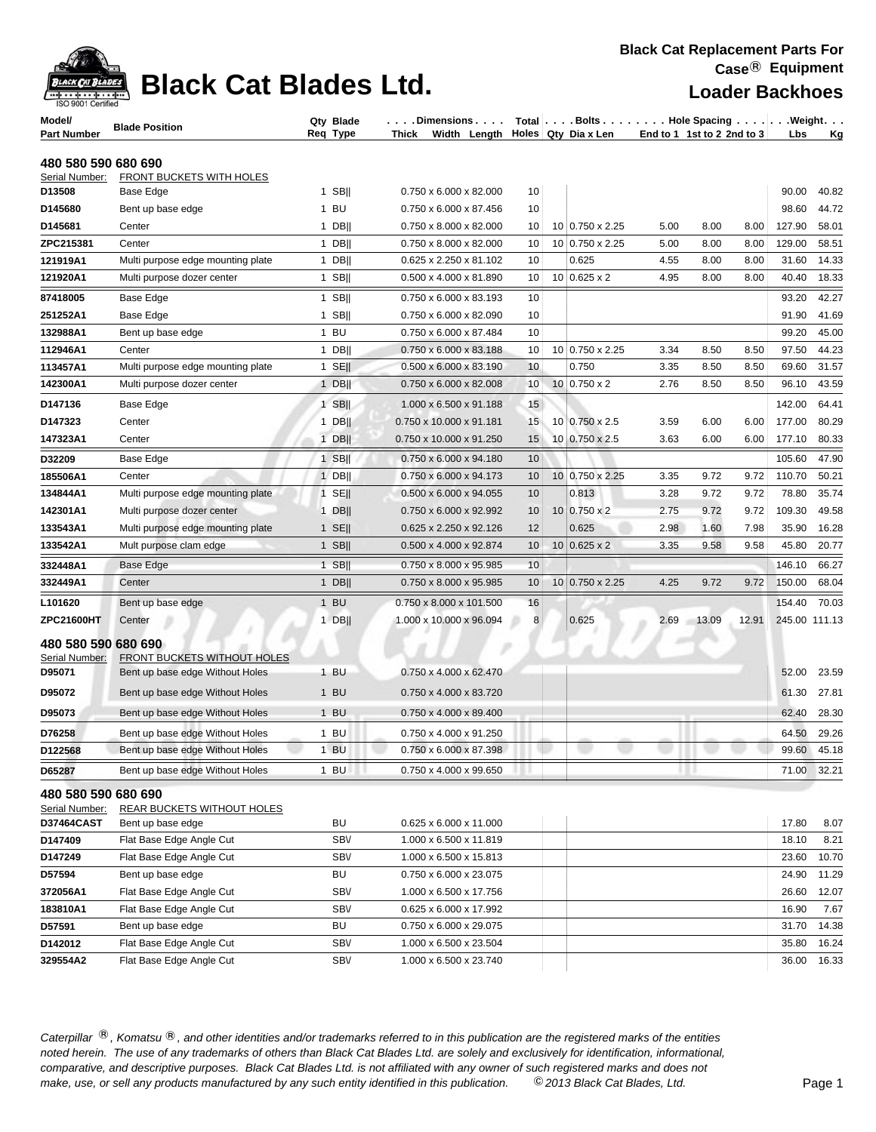| ISO 9001 Certified | <b>BLACK CHI BLACK Cat Blades Ltd.</b> |              |            |
|--------------------|----------------------------------------|--------------|------------|
| odel/              | Diede Desities                         | Blade<br>Qtv | . Dimensio |

### **Loader Backhoes**

| Model/                                | <b>Blade Position</b>                                                 | Qty Blade                | .Dimensions                               |    |  | $Total   \ldots$ Bolts $\ldots   \ldots$ . Hole Spacing $\ldots   \ldots$ . Weight. $\ldots$ |      |                            |               |             |
|---------------------------------------|-----------------------------------------------------------------------|--------------------------|-------------------------------------------|----|--|----------------------------------------------------------------------------------------------|------|----------------------------|---------------|-------------|
| Part Number                           |                                                                       | Req Type                 | Width Length Holes Qty Dia x Len<br>Thick |    |  |                                                                                              |      | End to 1 1st to 2 2nd to 3 | Lbs           | <u>Kg</u>   |
|                                       |                                                                       |                          |                                           |    |  |                                                                                              |      |                            |               |             |
| 480 580 590 680 690<br>Serial Number: | <b>FRONT BUCKETS WITH HOLES</b>                                       |                          |                                           |    |  |                                                                                              |      |                            |               |             |
| D13508                                | Base Edge                                                             | $1$ SB                   | 0.750 x 6.000 x 82.000                    | 10 |  |                                                                                              |      |                            | 90.00         | 40.82       |
| D145680                               | Bent up base edge                                                     | 1 BU                     | 0.750 x 6.000 x 87.456                    | 10 |  |                                                                                              |      |                            | 98.60         | 44.72       |
| D145681                               | Center                                                                | $1$ DB                   | 0.750 x 8.000 x 82.000                    | 10 |  | 10 0.750 x 2.25                                                                              | 5.00 | 8.00<br>8.00               | 127.90        | 58.01       |
| ZPC215381                             | Center                                                                | $1$ DB                   | 0.750 x 8.000 x 82.000                    | 10 |  | 10 0.750 x 2.25                                                                              | 5.00 | 8.00<br>8.00               | 129.00        | 58.51       |
| 121919A1                              | Multi purpose edge mounting plate                                     | 1 DB                     | 0.625 x 2.250 x 81.102                    | 10 |  | 0.625                                                                                        | 4.55 | 8.00<br>8.00               | 31.60         | 14.33       |
| 121920A1                              | Multi purpose dozer center                                            | $1$ SB                   | $0.500 \times 4.000 \times 81.890$        | 10 |  | $10 0.625 \times 2$                                                                          | 4.95 | 8.00<br>8.00               | 40.40         | 18.33       |
| 87418005                              | Base Edge                                                             | $1$ SB                   | 0.750 x 6.000 x 83.193                    | 10 |  |                                                                                              |      |                            | 93.20         | 42.27       |
| 251252A1                              | Base Edge                                                             | $1$ SB                   | 0.750 x 6.000 x 82.090                    | 10 |  |                                                                                              |      |                            | 91.90         | 41.69       |
| 132988A1                              | Bent up base edge                                                     | 1 BU                     | 0.750 x 6.000 x 87.484                    | 10 |  |                                                                                              |      |                            | 99.20         | 45.00       |
| 112946A1                              | Center                                                                | $1$ DB                   | $0.750 \times 6.000 \times 83.188$        | 10 |  | 10 0.750 x 2.25                                                                              | 3.34 | 8.50<br>8.50               | 97.50         | 44.23       |
| 113457A1                              | Multi purpose edge mounting plate                                     | 1 SE $\parallel$         | $0.500 \times 6.000 \times 83.190$        | 10 |  | 0.750                                                                                        | 3.35 | 8.50<br>8.50               | 69.60         | 31.57       |
| 142300A1                              | Multi purpose dozer center                                            | 1 DB                     | 0.750 x 6.000 x 82.008                    | 10 |  | $10 0.750 \times 2$                                                                          | 2.76 | 8.50<br>8.50               | 96.10         | 43.59       |
| D147136                               | Base Edge                                                             | $1$ SB                   | 1.000 x 6.500 x 91.188                    | 15 |  |                                                                                              |      |                            | 142.00        | 64.41       |
| D147323                               | Center                                                                | $1$ DB                   | 0.750 x 10.000 x 91.181                   | 15 |  | 10 0.750 x 2.5                                                                               | 3.59 | 6.00<br>6.00               | 177.00        | 80.29       |
| 147323A1                              | Center                                                                | $1$ DB                   | 0.750 x 10.000 x 91.250                   | 15 |  | 10 0.750 x 2.5                                                                               | 3.63 | 6.00<br>6.00               | 177.10        | 80.33       |
| D32209                                | Base Edge                                                             | $1$ SB                   | 0.750 x 6.000 x 94.180                    | 10 |  |                                                                                              |      |                            | 105.60        | 47.90       |
| 185506A1                              | Center                                                                | $1$ DB                   | 0.750 x 6.000 x 94.173                    | 10 |  | 10 0.750 x 2.25                                                                              | 3.35 | 9.72<br>9.72               | 110.70        | 50.21       |
| 134844A1                              | Multi purpose edge mounting plate                                     | $1$ SE                   | 0.500 x 6.000 x 94.055                    | 10 |  | 0.813                                                                                        | 3.28 | 9.72<br>9.72               | 78.80         | 35.74       |
| 142301A1                              | Multi purpose dozer center                                            | $1$ DB                   | 0.750 x 6.000 x 92.992                    | 10 |  | $10 0.750 \times 2$                                                                          | 2.75 | 9.72<br>9.72               | 109.30        | 49.58       |
| 133543A1                              | Multi purpose edge mounting plate                                     | $1$ SE                   | 0.625 x 2.250 x 92.126                    | 12 |  | 0.625                                                                                        | 2.98 | 1.60<br>7.98               | 35.90         | 16.28       |
| 133542A1                              | Mult purpose clam edge                                                | $1$ SB                   | 0.500 x 4.000 x 92.874                    | 10 |  | 10 0.625 x 2                                                                                 | 3.35 | 9.58<br>9.58               | 45.80         | 20.77       |
| 332448A1                              | Base Edge                                                             | $1$ SB                   | 0.750 x 8.000 x 95.985                    | 10 |  |                                                                                              |      |                            | 146.10        | 66.27       |
| 332449A1                              | Center                                                                | $1$ DB                   | 0.750 x 8.000 x 95.985                    | 10 |  | 10 0.750 x 2.25                                                                              | 4.25 | 9.72<br>9.72               | 150.00        | 68.04       |
| L101620                               | Bent up base edge                                                     | $1$ BU                   | 0.750 x 8.000 x 101.500                   | 16 |  |                                                                                              |      |                            | 154.40        | 70.03       |
| ZPC21600HT                            | Center                                                                | 1 DB                     | 1.000 x 10.000 x 96.094                   | 8  |  | 0.625                                                                                        | 2.69 | 13.09<br>12.91             | 245.00 111.13 |             |
|                                       |                                                                       |                          |                                           |    |  |                                                                                              |      |                            |               |             |
| 480 580 590 680 690                   |                                                                       |                          |                                           |    |  |                                                                                              |      |                            |               |             |
| Serial Number:<br>D95071              | <b>FRONT BUCKETS WITHOUT HOLES</b><br>Bent up base edge Without Holes | 1 BU                     | 0.750 x 4.000 x 62.470                    |    |  |                                                                                              |      |                            | 52.00         | 23.59       |
| D95072                                | Bent up base edge Without Holes                                       | $1$ BU                   | 0.750 x 4.000 x 83.720                    |    |  |                                                                                              |      |                            | 61.30         | 27.81       |
|                                       |                                                                       |                          |                                           |    |  |                                                                                              |      |                            |               |             |
| D95073                                | Bent up base edge Without Holes                                       | $1$ BU                   | 0.750 x 4.000 x 89.400                    |    |  |                                                                                              |      |                            | 62.40         | 28.30       |
| D76258                                | Bent up base edge Without Holes                                       | 1 BU                     | 0.750 x 4.000 x 91.250                    |    |  |                                                                                              |      |                            | 64.50         | 29.26       |
| D122568                               | Bent up base edge Without Holes                                       | 1 BU                     | 0.750 x 6.000 x 87.398                    |    |  |                                                                                              |      |                            |               | 99.60 45.18 |
| D65287                                | Bent up base edge Without Holes                                       | $1$ BU                   | 0.750 x 4.000 x 99.650                    |    |  |                                                                                              |      |                            | 71.00         | 32.21       |
| 480 580 590 680 690                   |                                                                       |                          |                                           |    |  |                                                                                              |      |                            |               |             |
| Serial Number:                        | <b>REAR BUCKETS WITHOUT HOLES</b>                                     |                          |                                           |    |  |                                                                                              |      |                            |               |             |
| D37464CAST                            | Bent up base edge                                                     | BU                       | 0.625 x 6.000 x 11.000                    |    |  |                                                                                              |      |                            | 17.80         | 8.07        |
| D147409                               | Flat Base Edge Angle Cut                                              | <b>SBV</b>               | 1.000 x 6.500 x 11.819                    |    |  |                                                                                              |      |                            | 18.10         | 8.21        |
| D147249                               | Flat Base Edge Angle Cut                                              | <b>SBV</b>               | 1.000 x 6.500 x 15.813                    |    |  |                                                                                              |      |                            | 23.60         | 10.70       |
| D57594                                | Bent up base edge                                                     | BU                       | 0.750 x 6.000 x 23.075                    |    |  |                                                                                              |      |                            | 24.90         | 11.29       |
| 372056A1                              | Flat Base Edge Angle Cut                                              | <b>SBV</b>               | 1.000 x 6.500 x 17.756                    |    |  |                                                                                              |      |                            | 26.60         | 12.07       |
| 183810A1                              | Flat Base Edge Angle Cut                                              | <b>SBV</b>               | 0.625 x 6.000 x 17.992                    |    |  |                                                                                              |      |                            | 16.90         | 7.67        |
| D57591                                | Bent up base edge                                                     | BU                       | 0.750 x 6.000 x 29.075                    |    |  |                                                                                              |      |                            | 31.70         | 14.38       |
| D142012<br>329554A2                   | Flat Base Edge Angle Cut                                              | <b>SBV</b><br><b>SBV</b> | 1.000 x 6.500 x 23.504                    |    |  |                                                                                              |      |                            | 35.80         | 16.24       |
|                                       | Flat Base Edge Angle Cut                                              |                          | 1.000 x 6.500 x 23.740                    |    |  |                                                                                              |      |                            | 36.00         | 16.33       |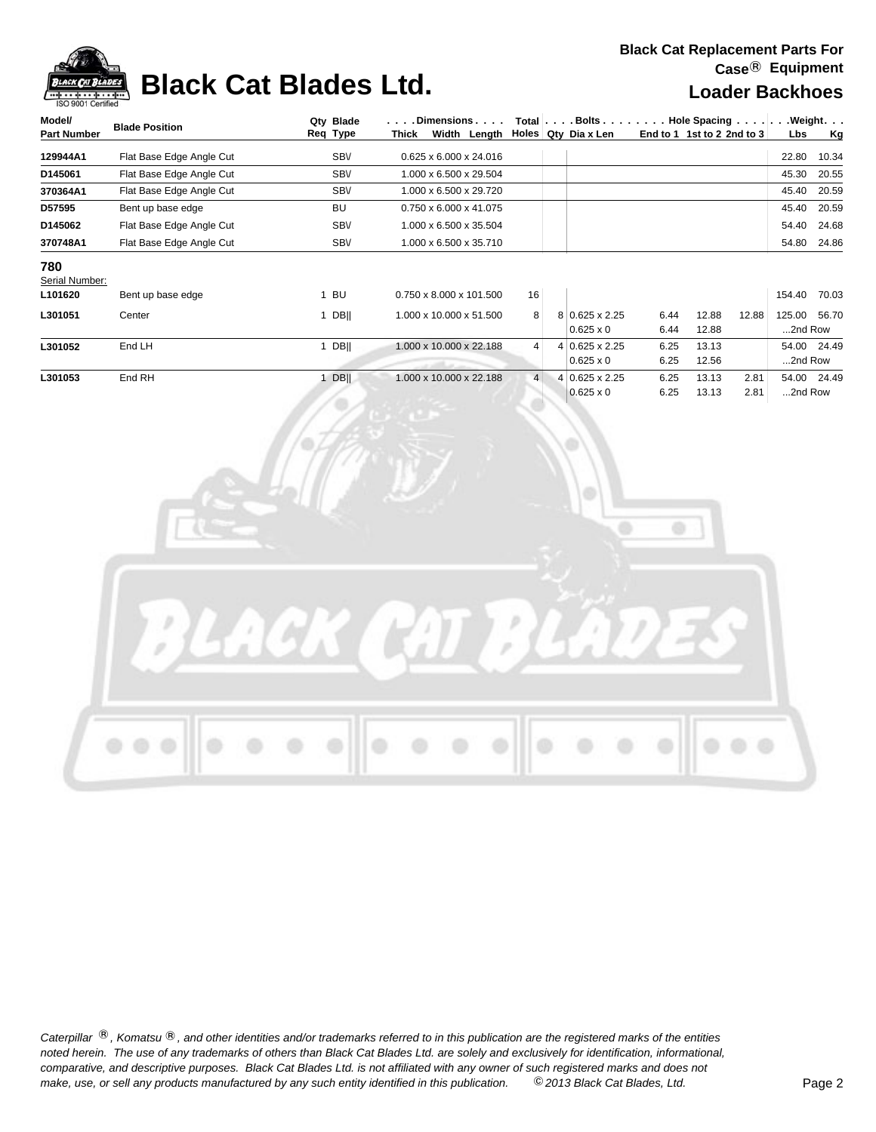**Black Cat Replacement Parts For Case**® **Equipment**

 $\begin{array}{|c|c|c|c|c|c|c|c|} \hline 0.625 \times 0 & \quad \text{6.25} & \quad \text{13.13} & \quad \text{2.81} & \quad \text{...} \text{2nd Row} \ \hline \end{array}$ 



### **Black Cat Blades Ltd. Loader Backhoes**

| Model/             |                          | Qtv Blade   |       | Dimensions                          | Total          | $\ldots$ Bolts $\ldots$ . $\ldots$ Hole Spacing $\ldots$ . |                            |       |       |         | .Weight.    |
|--------------------|--------------------------|-------------|-------|-------------------------------------|----------------|------------------------------------------------------------|----------------------------|-------|-------|---------|-------------|
| <b>Part Number</b> | <b>Blade Position</b>    | Req Type    | Thick | Width Length                        | Holes          | Qty Dia x Len                                              | End to 1 1st to 2 2nd to 3 |       |       | Lbs     | Kg          |
| 129944A1           | Flat Base Edge Angle Cut | <b>SBV</b>  |       | $0.625 \times 6.000 \times 24.016$  |                |                                                            |                            |       |       | 22.80   | 10.34       |
| D145061            | Flat Base Edge Angle Cut | <b>SBV</b>  |       | 1.000 x 6.500 x 29.504              |                |                                                            |                            |       |       | 45.30   | 20.55       |
| 370364A1           | Flat Base Edge Angle Cut | <b>SBV</b>  |       | 1.000 x 6.500 x 29.720              |                |                                                            |                            |       |       | 45.40   | 20.59       |
| D57595             | Bent up base edge        | BU          |       | $0.750 \times 6.000 \times 41.075$  |                |                                                            |                            |       |       | 45.40   | 20.59       |
| D145062            | Flat Base Edge Angle Cut | <b>SBV</b>  |       | 1.000 x 6.500 x 35.504              |                |                                                            |                            |       |       | 54.40   | 24.68       |
| 370748A1           | Flat Base Edge Angle Cut | <b>SBV</b>  |       | 1.000 x 6.500 x 35.710              |                |                                                            |                            |       |       | 54.80   | 24.86       |
| 780                |                          |             |       |                                     |                |                                                            |                            |       |       |         |             |
| Serial Number:     |                          |             |       |                                     |                |                                                            |                            |       |       |         |             |
| L101620            | Bent up base edge        | 1 BU        |       | $0.750 \times 8.000 \times 101.500$ | 16             |                                                            |                            |       |       | 154.40  | 70.03       |
| L301051            | Center                   | DBII        |       | 1.000 x 10.000 x 51.500             | 8              | 8 0.625 x 2.25                                             | 6.44                       | 12.88 | 12.88 | 125.00  | 56.70       |
|                    |                          |             |       |                                     |                | $0.625 \times 0$                                           | 6.44                       | 12.88 |       | 2nd Row |             |
| L301052            | End LH                   | <b>DBII</b> |       | 1.000 x 10.000 x 22.188             | 4              | 4 0.625 x 2.25                                             | 6.25                       | 13.13 |       | 54.00   | 24.49       |
|                    |                          |             |       | a settle or con-                    |                | $0.625 \times 0$                                           | 6.25                       | 12.56 |       | 2nd Row |             |
| L301053            | End RH                   | <b>DBII</b> |       | 1.000 x 10.000 x 22.188             | 4 <sup>1</sup> | 4 0.625 x 2.25                                             | 6.25                       | 13.13 | 2.81  |         | 54.00 24.49 |

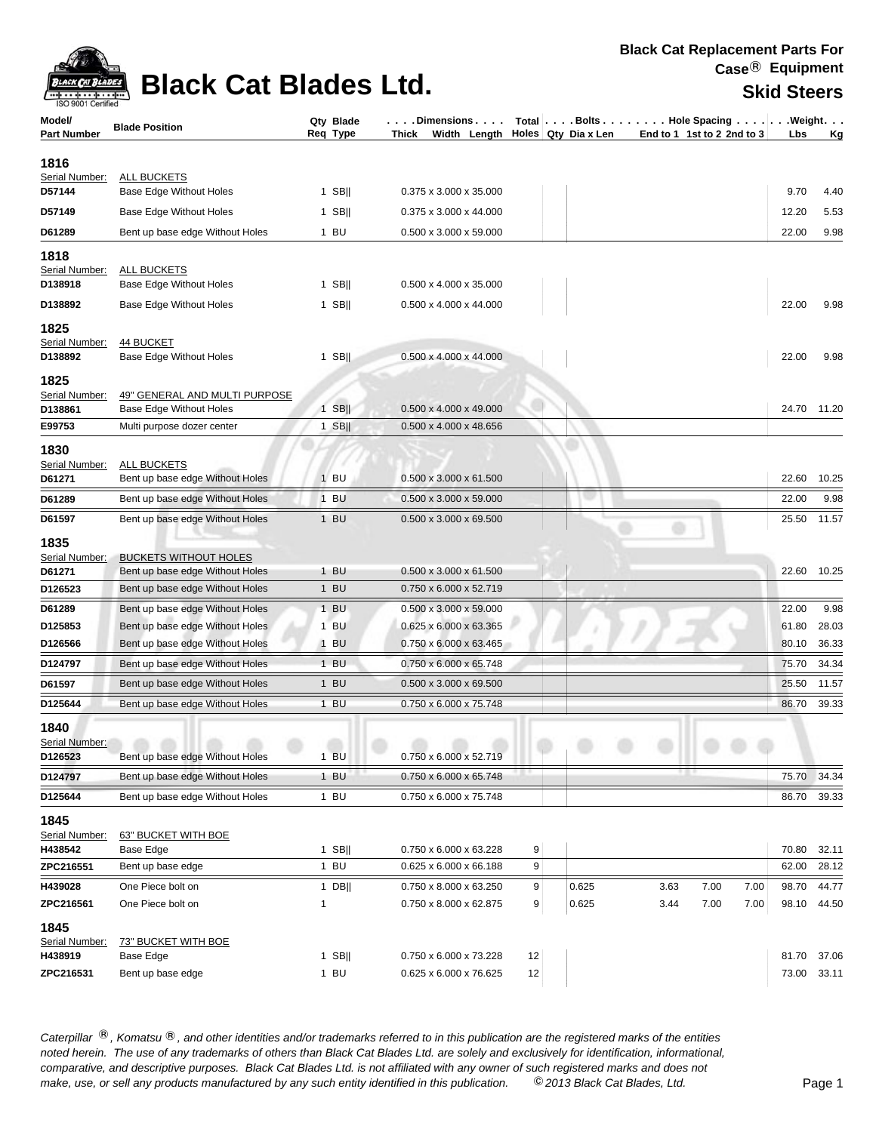

### **Black Cat Blades Ltd.** Skid Steers

| Model/<br>Part Number                       | <b>Blade Position</b>                                                                         | Qty Blade<br>Req Type | . Dimensions<br>Thick Width Length                           |    | Holes Qty Dia x Len |      | Total $\vert \ldots$ Bolts $\ldots \vert \ldots$ . Hole Spacing $\ldots \vert \ldots$ Weight. $\ldots$<br>End to 1 1st to 2 2nd to 3 | Lbs   | <u>Kg</u>      |
|---------------------------------------------|-----------------------------------------------------------------------------------------------|-----------------------|--------------------------------------------------------------|----|---------------------|------|--------------------------------------------------------------------------------------------------------------------------------------|-------|----------------|
| 1816                                        |                                                                                               |                       |                                                              |    |                     |      |                                                                                                                                      |       |                |
| Serial Number:                              | <b>ALL BUCKETS</b>                                                                            |                       |                                                              |    |                     |      |                                                                                                                                      |       |                |
| D57144                                      | Base Edge Without Holes                                                                       | 1 SB $  $             | 0.375 x 3.000 x 35.000                                       |    |                     |      |                                                                                                                                      | 9.70  | 4.40           |
| D57149                                      | <b>Base Edge Without Holes</b>                                                                | $1$ SBII              | 0.375 x 3.000 x 44.000                                       |    |                     |      |                                                                                                                                      | 12.20 | 5.53           |
| D61289                                      | Bent up base edge Without Holes                                                               | 1 BU                  | $0.500 \times 3.000 \times 59.000$                           |    |                     |      |                                                                                                                                      | 22.00 | 9.98           |
| 1818<br>Serial Number:                      | <b>ALL BUCKETS</b>                                                                            |                       |                                                              |    |                     |      |                                                                                                                                      |       |                |
| D138918                                     | Base Edge Without Holes                                                                       | 1 SB $  $             | 0.500 x 4.000 x 35.000                                       |    |                     |      |                                                                                                                                      |       |                |
| D138892                                     | <b>Base Edge Without Holes</b>                                                                | $1$ SB                | $0.500 \times 4.000 \times 44.000$                           |    |                     |      |                                                                                                                                      | 22.00 | 9.98           |
| 1825<br>Serial Number:                      | 44 BUCKET                                                                                     |                       |                                                              |    |                     |      |                                                                                                                                      |       |                |
| D138892                                     | Base Edge Without Holes                                                                       | 1 SB $  $             | 0.500 x 4.000 x 44.000                                       |    |                     |      |                                                                                                                                      | 22.00 | 9.98           |
| 1825<br>Serial Number:<br>D138861<br>E99753 | <b>49" GENERAL AND MULTI PURPOSE</b><br>Base Edge Without Holes<br>Multi purpose dozer center | $1$ SB<br>$1$ SB      | $0.500 \times 4.000 \times 49.000$<br>0.500 x 4.000 x 48.656 |    |                     |      |                                                                                                                                      | 24.70 | 11.20          |
| 1830<br>Serial Number:<br>D61271            | ALL BUCKETS<br>Bent up base edge Without Holes                                                | $1$ BU                | $0.500 \times 3.000 \times 61.500$                           |    |                     |      |                                                                                                                                      | 22.60 | 10.25          |
| D61289                                      | Bent up base edge Without Holes                                                               | $1$ BU                | 0.500 x 3.000 x 59.000                                       |    |                     |      |                                                                                                                                      | 22.00 | 9.98           |
| D61597                                      | Bent up base edge Without Holes                                                               | 1 BU                  | 0.500 x 3.000 x 69.500                                       |    |                     |      |                                                                                                                                      | 25.50 | 11.57          |
| 1835<br>Serial Number:<br>D61271<br>D126523 | <b>BUCKETS WITHOUT HOLES</b><br>Bent up base edge Without Holes                               | $1$ BU<br>1 BU        | 0.500 x 3.000 x 61.500<br>0.750 x 6.000 x 52.719             |    |                     |      |                                                                                                                                      | 22.60 | 10.25          |
|                                             | Bent up base edge Without Holes                                                               |                       |                                                              |    |                     |      |                                                                                                                                      |       |                |
| D61289                                      | Bent up base edge Without Holes                                                               | 1 BU                  | $0.500 \times 3.000 \times 59.000$                           |    |                     |      |                                                                                                                                      | 22.00 | 9.98           |
| D125853                                     | Bent up base edge Without Holes                                                               | 1 BU                  | 0.625 x 6.000 x 63.365                                       |    |                     |      |                                                                                                                                      | 61.80 | 28.03<br>36.33 |
| D126566                                     | Bent up base edge Without Holes                                                               | $1$ BU                | 0.750 x 6.000 x 63.465                                       |    |                     |      |                                                                                                                                      | 80.10 |                |
| D124797                                     | Bent up base edge Without Holes                                                               | 1 BU                  | 0.750 x 6.000 x 65.748                                       |    |                     |      |                                                                                                                                      | 75.70 | 34.34          |
| D61597                                      | Bent up base edge Without Holes                                                               | $1$ BU                | 0.500 x 3.000 x 69.500                                       |    |                     |      |                                                                                                                                      | 25.50 | 11.57          |
| D125644                                     | Bent up base edge Without Holes                                                               | $1$ BU                | 0.750 x 6.000 x 75.748                                       |    |                     |      |                                                                                                                                      | 86.70 | 39.33          |
| 1840<br>Serial Number:<br>D126523           | Bent up base edge Without Holes                                                               | $1$ BU                | 0.750 x 6.000 x 52.719                                       |    |                     |      |                                                                                                                                      |       |                |
| D124797                                     | Bent up base edge Without Holes                                                               | $1$ BU                | 0.750 x 6.000 x 65.748                                       |    |                     |      |                                                                                                                                      | 75.70 | 34.34          |
| D125644                                     | Bent up base edge Without Holes                                                               | 1 BU                  | 0.750 x 6.000 x 75.748                                       |    |                     |      |                                                                                                                                      | 86.70 | 39.33          |
| 1845<br>Serial Number:                      | 63" BUCKET WITH BOE                                                                           |                       |                                                              |    |                     |      |                                                                                                                                      |       |                |
| H438542                                     | Base Edge                                                                                     | $1$ SB                | 0.750 x 6.000 x 63.228                                       | 9  |                     |      |                                                                                                                                      | 70.80 | 32.11          |
| ZPC216551                                   | Bent up base edge                                                                             | 1 BU                  | 0.625 x 6.000 x 66.188                                       | 9  |                     |      |                                                                                                                                      | 62.00 | 28.12          |
| H439028                                     | One Piece bolt on                                                                             | 1 DBII                | 0.750 x 8.000 x 63.250                                       | 9  | 0.625               | 3.63 | 7.00<br>7.00                                                                                                                         | 98.70 | 44.77          |
| ZPC216561                                   | One Piece bolt on                                                                             | $\mathbf{1}$          | 0.750 x 8.000 x 62.875                                       | 9  | 0.625               | 3.44 | 7.00<br>7.00                                                                                                                         | 98.10 | 44.50          |
| 1845<br>Serial Number:                      | 73" BUCKET WITH BOE                                                                           |                       |                                                              |    |                     |      |                                                                                                                                      |       |                |
| H438919                                     | Base Edge                                                                                     | $1$ SB                | 0.750 x 6.000 x 73.228                                       | 12 |                     |      |                                                                                                                                      | 81.70 | 37.06          |
| ZPC216531                                   | Bent up base edge                                                                             | $1$ BU                | 0.625 x 6.000 x 76.625                                       | 12 |                     |      |                                                                                                                                      | 73.00 | 33.11          |